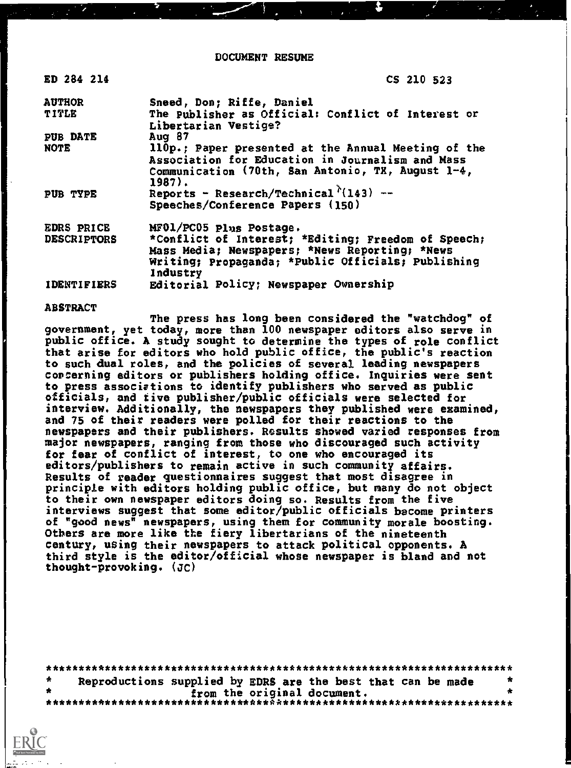DOCUMENT RESUME

ED 284 214 CS 210 523

| <b>AUTHOR</b>      | Sneed, Don; Riffe, Daniel                                           |
|--------------------|---------------------------------------------------------------------|
| TITLE              | The Publisher as Official: Conflict of Interest or                  |
|                    | Libertarian Vestige?                                                |
| <b>PUB DATE</b>    | Aug 87                                                              |
| NOTE               | 110p.; Paper presented at the Annual Meeting of the                 |
|                    | Association for Education in Journalism and Mass                    |
|                    | Communication (70th, San Antonio, TX, August 1-4,                   |
|                    | $1987$ .                                                            |
| PUB TYPE           | Reports - Research/Technical <sup><math>\hbar</math></sup> (143) -- |
|                    | Speeches/Conference Papers (150)                                    |
| <b>EDRS PRICE</b>  | MF01/PC05 plus Postage.                                             |
| <b>DESCRIPTORS</b> | *Conflict of Interest; *Editing; Freedom of Speech;                 |
|                    | Mass Media; Newspapers; *News Reporting; *News                      |
|                    | Writing; Propaganda; *Public Officials; Publishing                  |
|                    | Industry                                                            |
| <b>IDENTIFIERS</b> | Editorial Policy; Newspaper Ownership                               |

ABSTRACT

The press has long been considered the "watchdog" of government, yet today, more than 100 newspaper editors also serve in public office. A study sought to determine the types of role conflict that arise for editors who hold public office, the public's reaction to such dual roles, and the policies of several leading newspapers concerning editors or publishers holding office. Inquiries were sent to press associations to identify publishers who served as public officials, and tive publisher/public officials were selected for interview. Additionally, the newspapers they published were examined, and 75 of their readers were polled for their reactions to the newspapers and their publishers. Results showed varied responses from major newspapers, ranging from those who discouraged such activity for fear of conflict of interest, to one who encouraged its editors/publishers to remain active in such community affairs. Results of reader questionnaires suggest that most disagree in principle with editors holding public office, but many do not object to their own newspaper editors doing so. Results from the five interviews suggest that some editor/public officials become printers of "good news" newspapers, using them for community morale boosting. Others are more like the fiery libertarians of the nineteenth century, using their newspapers to attack political opponents. A third style is the editor/official whose newspaper is bland and not thought-provoking. (JC)

| * | Reproductions supplied by EDRS are the best that can be made |  |  |  |
|---|--------------------------------------------------------------|--|--|--|
|   | from the original document.                                  |  |  |  |
|   |                                                              |  |  |  |

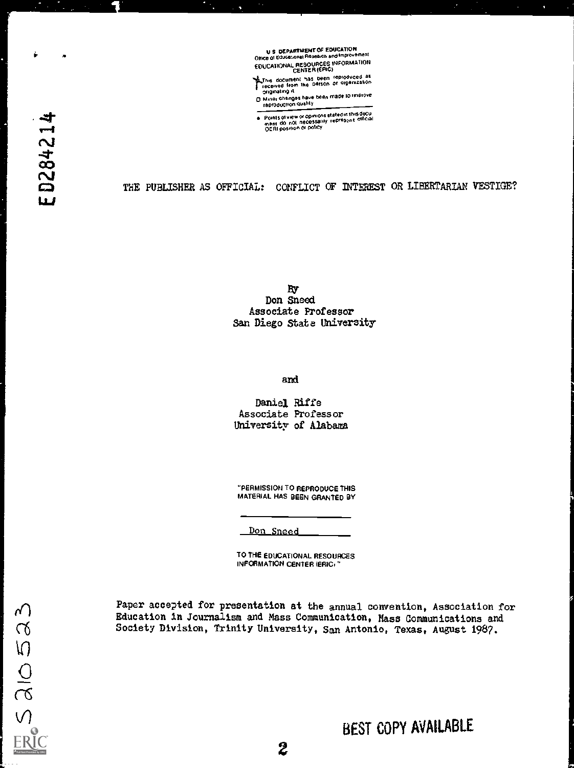U.S. DEPARTMENT OF EDUCATION<br>Office of Educational Research and Improvement EDUCATIONAL RESOURCES INFORMATION CENTER IEFItC)

Lithis document has been reproduced as<br>Freceived from the Derson or orgenization<br>- originating it

o Minor changes have been made lo improve<br>D Minor changes have been made lo improve

Points of view or opinions stated in this docu<br>mem\_do\_not\_necessarily\_represont\_oficial<br>QERI position or policy

THE PUBLISHER AS OFFICIAL: CONFLICT OF INTEREST OR LIBERTARIAN VESTIGE?

By Don Sneed Associate Professor San Diego State University

and

Daniel Riffe Associate Professor University of Alabama

"PERMISSION TO REPRODUCE THIS MATERIAL HAS BEEN GRANTED BY

Don Sneed

TO THE EDUCATIONAL RESOURCES INFORMATION CENTER (ERIC, "

Paper accepted for presentation at the annual convention, Association for Education in Journalism and Mass Communication, Mass Communications and Society Division, Trinity University, San Antonio, Texas, August 1987.

ED284214

è

 $\blacksquare$ 

 $520052$ 

 $\overline{2}$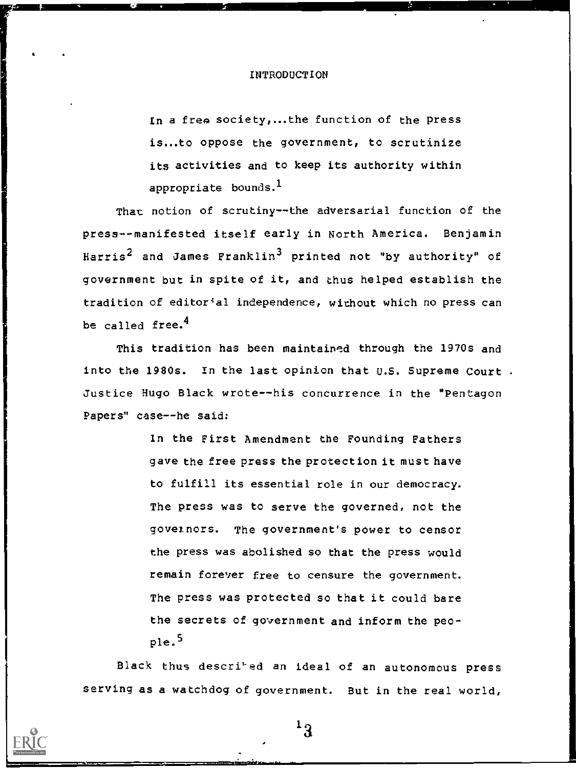#### INTRODUCTION

In a free society,...the function of the press is...to oppose the government, to scrutinize its activities and to keep its authority within appropriate bounds.<sup>1</sup>

That notion of scrutiny--the adversarial function of the press--manifested itself early in North America. Benjamin Harris<sup>2</sup> and James Franklin<sup>3</sup> printed not "by authority" of government but in spite of it, and thus helped establish the tradition of editorial independence, without which no press can be called free. $<sup>4</sup>$ </sup>

This tradition has been maintained through the 1970s and into the 1980s. In the last opinion that U.S. Supreme Court. Justice Hugo Black wrote--his concurrence in the "Pentagon Papers" case--he said:

> In the First Amendment the Founding Fathers gave the free press the protection it must have to fulfill its essential role in our democracy. The press was to serve the governed, not the govetnors. The government's power to censor the press was abolished so that the press would remain forever free to censure the government. The press was protected so that it could bare the secrets of government and inform the people.5

Black thus descri'ed an ideal of an autonomous press serving as a watchdog of government. But in the real world,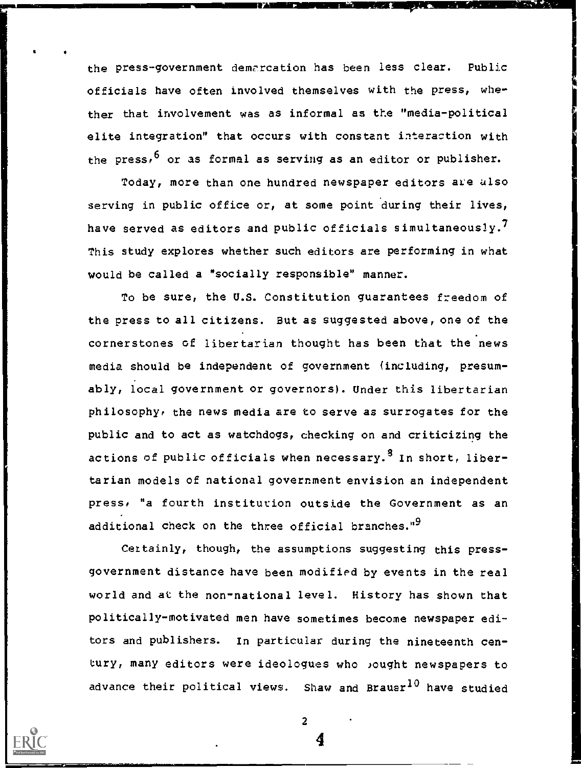the press-government demarcation has been less clear. Public officials have often involved themselves with the press, whether that involvement was as informal as the "media-political elite integration" that occurs with constant interaction with the press,  $6$  or as formal as serving as an editor or publisher.

Today, more than one hundred newspaper editors are also serving in public office or, at some point during their lives, have served as editors and public officials simultaneously.<sup>7</sup> This study explores whether such editors are performing in what would be called a "socially responsible" manner.

To be sure, the U.S. Constitution guarantees freedom of the press to all citizens. But as suggested above, one of the cornerstones of libertarian thought has been that the news media should be independent of government (including, presumably, local government or governors). Under this libertarian philosophy, the news media are to serve as surrogates for the public and to act as watchdogs, checking on and criticizing the actions of public officials when necessary.<sup>8</sup> In short, libertarian models of national government envision an independent press, "a fourth institution outside the Government as an additional check on the three official branches."<sup>9</sup>

Certainly, though, the assumptions suggesting this pressgovernment distance have been modified by events in the real world and at the non-national level. History has shown that politically-motivated men have sometimes become newspaper editors and publishers. In particular during the nineteenth century, many editors were ideologues who lought newspapers to advance their political views. Shaw and Brauer<sup>10</sup> have studied



2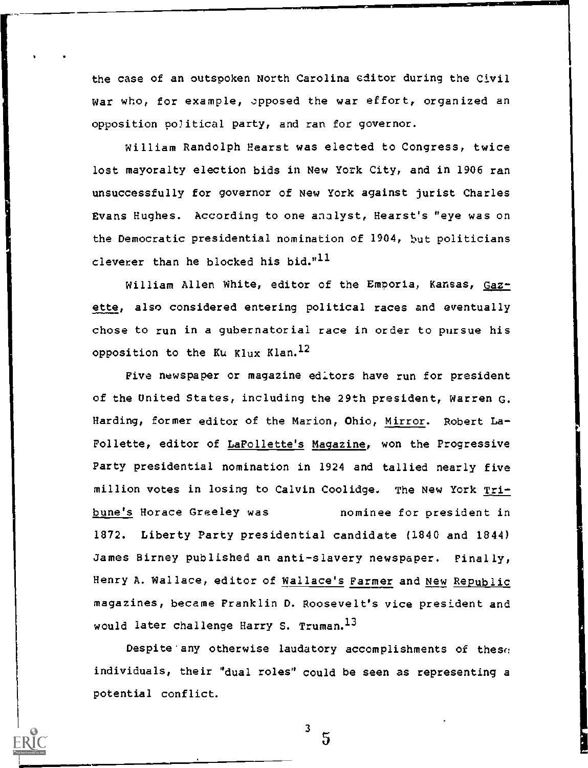the case of an outspoken North Carolina editor during the Civil War who, for example, opposed the war effort, organized an opposition political party, and ran for governor.

William Randolph Hearst was elected to Congress, twice lost mayoralty election bids in New York City, and in 1906 ran unsuccessfully for governor of New York against jurist Charles Evans Hughes. According to one analyst, Hearst's "eye was on the Democratic presidential nomination of 1904, but politicians cleverer than he blocked his bid." $^{11}$ 

William Allen White, editor of the Emporia, Kansas, Gazette, also considered entering political races and eventually chose to run in a gubernatorial race in order to pursue his opposition to the Ku Klux Klan.<sup>12</sup>

Five newspaper or magazine edltors have run for president of the United States, including the 29th president, Warren G. Harding, former editor of the Marion, Ohio, Mirror. Robert La-Follette, editor of LaFollette's Magazine, won the Progressive Party presidential nomination in 1924 and tallied nearly five million votes in losing to Calvin Coolidge. The New York Tribune's Horace Greeley was nominee for president in 1872. Liberty Party presidential candidate (1840 and 1844) James Birney published an anti-slavery newspaper. Finally, Henry A. Wallace, editor of Wallace's Farmer and New Republic magazines, became Franklin D. Roosevelt's vice president and would later challenge Harry S. Truman.<sup>13</sup>

Despite any otherwise laudatory accomplishments of these individuals, their "dual roles" could be seen as representing a potential conflict.

3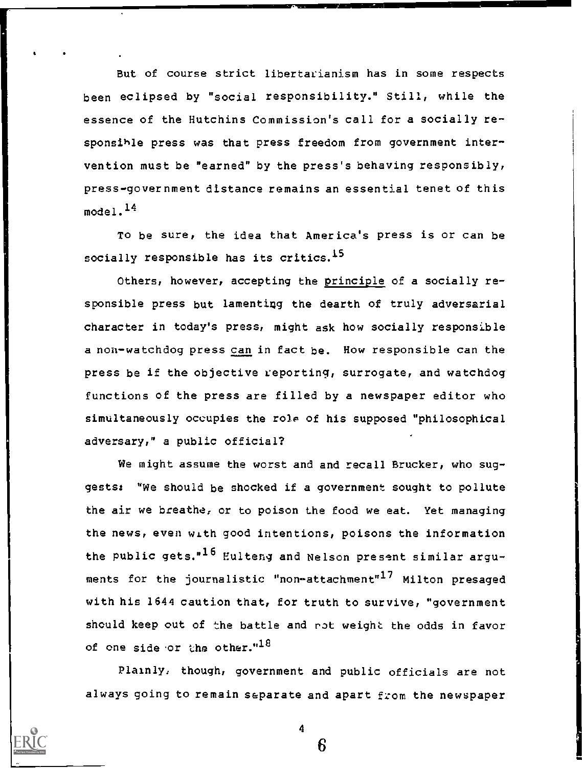But of course strict libertarianism has in some respects been eclipsed by "social responsibility." Still, while the essence of the Hutchins Commission's call for a socially responsihle press was that press freedom from government intervention must be "earned" by the press's behaving responsibly, press-government distance remains an essential tenet of this model. $^{14}$ 

To be sure, the idea that America's press is or can be socially responsible has its critics.<sup>15</sup>

Others, however, accepting the principle of a socially responsible press but lamenting the dearth of truly adversarial character in today's press, might ask how socially responsible a non-watchdog press can in fact be. How responsible can the press be if the objective reporting, surrogate, and watchdog functions of the press are filled by a newspaper editor who simultaneously occupies the role of his supposed "philosophical adversary," a public official?

We might assume the worst and and recall Brucker, who suggests: "We should be shocked if a government sought to pollute the air we breathe, or to poison the food we eat. Yet managing the news, even with good intentions, poisons the information the public gets."<sup>16</sup> Eulteng and Nelson present similar arguments for the journalistic "non-attachment"<sup>17</sup> Milton presaged with his 1644 caution that, for truth to survive, "government should keep out of the battle and rot weight the odds in favor of one side or the other." $^{18}$ 

Plainly, though, government and public officials are not always going to remain separate and apart from the newspaper

4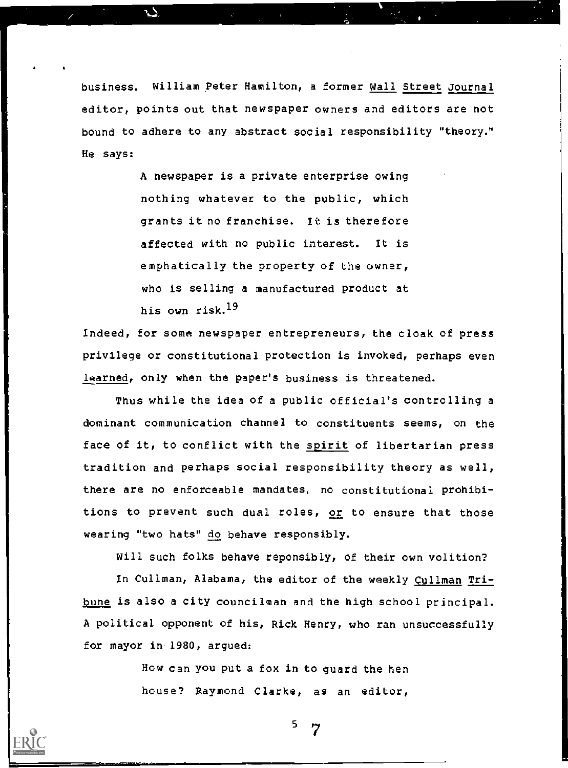business. William peter Hamilton, a former Wall Street Journal editor, points out that newspaper owners and editors are not bound to adhere to any abstract social responsibility "theory." He says:

> A newspaper is a private enterprise owing nothing whatever to the public, which grants it no franchise. It is therefore affected with no public interest. It is emphatically the property of the owner, who is selling a manufactured product at his own risk.19

Indeed, for some newspaper entrepreneurs, the cloak of press privilege or constitutional protection is invoked, perhaps even learned, only when the paper's business is threatened.

Thus while the idea of a public official's controlling a dominant communication channel to constituents seems, on the face of it, to conflict with the spirit of libertarian press tradition and perhaps social responsibility theory as well, there are no enforceable mandates, no constitutional prohibitions to prevent such dual roles, or to ensure that those wearing "two hats" do behave responsibly.

Will such folks behave reponsibly, of their own volition?

In Cullman, Alabama, the editor of the weekly Cullman Tribune is also a city councilman and the high school principal. A political opponent of his, Rick Henry, who ran unsuccessfully for mayor in.1980, argued:

> How can you put a fox in to guard the hen house? Raymond Clarke, as an editor,

5  $\gamma$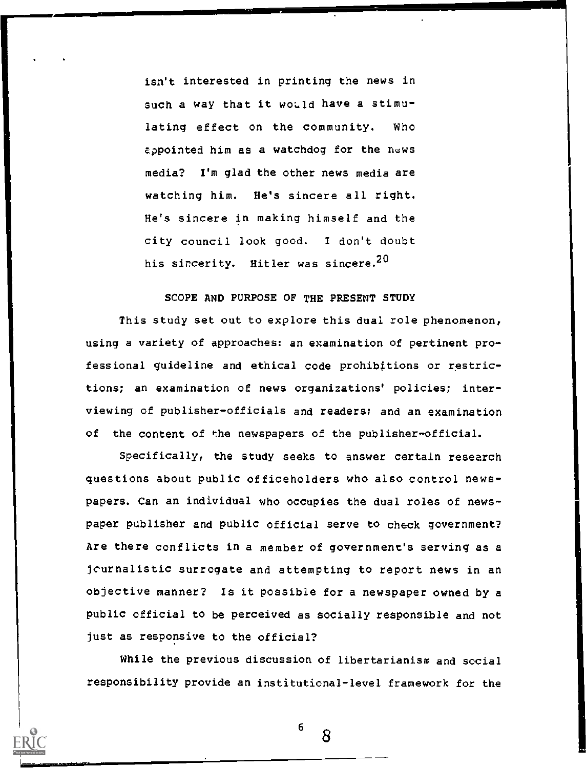isn't interested in printing the news in such a way that it would have a stimulating effect on the community. Who appointed him as a watchdog for the news media? I'm glad the other news media are watching him. He's sincere all right. He's sincere in making himself and the city council look good. I don't doubt his sincerity. Hitler was sincere.<sup>20</sup>

# SCOPE AND PURPOSE OF THE PRESENT STUDY

This study set out to explore this dual role phenomenon, using a variety of approaches: an examination of pertinent professional guideline and ethical code prohibitions or restrictions; an examination of news organizations' policies; interviewing of publisher-officials and readers; and an examination of the content of the newspapers of the publisher-official.

Specifically, the study seeks to answer certain research questions about public officeholders who also control newspapers. Can an individual who occupies the dual roles of newspaper publisher and public official serve to check government? Are there conflicts in a member of government's serving as a jcurnalistic surrogate and attempting to report news in an objective manner? Is it possible for a newspaper owned by a public official to be perceived as socially responsible and not just as responsive to the official?

While the previous discussion of libertarianism and social responsibility provide an institutional-level framework for the

6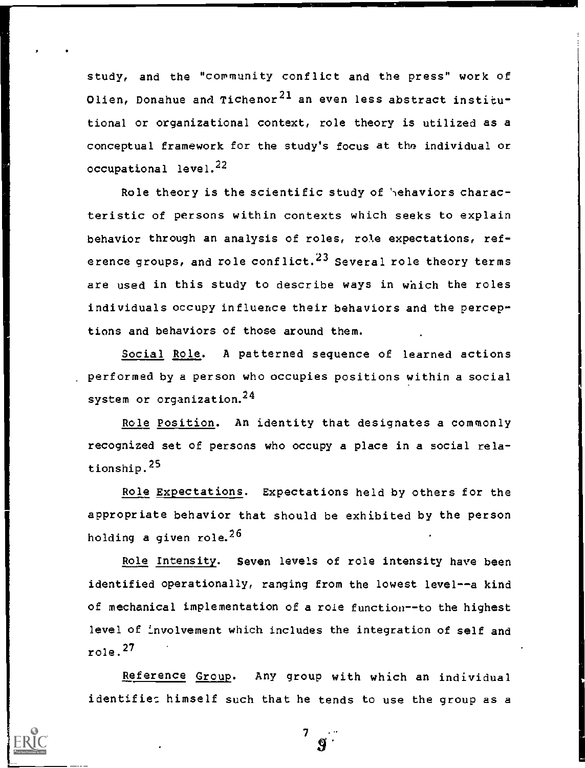study, and the "community conflict and the press" work of Olien, Donahue and Tichenor<sup>21</sup> an even less abstract institutional or organizational context, role theory is utilized as a conceptual framework for the study's focus at tho individual or occupational level.<sup>22</sup>

Role theory is the scientific study of 'hehaviors characteristic of persons within contexts which seeks to explain behavior through an analysis of roles, role expectations, reference groups, and role conflict. $^{23}$  Several role theory terms are used in this study to describe ways in which the roles individuals occupy influence their behaviors and the perceptions and behaviors of those around them.

Social Role. A patterned sequence of learned actions performed by a person who occupies positions within a social system or organization.<sup>24</sup>

Role Position. An identity that designates a commonly recognized set of persons who occupy a place in a social relationship.25

Role Expectations. Expectations held by others for the appropriate behavior that should be exhibited by the person holding a given role.<sup>26</sup>

Role Intensity. Seven levels of role intensity have been identified operationally, ranging from the lowest level--a kind of mechanical implementation of a role function--to the highest level of involvement which includes the integration of self and role. <sup>27</sup>

Reference Group. Any group with which an individual identifies himself such that he tends to use the group as a

> $T_{\rm c}$  and  $T_{\rm c}$  and  $T_{\rm c}$ .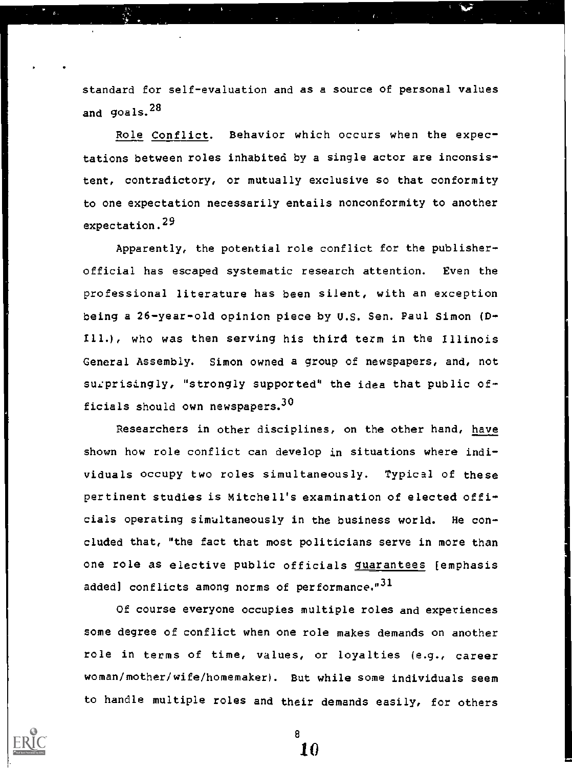standard for self-evaluation and as a source of personal values and goals.<sup>28</sup>

Role Conflict. Behavior which occurs when the expectations between roles inhabited by a single actor are inconsistent, contradictory, or mutually exclusive so that conformity to one expectation necessarily entails nonconformity to another expectation.<sup>29</sup>

Apparently, the potential role conflict for the publisherofficial has escaped systematic research attention. Even the professional literature has been silent, with an exception being a 26-year-old opinion piece by U.S. Sen. Paul Simon (Dill.), who was then serving his third term in the Illinois General Assembly. Simon owned a group of newspapers, and, not surprisingly, "strongly supported" the idea that public officials should own newspapers.  $30$ 

Researchers in other disciplines, on the other hand, have shown how role conflict can develop in situations where individuals occupy two roles simultaneously. Typical of these pertinent studies is Mitchell's examination of elected officials operating simultaneously in the business world. He concluded that, "the fact that most politicians serve in more than one role as elective public officials guarantees [emphasis added] conflicts among norms of performance."<sup>31</sup>

Of course everyone occupies multiple roles and experiences some degree of conflict when one role makes demands on another role in terms of time, values, or loyalties (e.g., career woman/mother/wife/homemaker). But while some individuals seem to handle multiple roles and their demands easily, for others

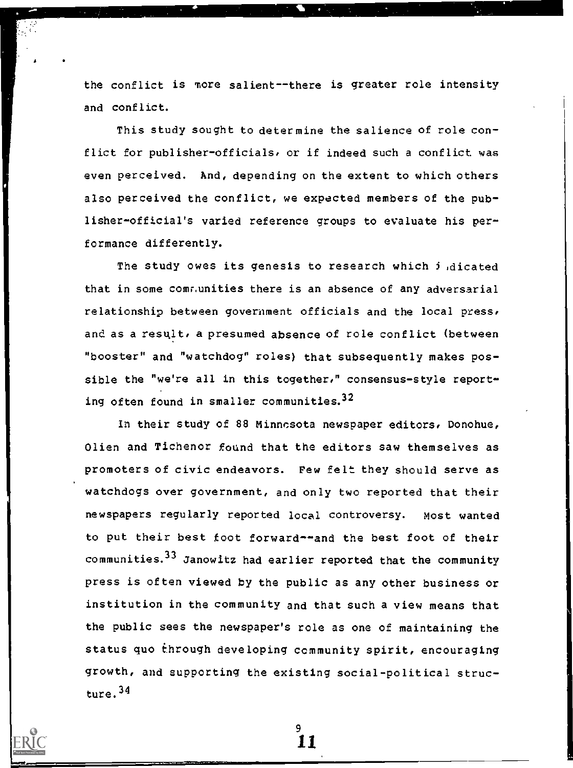the conflict is more salient--there is greater role intensity and conflict.

This study sought to determine the salience of role conflict for publisher-officials, or if indeed such a conflict was even perceived. And, depending on the extent to which others also perceived the conflict, we expected members of the publisher-official's varied reference groups to evaluate his performance differently.

The study owes its genesis to research which *i* dicated that in some comr.unities there is an absence of any adversarial relationship between government officials and the local press, and as a resqlt, a presumed absence of role conflict (between "booster" and "watchdog" roles) that subsequently makes possible the "we're all in this together," consensus-style reporting often found in smaller communities. $32$ 

In their study of 88 Minncsota newspaper editors, Donohue, Olien and Tichenor found that the editors saw themselves as promoters of civic endeavors. Pew felt they should serve as watchdogs over government, and only two reported that their newspapers regularly reported local controversy. most wanted to put their best foot forward--and the best foot of their communities.33 Janowitz had earlier reported that the community press is often viewed by the public as any other business or institution in the community and that such a view means that the public sees the newspaper's role as one of maintaining the status quo through developing community spirit, encouraging growth, and supporting the existing social-political structure. <sup>34</sup>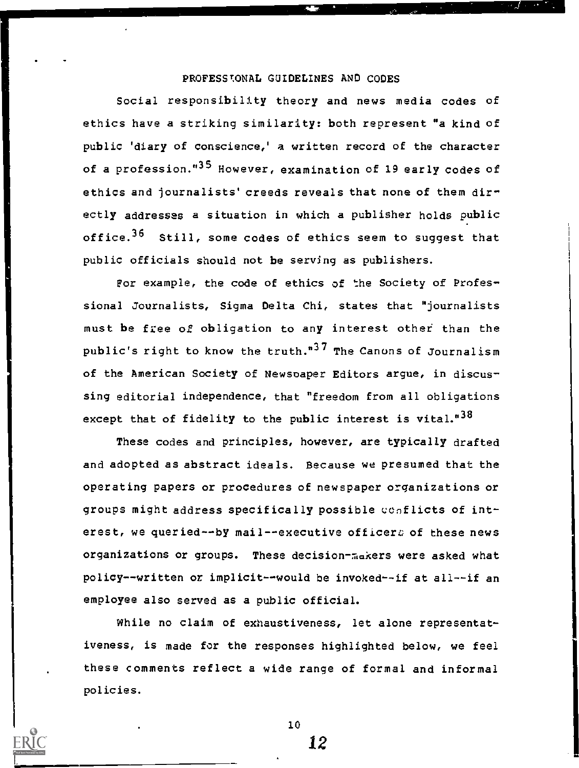## PROFESSIONAL GUIDELINES AND CODES

Social responsibility theory and news media codes of ethics have a striking similarity: both represent "a kind of public 'diary of conscience,' a written record of the character of a profession."<sup>35</sup> However, examination of 19 early codes of ethics and journalists' creeds reveals that none of them directly addresses a situation in which a publisher holds public office.<sup>35</sup> Still, some codes of ethics seem to suggest that public officials should not be serving as publishers.

For example, the code of ethics of the Society of Professional Journalists, Sigma Delta Chi, states that "journalists must be free of obligation to any interest other than the public's right to know the truth."<sup>37</sup> The Canons of Journalism of the American Society of Newspaper Editors argue, in discussing editorial independence, that "freedom from all obligations except that of fidelity to the public interest is vital."<sup>38</sup>

These codes and principles, however, are typically drafted and adopted as abstract ideals. Because we presumed that the operating papers or procedures of newspaper organizations or groups might address specifically possible conflicts of interest, we queried -- by mail--executive officers of these news organizations or groups. These decision-makers were asked what policy--written or implicit--would be invoked--if at all--if an employee also served as a public official.

While no claim of exhaustiveness, let alone representativeness, is made for the responses highlighted below, we feel these comments reflect a wide range of formal and informal policies.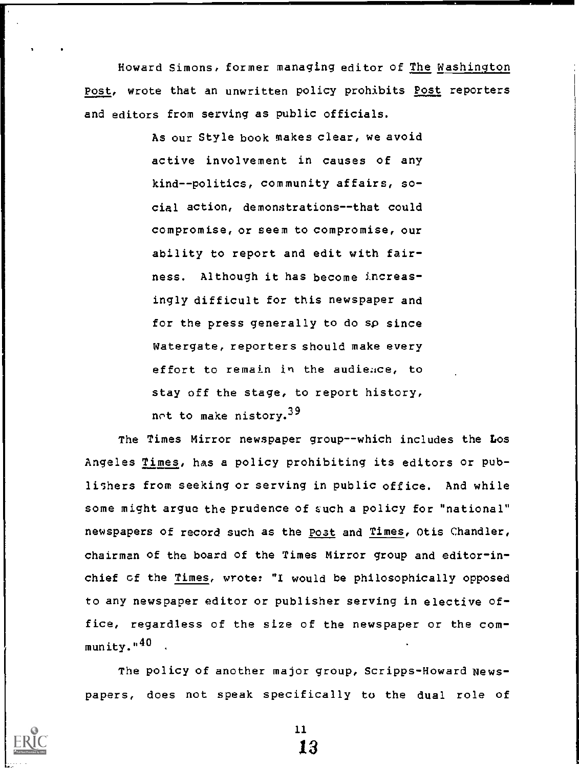Howard Simons, former managing editor of The Washington Post, wrote that an unwritten policy prohibits Post reporters and editors from serving as public officials.

> As our Style book makes clear, we avoid active involvement in causes of any kind--politics, community affairs, social action, demonstrations--that could compromise, or seem to compromise, our ability to report and edit with fairness. Although it has become increasingly difficult for this newspaper and for the press generally to do sp since Watergate, reporters should make every effort to remain in the audieace, to stay off the stage, to report history, not to make nistory.<sup>39</sup>

The Times Mirror newspaper group--which includes the Los Angeles Times, has a policy prohibiting its editors or publishers from seeking or serving in public office. And while some might argue the prudence of such a policy for "national" newspapers of record such as the Post and Times, Otis Chandler, chairman of the board of the Times Mirror group and editor-inchief of the Times, wrote: "1 would be philosophically opposed to any newspaper editor or publisher serving in elective office, regardless of the size of the newspaper or the com $m$ unity." $40$ .

The policy of another major group, Scripps-Howard Newspapers, does not speak specifically to the dual role of



11 la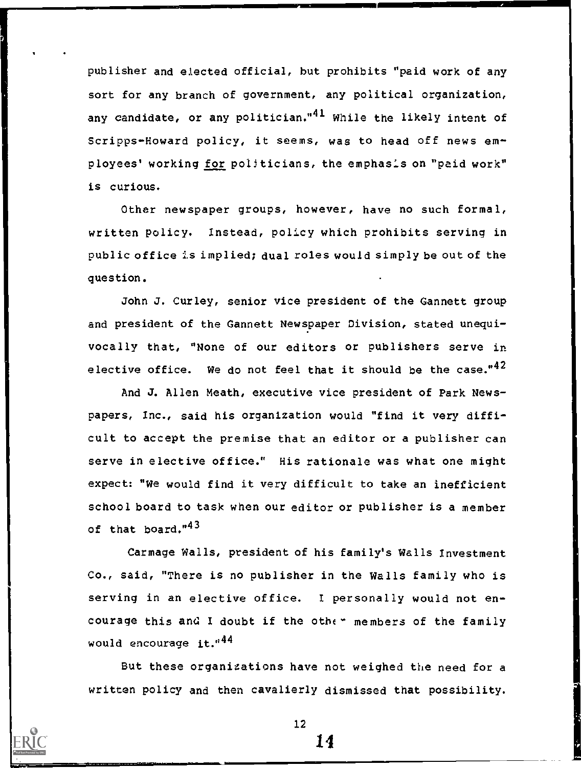publisher and elected official, but prohibits "paid work of any sort for any branch of government, any political organization, any candidate, or any politician." $41$  While the likely intent of Scripps-Howard policy, it seems, was to head off news employees' working for politicians, the emphasis on "paid work" is curious.

Other newspaper groups, however, have no such formal, written policy. Instead, policy which prohibits serving in public office is implied; dual roles would simply be out of the question.

John J. Curley, senior vice president of the Gannett group and president of the Gannett Newspaper Division, stated unequivocally that, "None of our editors or publishers serve in elective office. We do not feel that it should be the case." $42$ 

And J. Allen Meath, executive vice president of Park Newspapers, Inc., said his organization would "find it very difficult to accept the premise that an editor or a publisher can serve in elective office." His rationale was what one might expect: "We would find it very difficult to take an inefficient school board to task when our editor or publisher is a member of that board."<sup>43</sup>

Carmage Walls, president of his family's Walls Investment Co., said, "There is no publisher in the Walls family who is serving in an elective office. I personally would not encourage this and I doubt if the other members of the family would encourage it. $44$ 

But these organizations have not weighed the need for a written policy and then cavalierly dismissed that possibility.

 $12$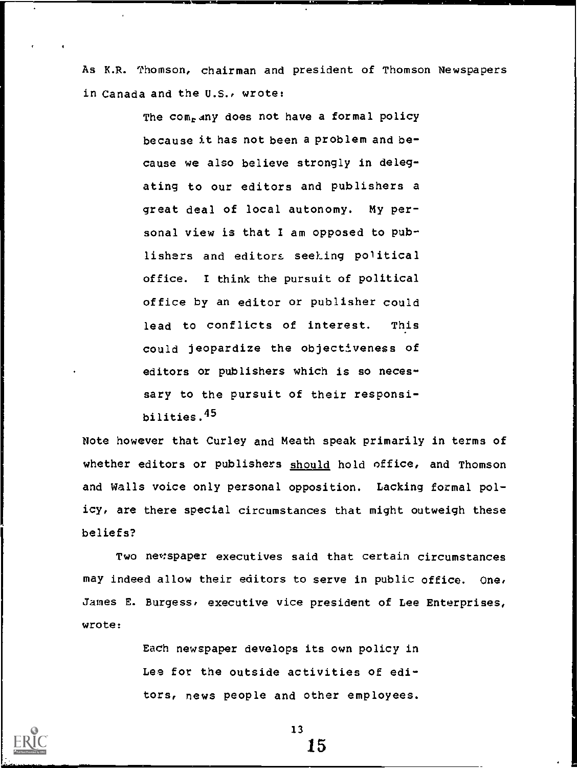As K.R. Thomson, chairman and president of Thomson Newspapers in Canada and the U.S., wrote:

> The com<sub>r</sub> any does not have a formal policy because it has not been a problem and because we also believe strongly in delegating to our editors and publishers a great deal of local autonomy. My personal view is that I am opposed to publishers and editors seeking political office. 1 think the pursuit of political office by an editor or publisher could lead to conflicts of interest. This could jeopardize the objectiveness of editors or publishers which is so necessary to the pursuit of their responsibilities.45

Note however that Curley and Meath speak primarily in terms of whether editors or publishers should hold office, and Thomson and Walls voice only personal opposition. Lacking formal policy, are there special circumstances that might outweigh these beliefs?

Two newspaper executives said that certain circumstances may indeed allow their editors to serve in public office. One, James E. Burgess, executive vice president of Lee Enterprises, wrote:

> Each newspaper develops its own policy in Lee for the outside activities of editors, news people and other employees.

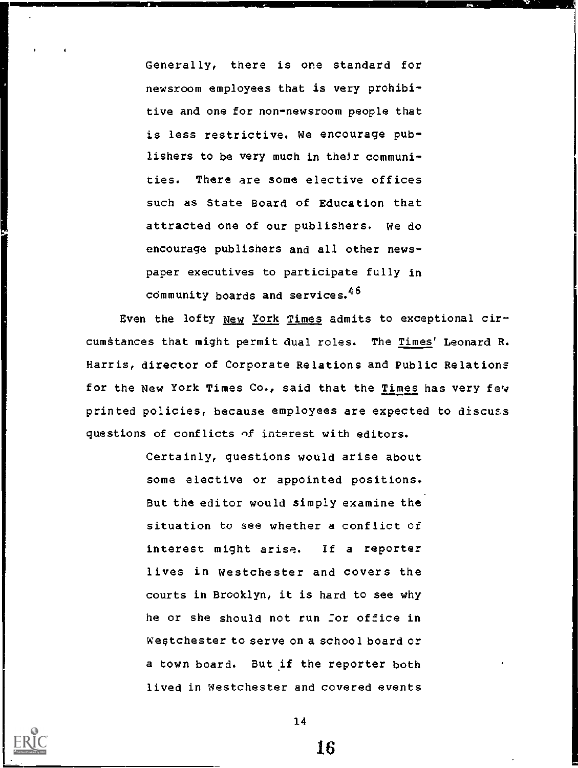Generally, there is one standard for newsroom employees that is very prohibitive and one for non-newsroom people that is less restrictive. We encourage publishers to be very much in their communities. There are some elective offices such as State Board of Education that attracted one of our publishers. We do encourage publishers and all other newspaper executives to participate fully in community boards and services.  $46$ 

Even the lofty New York Times admits to exceptional circumstances that might permit dual roles. The Times' Leonard R. Harris, director of Corporate Relations and Public Relations for the New York Times Co., said that the Times has very few printed policies, because employees are expected to discuss questions of conflicts nf interest with editors.

> Certainly, questions would arise about some elective or appointed positions. But the editor would simply examine the situation to see whether a conflict of interest might arise. If a reporter lives in Westchester and covers the courts in Brooklyn, it is hard to see why he or she should not run for office in Westchester to serve on a school board or a town board. But if the reporter both lived in Westchester and covered events



14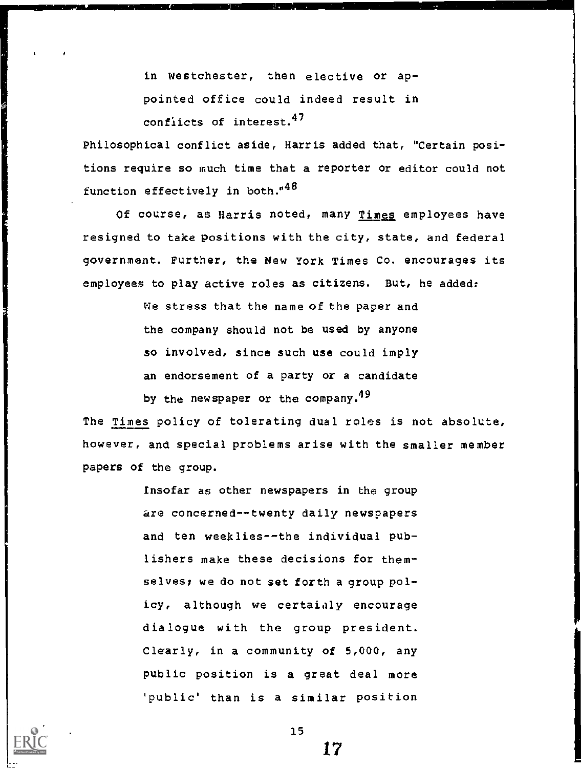in Westchester, then elective or appointed office could indeed result in confiicts of interest.47

Philosophical conflict aside, Harris added that, "Certain positions require so much time that a reporter or editor could not function effectively in both."<sup>48</sup>

Of course, as Harris noted, many Times employees have resigned to take positions with the city, state, and federal government. Further, the New York Times Co. encourages its employees to play active roles as citizens. But, he added:

> We stress that the name of the paper and the company should not be used by anyone so involved, since such use could imply an endorsement of a party or a candidate

by the newspaper or the company.<sup>49</sup>

The <u>Times</u> policy of tolerating dual roles is not absolute,<br>however, and special problems arise with the smaller member papers of the group.

> Insofar as other newspapers in the group are concerned--twenty daily newspapers and ten weeklies--the individual publishers make these decisions for themselves; we do not set forth a group policy, although we certaialy encourage dialogue with the group president. Clearly, in a community of 5,000, any public position is a great deal more 'public' than is a similar position

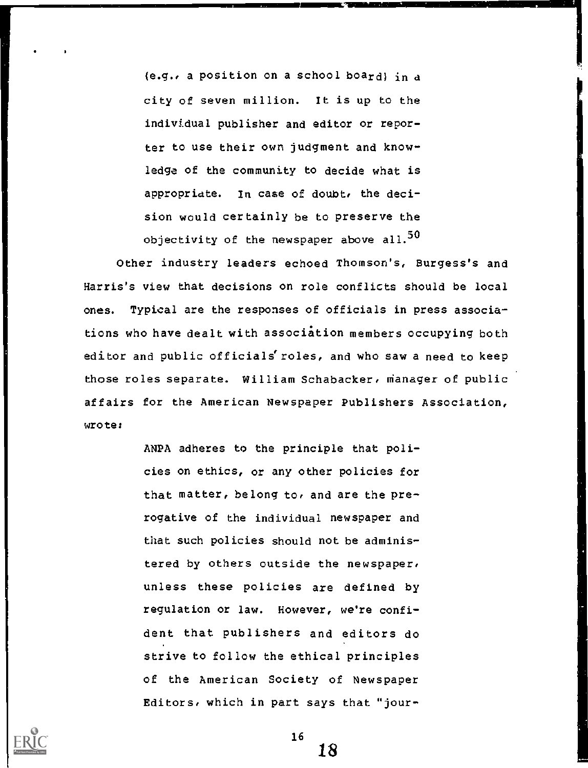(e.g., a position on a school board) in a city of seven million. It is up to the individual publisher and editor or reporter to use their own judgment and knowledge of the community to decide what is appropriate. In case of doubt, the decision would certainly be to preserve the objectivity of the newspaper above all. $50$ 

Other industry leaders echoed Thomson's, Burgess's and Harris's view that decisions on role conflicts should be local ones. Typical are the responses of officials in press associations who have dealt with association members occupying both editor and public officials'roles, and who saw a need to keep those roles separate. William Schabacker, nianager of public affairs for the American Newspaper Publishers Association, wrote:

> ANPA adheres to the principle that policies on ethics, or any other policies for that matter, belong to, and are the prerogative of the individual newspaper and that such policies should not be administered by others outside the newspaper, unless these policies are defined by regulation or law. However, we're confident that publishers and editors do strive to follow the ethical principles of the American Society of Newspaper Editors, which in part says that "jour-



 $16$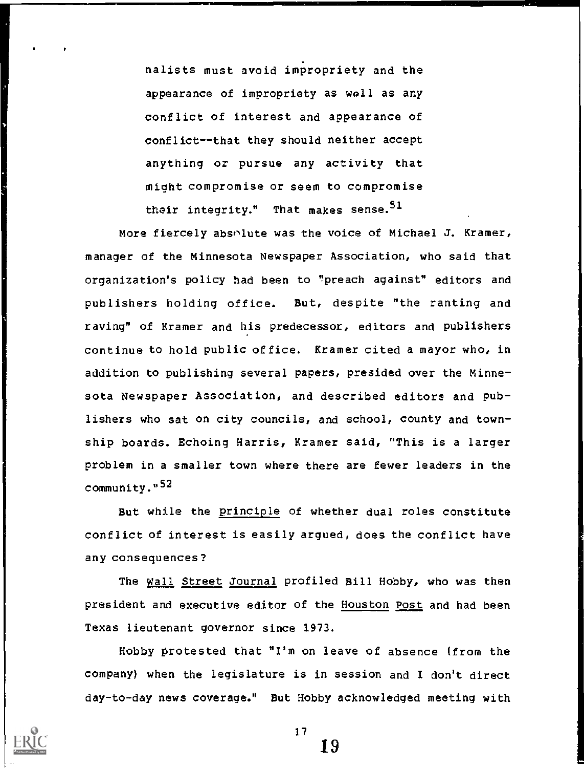nalists must avoid impropriety and the appearance of impropriety as wall as any conflict of interest and appearance of conflict--that they should neither accept anything or pursue any activity that might compromise or seem to compromise their integrity." That makes sense.  $51$ 

More fiercely absolute was the voice of Michael J. Kramer, manager of the Minnesota Newspaper Association, who said that organization's policy had been to "preach against" editors and publishers holding office. But, despite "the ranting and raving" of Kramer and his predecessor, editors and publishers continue to hold public office. Kramer cited a mayor who, in addition to publishing several papers, presided over the Minnesota Newspaper Association, and described editors and publishers who sat on city councils, and school, county and township boards. Echoing Harris, Kramer said, "This is a larger problem in a smaller town where there are fewer leaders in the community."<sup>52</sup>

But while the principle of whether dual roles constitute conflict of interest is easily argued, does the conflict have any consequences?

The Wall Street Journal profiled Bill Hobby, who was then president and executive editor of the Houston Post and had been Texas lieutenant governor since 1973.

Hobby protested that "I'm on leave of absence (from the company) when the legislature is in session and I don't direct day-to-day news coverage." But Hobby acknowledged meeting with

 $17$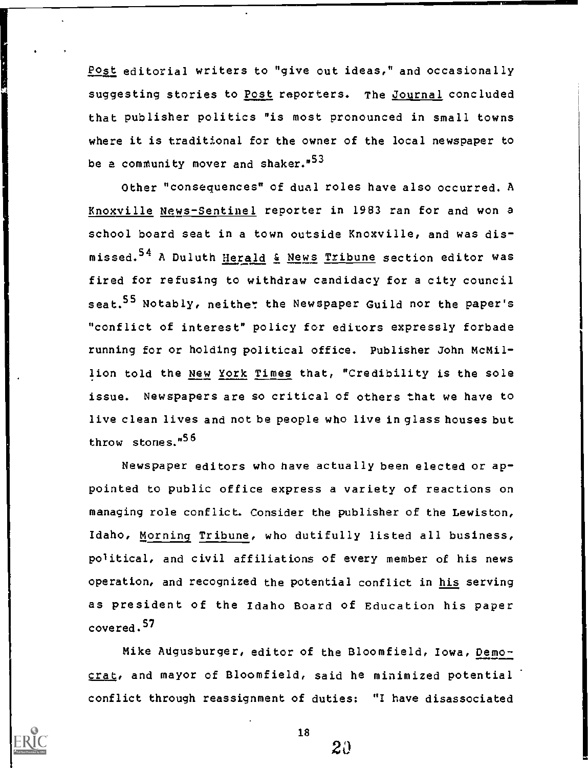Post editorial writers to "give out ideas," and occasionally suggesting stories to Post reporters. The Journal concluded that publisher politics "is most pronounced in small towns where it is traditional for the owner of the local newspaper to be a community mover and shaker."<sup>53</sup>

Other "consequences" of dual roles have also occurred. A Knoxville News-Sentinel reporter in 1983 ran for and won a school board seat in a town outside Knoxville, and was dismissed.<sup>54</sup> A Duluth Herald & News Tribune section editor was fired for refusing to withdraw candidacy for a city council seat.<sup>55</sup> Notably, neither the Newspaper Guild nor the paper's "conflict of interest" policy for editors expressly forbade running for or holding political office. Publisher John McMillion told the New York Times that, "Credibility is the sole issue. Newspapers are so critical of others that we have to live clean lives and not be people who live in glass houses but throw stones."<sup>56</sup>

Newspaper editors who have actually been elected or appointed to public office express a variety of reactions on managing role conflict. Consider the publisher of the Lewiston, Idaho, Morning Tribune, who dutifully listed all business, political, and civil affiliations of every member of his news operation, and recognized the potential conflict in his serving as president of the Idaho Board of Education his paper covered. <sup>57</sup>

Mike Augusburger, editor of the Bloomfield, Iowa, Democrat, and mayor of Bloomfield, said he minimized potential conflict through reassignment of duties: "I have disassociated



18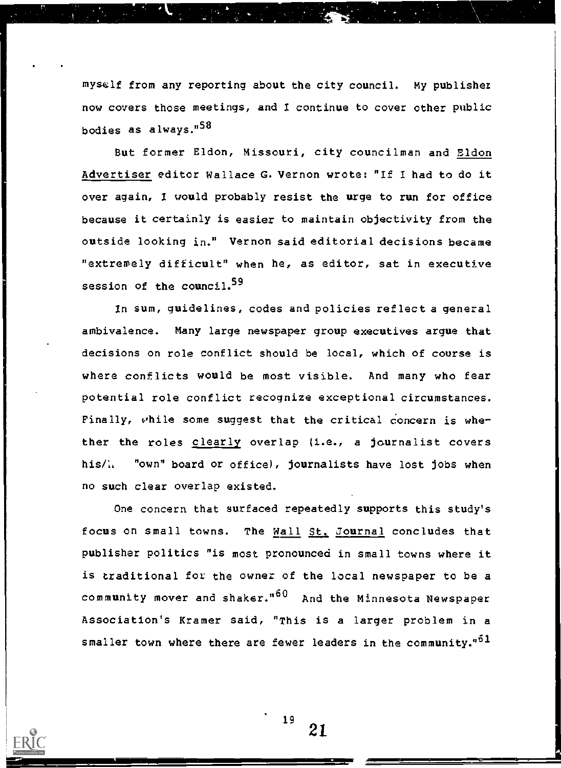myself from any reporting about the city council. My publisher now covers those meetings, and I continue to cover other public bodies as always."58

But former Eldon, Missouri, city councilman and Eldon Advertiser editor Wallace G. Vernon wrote: "If I had to do it over again, I would probably resist the urge to run for office because it certainly is easier to maintain objectivity from the outside looking in." Vernon said editorial decisions became "extremely difficult" when he, as editor, sat in executive session of the council.<sup>59</sup>

In sum, guidelines, codes and policies reflect a general ambivalence. Many large newspaper group executives argue that decisions on role conflict should be local, which of course is where conflicts would be most visible. And many who fear potential role conflict recognize exceptional circumstances. Finally, while some suggest that the critical concern is whether the roles clearly overlap (i.e., a journalist covers his/. "own" board or office), journalists have lost jobs when no such clear overlap existed.

One concern that surfaced repeatedly supports this study's focus on small towns. The Wall St. Journal concludes that publisher politics "is most pronounced in small towns where it is traditional for the owner of the local newspaper to be a community mover and shaker."<sup>60</sup> And the Minnesota Newspaper Association's Kramer said, "This is a larger problem in a smaller town where there are fewer leaders in the community."<sup>51</sup>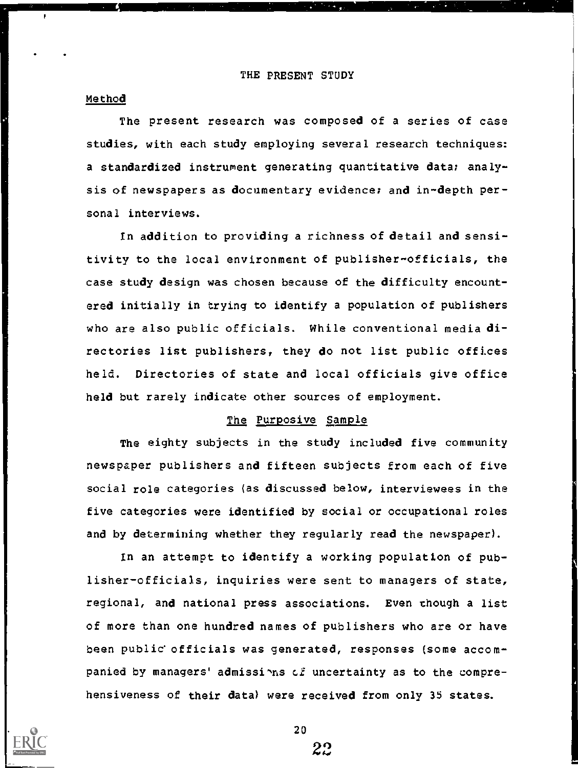#### THE PRESENT STUDY

#### Method

P

The present research was composed of a series of case studies, with each study employing several research techniques: a standardized instrument generating quantitative data; analysis of newspapers as documentary evidence; and in-depth personal interviews.

In addition to providing a richness of detail and sensitivity to the local environment of publisher-officials, the case study design was chosen because of the difficulty encountered initially in trying to identify a population of publishers who are also public officials. While conventional media directories list publishers, they do not list public offices held. Directories of state and local officials give office held but rarely indicate other sources of employment.

#### The Purposive Sample

The eighty subjects in the study included five community newspaper publishers and fifteen subjects from each of five social role categories (as discussed below, interviewees in the five categories were identified by social or occupational roles and by determining whether they regularly read the newspaper).

In an attempt to identify a working population of publisher-officials, inquiries were sent to managers of state, regional, and national press associations. Even though a list of more than one hundred names of publishers who are or have been public officials was generated, responses (some accompanied by managers' admissions of uncertainty as to the comprehensiveness of their data) were received from only 35 states.

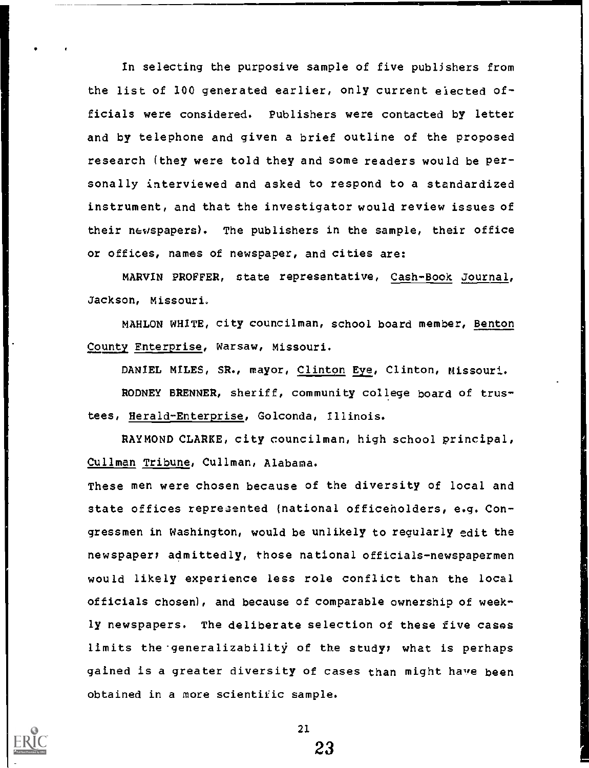In selecting the purposive sample of five publishers from the list of 100 generated earlier, only current elected officials were considered. Publishers were contacted by letter and by telephone and given a brief outline of the proposed research (they were told they and some readers would be personally interviewed and asked to respond to a standardized instrument, and that the investigator would review issues of their newspapers). The publishers in the sample, their office or offices, names of newspaper, and cities are:

MARVIN PROFFER, state representative, Cash-Book Journal, Jackson, Missouri.

MAHLON WHITE, city councilman, school board member, Benton County Enterprise, Warsaw, Missouri.

DANIEL MILES, SR., mayor, Clinton Eye, Clinton, Missouri.

RODNEY BRENNER, sheriff, community college board of trustees, Herald-Enterprise, Golconda, Illinois.

RAYMOND CLARKE, city councilman, high school principal, Cullman Tribune, Cullman, Alabama.

These men were chosen because of the diversity of local and state offices represented (national officeholders, e.g. Congressmen in Washington, would be unlikely to regularly edit the newspaper: admittedly, those national officials-newspapermen would likely experience less role conflict than the local officials chosen), and because of comparable ownership of weekly newspapers. The deliberate selection of these five cases limits the generalizability of the study; what is perhaps gained is a greater diversity of cases than might have been obtained in a more scientific sample.



21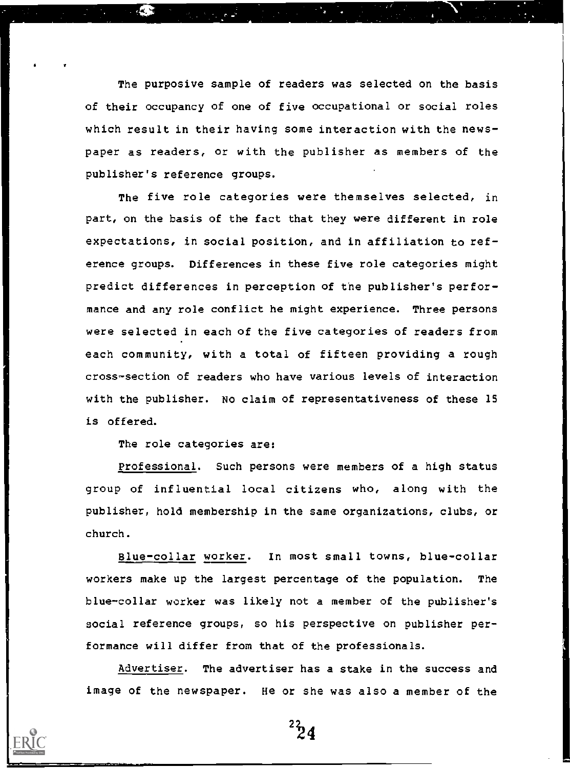The purposive sample of readers was selected on the basis of their occupancy of one of five occupational or social roles which result in their having some interaction with the newspaper as readers, or with the publisher as members of the publisher's reference groups.

The five role categories were themselves selected, in part, on the basis of the fact that they were different in role expectations, in social position, and in affiliation to reference groups. Differences in these five role categories might predict differences in perception of the publisher's performance and any role conflict he might experience. Three persons were selected in each of the five categories of readers from each community, with a total of fifteen providing a rough cross-section of readers who have various levels of interaction with the publisher. No claim of representativeness of these 15 is offered.

The role categories are:

Professional. Such persons were members of a high status group of influential local citizens who, along with the publisher, hold membership in the same organizations, clubs, or church.

Blue-collar worker. In most small towns, blue-collar workers make up the largest percentage of the population. The blue-collar worker was likely not a member of the publisher's social reference groups, so his perspective on publisher performance will differ from that of the professionals.

Advertiser. The advertiser has a stake in the success and image of the newspaper. He or she was also a member of the

 $^{22}_{24}$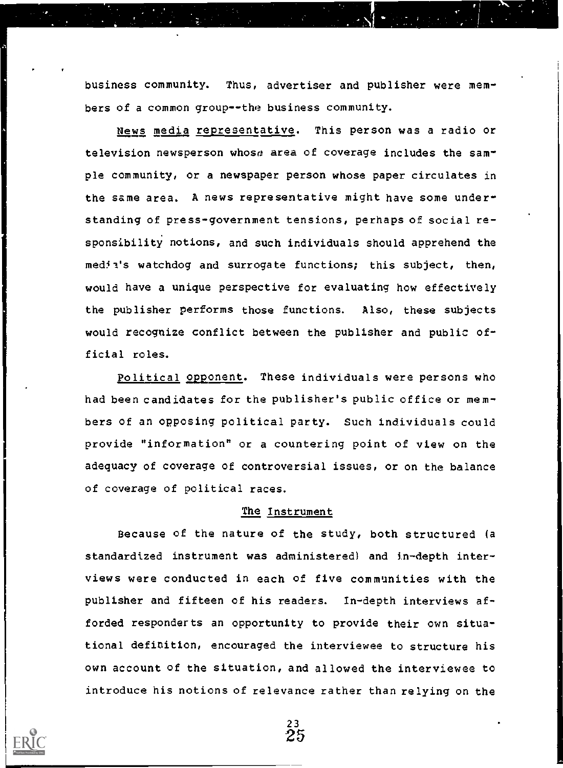business community. Thus, advertiser and publisher were members of a common group--the business community.

News media representative. This person was a radio or television newsperson whose area of coverage includes the sample community, or a newspaper person whose paper circulates in the same area. A news representative might have some understanding of press-government tensions, perhaps of social responsibility notions, and such individuals should apprehend the media's watchdog and surrogate functions; this subject, then, would have a unique perspective for evaluating how effectively the publisher performs those functions. Also, these subjects would recognize conflict between the publisher and public official roles.

Political opponent. These individuals were persons who had been candidates for the publisher's public office or members of an opposing political party. Such individuals could provide "information" or a countering point of view on the adequacy of coverage of controversial issues, or on the balance of coverage of political races.

#### The Instrument

Because of the nature of the study, both structured (a standardized instrument was administered) and in-depth interviews were conducted in each of five communities with the publisher and fifteen of his readers. In-depth interviews afforded responderts an opportunity to provide their own situational definition, encouraged the interviewee to structure his own account of the situation, and allowed the interviewee to introduce his notions of relevance rather than relying on the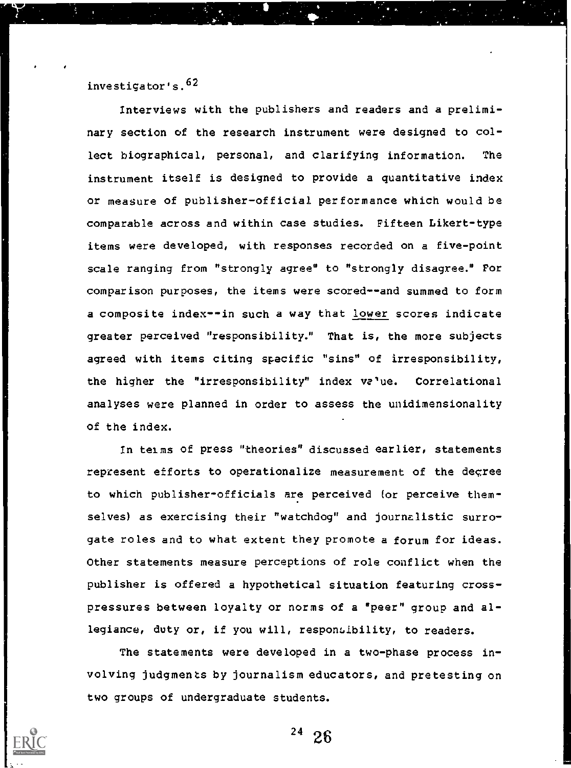# investigator's.<sup>62</sup>

Interviews with the publishers and readers and a preliminary section of the research instrument were designed to collect biographical, personal, and clarifying information. The instrument itself is designed to provide a quantitative index or measure of publisher-official performance which would be comparable across and within case studies. Fifteen Likert-type items were developed, with responses recorded on a five-point scale ranging from "strongly agree" to "strongly disagree." For comparison purposes, the items were scored--and summed to form a composite index--in such a way that lower scores indicate greater perceived "responsibility." That is, the more subjects agreed with items citing specific "sins" of irresponsibility, the higher the "irresponsibility" index  $v\epsilon$ 'ue. Correlational analyses were planned in order to assess the unidimensionality of the index.

In telms of press "theories" discussed earlier, statements represent efforts to operationalize measurement of the degree to which publisher-officials are perceived (or perceive themselves) as exercising their "watchdog" and journalistic surrogate roles and to what extent they promote a forum for ideas. Other statements measure perceptions of role conflict when the publisher is offered a hypothetical situation featuring crosspressures between loyalty or norms of a "peer" group and allegiance, duty or, if you will, responsibility, to readers.

The statements were developed in a two-phase process involving judgments by journalism educators, and pretesting on two groups of undergraduate students.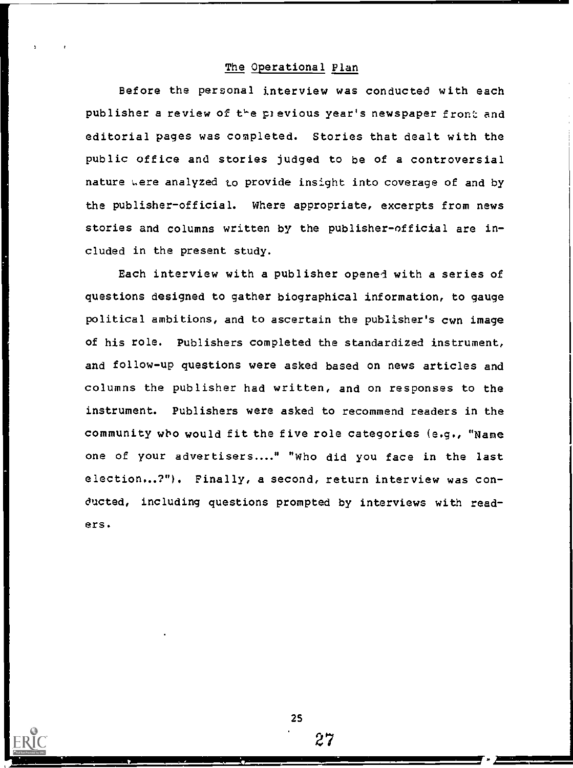#### The Operational Plan

Before the personal interview was conducted with each publisher a review of the previous year's newspaper front and editorial pages was completed. Stories that dealt with the public office and stories judged to be of a controversial nature were analyzed to provide insight into coverage of and by the publisher-official. Where appropriate, excerpts from news stories and columns written by the publisher-official are included in the present study.

Each interview with a publisher openei with a series of questions designed to gather biographical information, to gauge political ambitions, and to ascertain the publisher's own image of his role. Publishers completed the standardized instrument, and follow-up questions were asked based on news articles and columns the publisher had written, and on responses to the instrument. Publishers were asked to recommend readers in the community wbo would fit the five role categories (e.g., "Name one of your advertisers...." "Who did you face in the last election...?"). Finally, a second, return interview was conducted, including questions prompted by interviews with readers.

25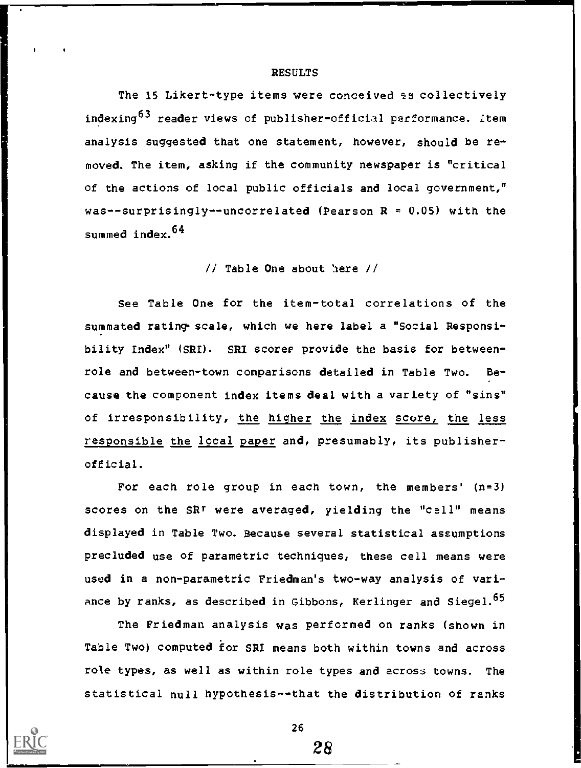#### RESULTS

The 15 Likert-type items were conceived as collectively indexing<sup>63</sup> reader views of publisher-official performance. Item analysis suggested that one statement, however, should be removed. The item, asking if the community newspaper is "critical of the actions of local public officials and local government," was--surprisingly--uncorrelated (Pearson  $R = 0.05$ ) with the summed index.<sup>64</sup>

 $//$  Table One about here  $//$ 

See Table One for the item-total correlations of the summated rating scale, which we here label a "Social Responsibility Index" (SRI). SRI scorer provide the basis for betweenrole and between-town comparisons detailed in Table Two. Because the component index items deal with a variety of "sins" of irresponsibility, the higher the index score, the less responsible the local paper and, presumably, its publisherofficial.

For each role group in each town, the members' (n=3) scores on the SRT were averaged, yielding the "call" means displayed in Table Two. Because several statistical assumptions precluded use of parametric techniques, these cell means were used in a non-parametric Friedman's two-way analysis of variance by ranks, as described in Gibbons, Kerlinger and Siegel. $^{65}$ 

The Friedman analysis was performed on ranks (shown in Table Two) computed for SRI means both within towns and across role types, as well as within role types and across towns. The statistical null hypothesis--that the distribution of ranks

26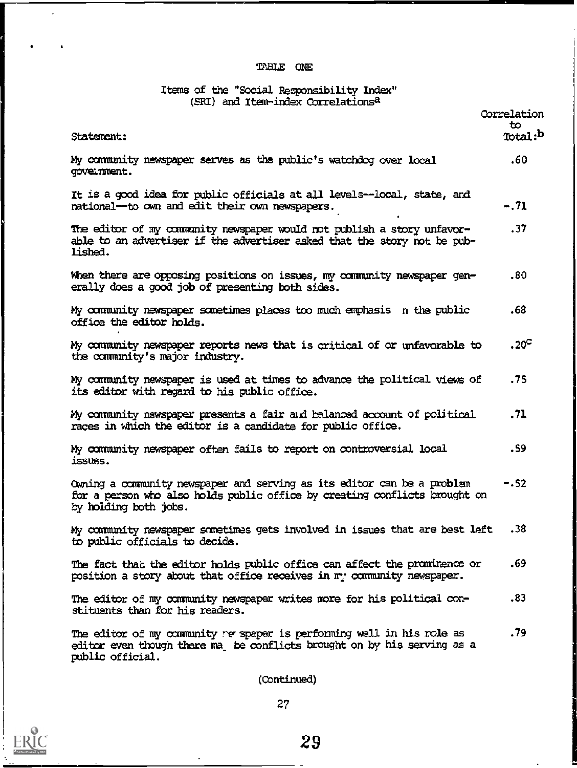# TABLE ONE

# Items of the "Social Responsibility Index"

| (SRL) and Item-index Correlations -                                                                                                                                            |                     |
|--------------------------------------------------------------------------------------------------------------------------------------------------------------------------------|---------------------|
|                                                                                                                                                                                | Correlation<br>to.  |
| Statement:                                                                                                                                                                     | Total: <sup>b</sup> |
| My community newspaper serves as the public's watchdog over local<br>government.                                                                                               | .60                 |
| It is a good idea for public officials at all levels--local, state, and<br>national--to own and edit their own newspapers.                                                     | $-.71$              |
| The editor of my community newspaper would not publish a story unfavor-<br>able to an advertiser if the advertiser asked that the story not be pub-<br>lished.                 | .37                 |
| When there are opposing positions on issues, my community newspaper gen-<br>erally does a good job of presenting both sides.                                                   | .80                 |
| My community newspaper sometimes places too much emphasis in the public<br>office the editor holds.                                                                            | .68                 |
| My community newspaper reports news that is critical of or unfavorable to<br>the community's major industry.                                                                   | .20 <sup>C</sup>    |
| My community newspaper is used at times to advance the political views of<br>its editor with regard to his public office.                                                      | .75                 |
| My community newspaper presents a fair and balanced account of political<br>races in which the editor is a candidate for public office.                                        | .71                 |
| My community newspaper often fails to report on controversial local<br>issues.                                                                                                 | . 59                |
| Owning a community newspaper and serving as its editor can be a problem<br>for a person who also holds public office by creating conflicts brought on<br>by holding both jobs. | $-.52$              |
| My community newspaper sometimes gets involved in issues that are best left<br>to public officials to decide.                                                                  | .38                 |
| The fact that the editor holds public office can affect the prominence or<br>position a story about that office receives in my community newspaper.                            | .69                 |
| The editor of my community newspaper writes more for his political con-<br>stituents than for his readers.                                                                     | .83                 |
| The editor of my community re spaper is performing well in his role as<br>editor even though there ma be conflicts brought on by his serving as a<br>public official.          | .79                 |
| イベー・エス しょうこうさい                                                                                                                                                                 |                     |

(Ocntinued)

 $\bar{\mathcal{A}}$ 

 $\bullet$ 

 $\bullet$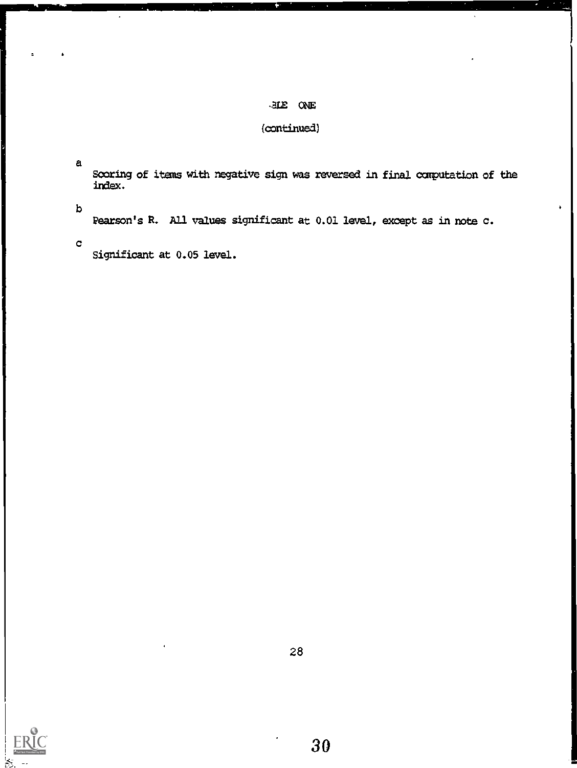# tE ONE

# (continued)

a

Scoring of items with negative sign was reversed in final computation of the index.

b

Pearson's R. All values significant at 0.01 level, except as in note c.

e <sub>e st</sub>

Significant at 0.05 level.

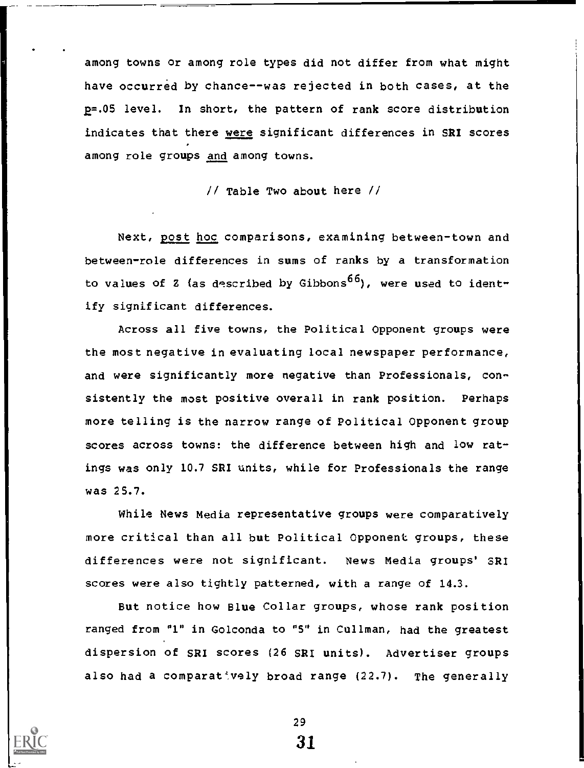among towns or among role types did not differ from what might have occurred by chance--was rejected in both cases, at the p=.05 level. In short, the pattern of rank score distribution indicates that there were significant differences in SRI scores among role groups and among towns.

// Table Two about here //

Next, post hoc comparisons, examining between-town and between-role differences in sums of ranks by a transformation to values of Z (as described by Gibbons<sup>66</sup>), were used to identify significant differences.

Across all five towns, the Political Opponent groups were the most negative in evaluating local newspaper performance, and were significantly more negative than Professionals, consistently the most positive overall in rank position. Perhaps more telling is the narrow range of Political Opponent group scores across towns: the difference between high and low ratings was only 10.7 SRI units, while for Professionals the range was 25.7.

While News Media representative groups were comparatively more critical than all but Political Opponent groups, these differences were not significant. News Media groups' SRI scores were also tightly patterned, with a range of 14.3.

But notice how Blue Collar groups, whose rank position ranged from "1" in Golconda to "5" in Cullman, had the greatest dispersion of SRI scores (26 SRI units). Advertiser groups also had a comparat vely broad range  $(22.7)$ . The generally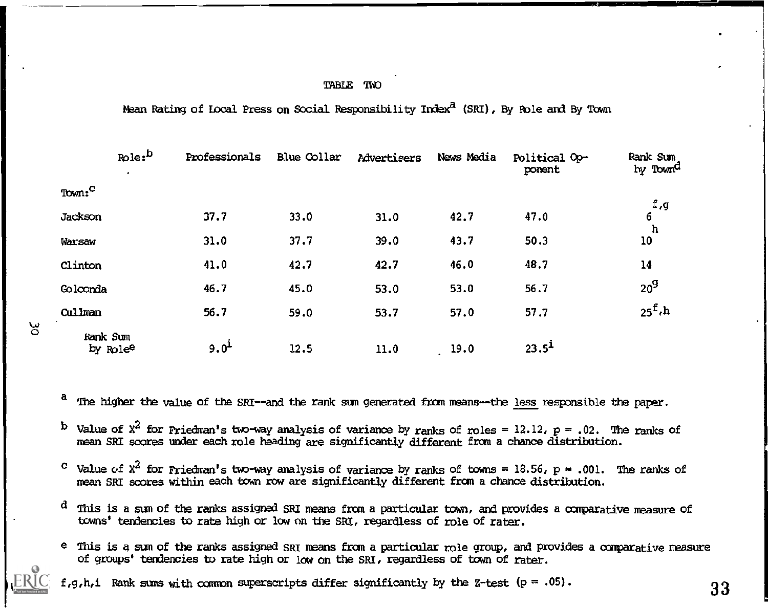#### TABLE TWO

Mean Rating of Local Press on Social Responsibility Index<sup>2</sup> (SRI), By Role and By Town

|                                  | $_{\text{Role}}$ : $^{\text{b}}$<br>٠ | Professionals    | Blue Collar | <b>Advertisers</b> | News Media | Political Op-<br>ponent | Rank Sum<br>by Town <sup>d</sup> |
|----------------------------------|---------------------------------------|------------------|-------------|--------------------|------------|-------------------------|----------------------------------|
| Town: <sup>C</sup>               |                                       |                  |             |                    |            |                         |                                  |
| Jackson                          |                                       | 37.7             | 33.0        | 31.0               | 42.7       | 47.0                    | f, g<br>6                        |
| Warsaw                           |                                       | 31.0             | 37.7        | 39.0               | 43.7       | 50.3                    | h<br>10                          |
| Clinton                          |                                       | 41.0             | 42.7        | 42.7               | 46.0       | 48.7                    | 14                               |
| Golconda                         |                                       | 46.7             | 45.0        | 53.0               | 53.0       | 56.7                    | 20 <sup>9</sup>                  |
| Cullman                          |                                       | 56.7             | 59.0        | 53.7               | 57.0       | 57.7                    | $25^{\text{f}}$ ,h               |
| Rank Sum<br>by Role <sup>e</sup> |                                       | 9.0 <sup>1</sup> | 12.5        | 11.0               | 19.0       | 23.5 <sup>1</sup>       |                                  |

<sup>a</sup> The higher the value of the SRI--and the rank sum generated from means--the <u>less</u> responsible the paper.

<sup>b</sup> Value of X<sup>2</sup> for Priedman's two-way analysis of variance by ranks of roles = 12.12, p = .02. The ranks of mean SRI scores under each role heading are significantly different from a chance distribution.

- Value of  $x^2$  for Priedman's two-way analysis of variance by ranks of towns = 18.56, p = .001. The ranks of c. mean SRI scores within each town row are significantly different from a chance distribution.
- $d$  This is a sum of the ranks assigned SRI means from a particular town, and provides a comparative measure of towns' tendencies to rate high or low on the SRI, regardless of role of rater.
- e This is a sum of the ranks assigned SRI means from a particular role group, and provides a comparative measure of groups' tendencies to rate high or low on the SRI, regardless of town of rater.

f,g,h,i Rank sums with common superscripts differ significantly by the Z-test (p = .05).  $33$ 

ပ္စ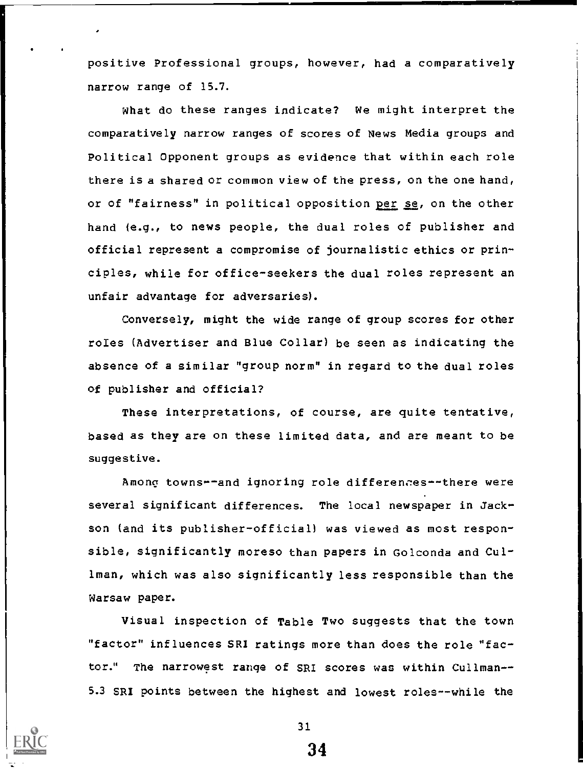positive Professional groups, however, had a comparatively narrow range of 15.7.

What do these ranges indicate? We might interpret the comparatively narrow ranges of scores of News Media groups and Political Opponent groups as evidence that within each role there is a shared or common view of the press, on the one hand, or of "fairness" in political opposition per se, on the other hand (e.g., to news people, the dual roles of publisher and official represent a compromise of journalistic ethics or principles, while for office-seekers the dual roles represent an unfair advantage for adversaries).

Conversely, might the wide range of group scores for other roles (Advertiser and Blue Collar) be seen as indicating the absence of a similar "group norm" in regard to the dual roles of publisher and official?

These interpretations, of course, are quite tentative, based as they are on these limited data, and are meant to be suggestive.

Among towns--and ignoring role differences--there were several significant differences. The local newspaper in Jackson (and its publisher-official) was viewed as most responsible, significantly moreso than papers in Golconda and Cullman, which was also significantly less responsible than the Warsaw paper.

Visual inspection of Table Two suggests that the town "factor" influences SRI ratings more than does the role "factor." The narrowst range of SRI scores was within Cullman-- 5.3 SRI points between the highest and lowest roles--while the

31.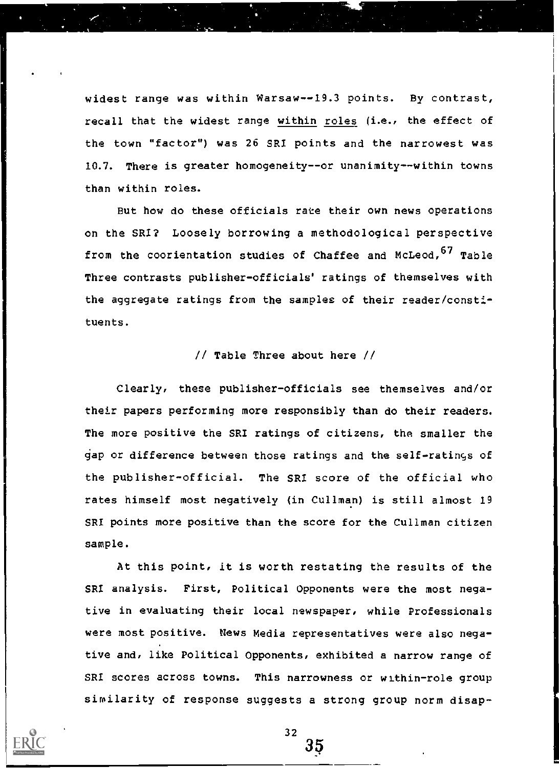widest range was within Warsaw--19.3 points. By contrast, recall that the widest range within roles (i.e., the effect of the town "factor") was 26 SRI points and the narrowest was 10.7. There is greater homogeneity--or unanimity--within towns than within roles.

But how do these officials rate their own news operations on the SRI? Loosely borrowing a methodological perspective from the coorientation studies of Chaffee and McLeod, 67 Table Three contrasts publisher-officials' ratings of themselves with the aggregate ratings from the samples of their reader/constituents.

### // Table Three about here //

Clearly, these publisher-officials see themselves and/or their papers performing more responsibly than do their readers. The more positive the SRI ratings of citizens, the smaller the gap or difference between those ratings and the self-ratings of the publisher-official. The SRI score of the official who rates himself most negatively (in Cullman) is still almost 19 SRI points more positive than the score for the Cullman citizen sample.

At this point, it is worth restating the results of the SRI analysis. First, Political Opponents were the most negative in evaluating their local newspaper, while Professionals were most positive. News Media representatives were also negative and, like Political Opponents, exhibited a narrow range of SRI scores across towns. This narrowness or within-role group similarity of response suggests a strong group norm disap-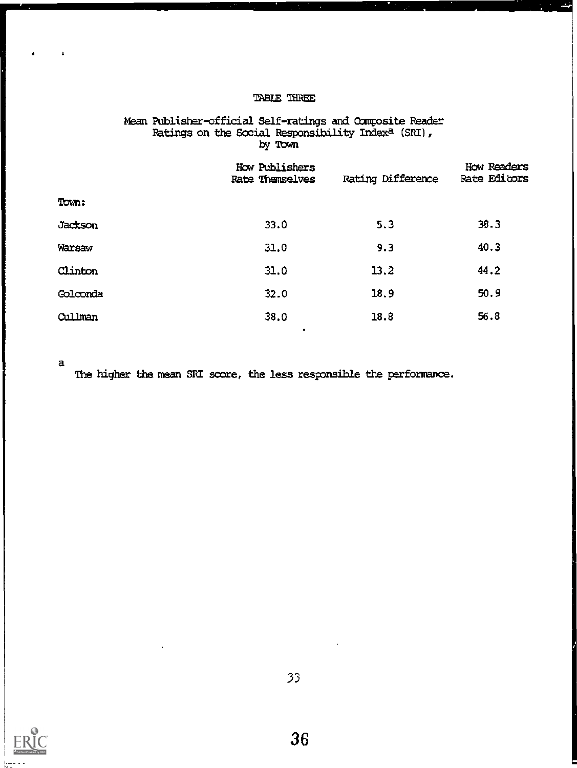#### TABLE THREE

# Mean Publisher-official Self-ratings and Composite Reader Ratings on the Social Responsibility Indexa (SRI) , by Town

|                | How Publishers<br><b>Rate Themselves</b> | <b>Rating Difference</b> | How Readers<br>Rate Editors |
|----------------|------------------------------------------|--------------------------|-----------------------------|
| Town:          |                                          |                          |                             |
| <b>Jackson</b> | 33.0                                     | 5.3                      | 39.3                        |
| Warsaw         | 31.0                                     | 9.3                      | 40.3                        |
| Clinton        | 31.0                                     | 13.2                     | 44.2                        |
| Golconda       | 32.0                                     | 18.9                     | 50.9                        |
| Cullman        | 38.0                                     | 18.8                     | 56.8                        |

a

Ă

The higher the mean SRI score, the less responsible the performance.

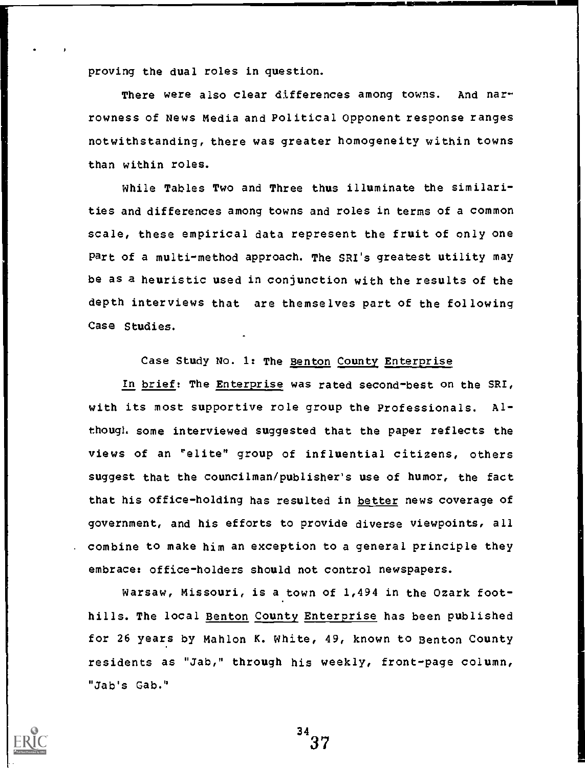proving the dual roles in question.

There were also clear differences among towns. And narrowness of News Media and Political Opponent response ranges notwithstanding, there was greater homogeneity within towns than within roles.

While Tables Two and Three thus illuminate the similarities and differences among towns and roles in terms of a common scale, these empirical data represent the fruit of only one part of a multi-method approach. The SRI's greatest utility may be as a heuristic used in conjunction with the results of the depth interviews that are themselves part of the following Case Studies.

Case Study No. 1: The Benton County Enterprise

In brief: The Enterprise was rated second-best on the SRI, with its most supportive role group the Professionals. Although some interviewed suggested that the paper reflects the views of an "elite" group of influential citizens, others suggest that the councilman/publisher's use of humor, the fact that his office-holding has resulted in better news coverage of government, and his efforts to provide diverse viewpoints, all . combine to make him an exception to a general principle they embrace: office-holders should not control newspapers.

Warsaw, Missouri, is a town of 1,494 in the Ozark foothills. The local Benton County Enterprise has been published for 26 years by Mahlon K. White, 49, known to Benton County residents as "Jab," through his weekly, front-page column, "Jab's Gab."

 $34$ <br> $37$ 

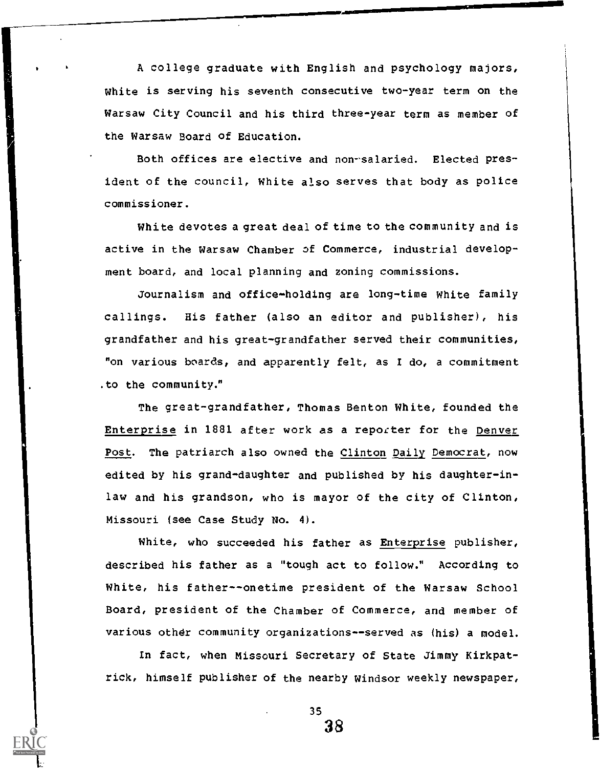A college graduate with English and psychology majors, White is serving his seventh consecutive two-year term on the Warsaw City Council and his third three-year term as member of the Warsaw Board of Education.

Both offices are elective and non-salaried. Elected president of the council, White also serves that body as police commissioner.

White devotes a great deal of time to the community and is active in the Warsaw Chamber of Commerce, industrial development board, and local planning and zoning commissions.

Journalism and office-holding are long-time White family callings. His father (also an editor and publisher), his grandfather and his great-grandfather served their communities, "on various boards, and apparently felt, as I do, a commitment .to the community."

The great-grandfather, Thomas Benton White, founded the Enterprise in 1881 after work as a reporter for the Denver Post. The patriarch also owned the Clinton Daily Democrat, now edited by his grand-daughter and published by his daughter-inlaw and his grandson, who is mayor of the city of Clinton, Missouri (see Case Study No. 4).

White, who succeeded his father as Enterprise publisher, described his father as a "tough act to follow." According to White, his father--onetime president of the Warsaw School Board, president of the Chamber of Commerce, and member of various other community organizations--served as (his) a model.

In fact, when Missouri Secretary of State Jimmy Kirkpatrick, himself publisher of the nearby Windsor weekly newspaper,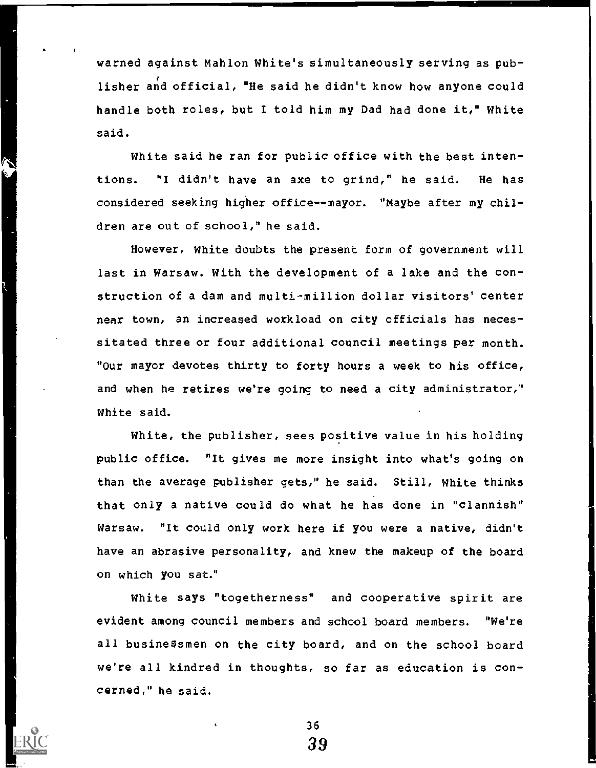warned against Mahlon White's simultaneously serving as publisher and official, "He said he didn't know how anyone could handle both roles, but I told him my Dad had done it," White said.

7

White said he ran for public office with the best intentions. "I didn't have an axe to grind," he said. He has considered seeking higher office--mayor. "Maybe after my children are out of school," he said.

However, White doubts the present form of government will last in Warsaw. With the development of a lake and the construction of a dam and multi-million dollar visitors' center near town, an increased workload on city officials has necessitated three or four additional council meetings per month. "Our mayor devotes thirty to forty hours a week to his office, and when he retires we're going to need a city administrator," White said.

White, the publisher, sees positive value in his holding public office. "It gives me more insight into what's going on than the average publisher gets," he said. Still, White thinks that only a native could do what he has done in "clannish" Warsaw. "It could only work here if you were a native, didn't have an abrasive personality, and knew the makeup of the board on which you sat."

White says "togetherness" and cooperative spirit are evident among council members and school board members. "We're all businessmen on the city board, and on the school board we're all kindred in thoughts, so far as education is concerned," he said.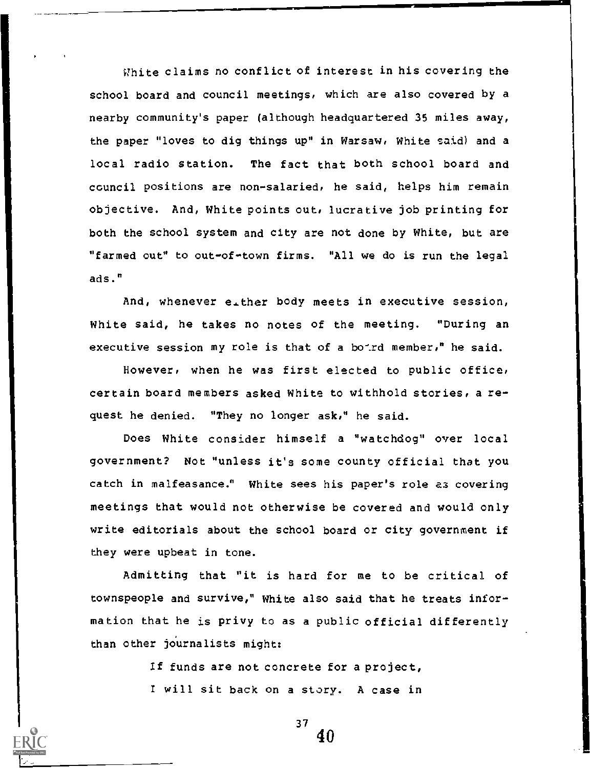Vhite claims no conflict of interest in his covering the school board and council meetings, which are also covered by a nearby community's paper (although headquartered 35 miles away, the paper "loves to dig things up" in Warsaw, White said) and a local radio station. The fact that both school board and council positions are non-salaried, he said, helps him remain objective. And, White points out, lucrative job printing for both the school system and city are not done by White, but are "farmed out" to out-of-town firms. "All we do is run the legal ads."

And, whenever either body meets in executive session, White said, he takes no notes of the meeting. "During an executive session my role is that of a bo-rd member," he said.

However, when he was first elected to public office, certain board members asked White to withhold stories, a request he denied. "They no longer ask," he said.

Does White consider himself a "watchdog" over local government? Not "unless it's some county official that you catch in malfeasance." White sees his paper's role az covering meetings that would not otherwise be covered and would only write editorials about the school board or city government if they were upbeat in tone.

Admitting that "it is hard for me to be critical of townspeople and survive," White also said that he treats information that he is privy to as a public official differently than other journalists might:

> If funds are not concrete for a project, I will sit back on a story. A case in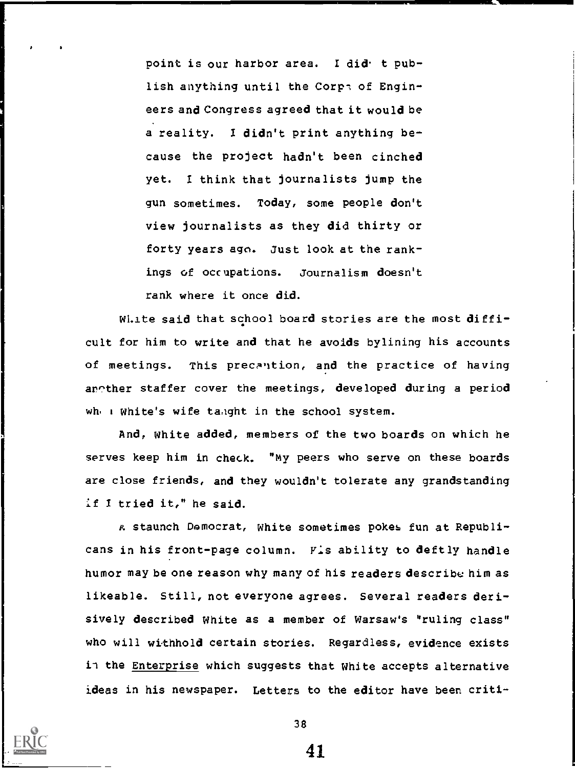point is our harbor area. I did t publish anything until the Corps of Engineers and Congress agreed that it would be a reality. I didn't print anything because the project hadn't been cinched yet. I think that journalists jump the gun sometimes. Today, some people don't view journalists as they did thirty or forty years ago. Just look at the rankings of occupations. Journalism doesn't rank where it once did.

Wi.ite said that school board stories are the most difficult for him to write and that he avoids bylining his accounts of meetings. This precantion, and the practice of having arcther staffer cover the meetings, developed during a period where white's wife tanght in the school system.

And, White added, members of the two boards on which he serves keep him in check. "My peers who serve on these boards are close friends, and they wouldn't tolerate any grandstanding if I tried it," he said.

A staunch Democrat, white sometimes pokes fun at Republicans in his front-page column. Fis ability to deftly handle humor may be one reason why many of his readers describe him as likeable. Still, not everyone agrees. Several readers derisively described White as a member of Warsaw's "ruling class" who will withhold certain stories. Regardless, evidence exists in the Enterprise which suggests that White accepts alternative ideas in his newspaper. Letters to the editor have been criti-

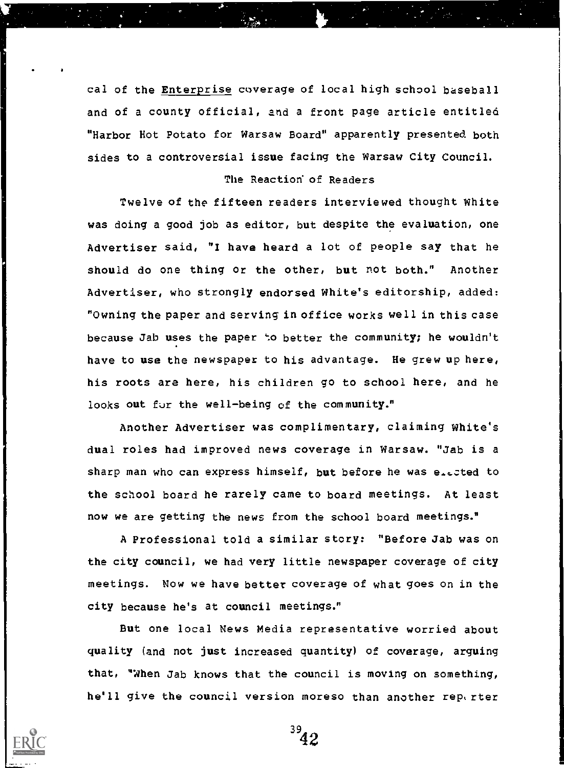cal of the Enterprise coverage of local high school baseball and of a county official, and a front page article entitled "Harbor Hot Potato for Warsaw Board" apparently presented both sides to a controversial issue facing the Warsaw City Council.

## The Reaction of Readers

Twelve of the fifteen readers interviewed thought White Was doing a good job as editor, but despite the evaluation, one Advertiser said, "I have heard a lot of people say that he should do one thing or the other, but not both." Another Advertiser, who strongly endorsed White's editorship, added: "Owning the paper and serving in office works well in this case because Jab uses the paper to better the community; he wouldn't have to use the newspaper to his advantage. He grew up here, his roots are here, his children go to school here, and he looks out for the well-being of the community."

Another Advertiser was complimentary, claiming White's dual roles had improved news coverage in Warsaw. "Jab is a sharp man who can express himself, but before he was elected to the school board he rarely came to board meetings. At least now we are getting the news from the school board meetings."

A Professional told a similar story: "Before Jab was on the city council, we had very little newspaper coverage of city meetings. Now we have better coverage of what goes on in the city because he's at council meetings."

But one local News Media representative worried about quality (and not just increased quantity) of coverage, arguing that, "When Jab knows that the council is moving on something, he'll give the council version moreso than another rep, rter

 $3<sup>2</sup>42$ 

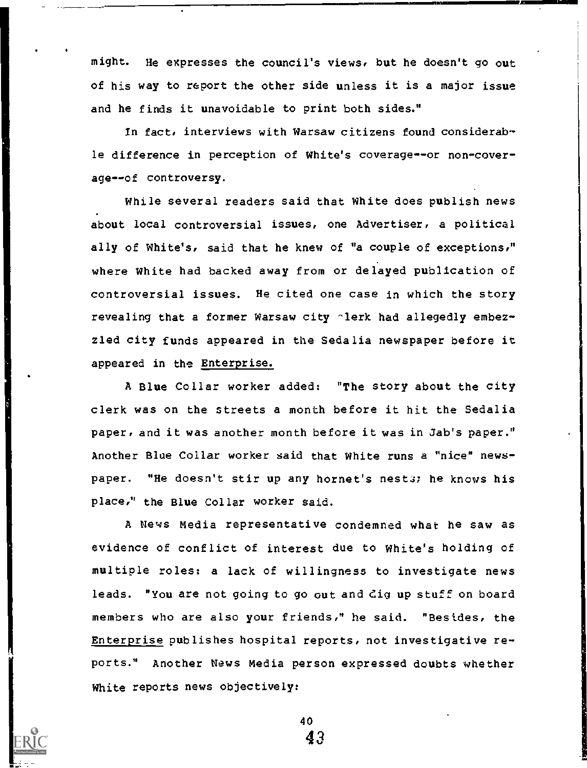might. He expresses the council's views, but he doesn't go out of his way to report the other side unless it is a major issue and he finds it unavoidable to print both sides."

In fact, interviews with Warsaw citizens found considerable difference in perception of White's coverage--or non-coverage--of controversy.

While several readers said that White does publish news about local controversial issues, one Advertiser, a political ally of White's, said that he knew of "a couple of exceptions," where White had backed away from or delayed publication of controversial issues. He cited one case in which the story revealing that a former Warsaw city alerk had allegedly embezzled city funds appeared in the Sedalia newspaper before it appeared in the Enterprise.

A Blue Collar worker added: "The story about the city clerk was on the streets a month before it hit the Sedalia paper, and it was another month before it was in Jab's paper." Another Blue Collar worker said that White runs a "nice" newspaper. "He doesn't stir up any hornet's nests; he knows his place," the Blue Collar worker said.

A News Media representative condemned what he saw as evidence of conflict of interest due to White's holding of multiple roles: a lack of willingness to investigate news leads. "You are not going to go out and dig up stuff on board members who are also your friends," he said. "Besides, the Enterprise publishes hospital reports, not investigative reports." Another News Media person expressed doubts whether White reports news objectively:

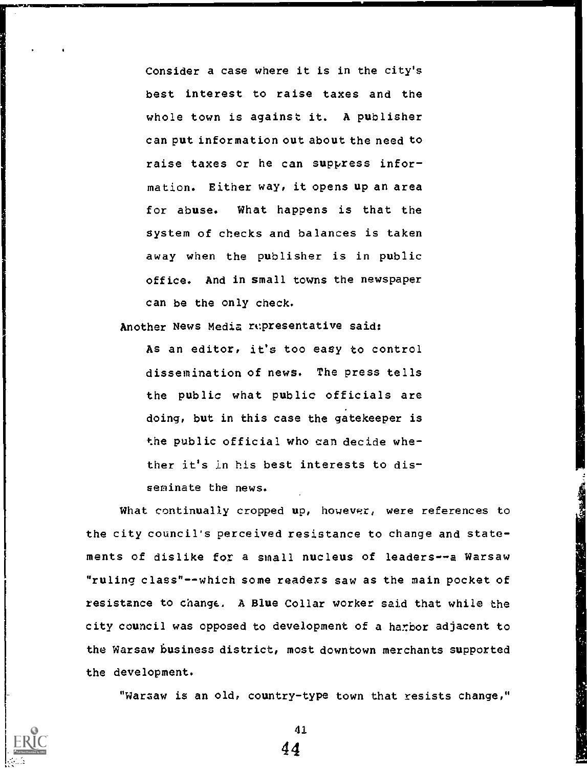Consider a case where it is in the city's best interest to raise taxes and the whole town is against it. A publisher can put information out about the need to raise taxes or he can suppress information. Either way, it opens up an area for abuse. What happens is that the system of checks and balances is taken away when the publisher is in public office. And in small towns the newspaper can be the only check.

Another News Media rcpresentative said:

As an editor, it's too easy to control dissemination of news. The press tells the public what public officials are doing, but in this case the gatekeeper is the public official who can decide whether it's in his best interests to disseminate the news.

What continually cropped up, however, were references to the city council's perceived resistance to change and statements of dislike for a small nucleus of leaders--a Warsaw "ruling class"--which some readers saw as the main pocket of resistance to change., A Blue Collar worker said that while the city council was opposed to development of a harbor adjacent to the Warsaw business district, most downtown merchants supported the development.

"Warsaw is an old, country-type town that resists change,"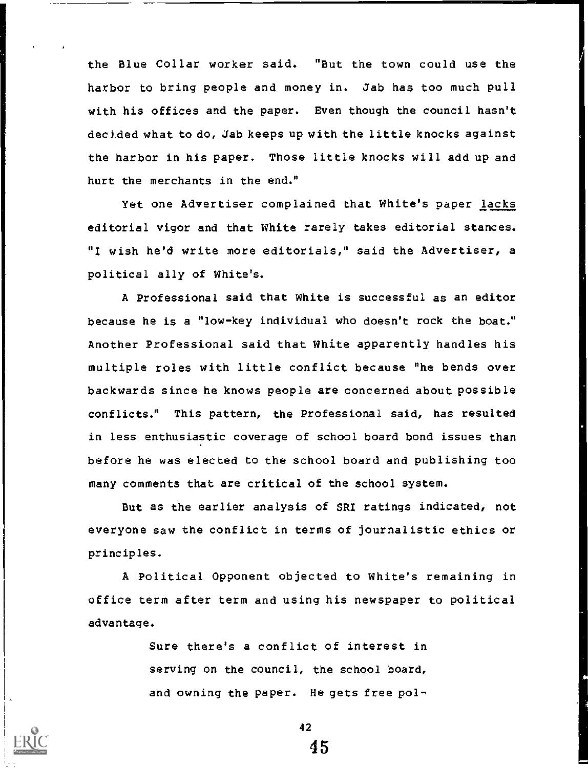the Blue Collar worker said. "But the town could use the harbor to bring people and money in. Jab has too much pull with his offices and the paper. Even though the council hasn't decided what to do, Jab keeps up with the little knocks against the harbor in his paper. Those little knocks will add up and hurt the merchants in the end."

Yet one Advertiser complained that White's paper lacks editorial vigor and that White rarely takes editorial stances. "I wish he'd write more editorials," said the Advertiser, a political ally of White's.

A Professional said that White is successful as an editor because he is a "low-key individual who doesn't rock the boat." Another Professional said that White apparently handles his multiple roles with little conflict because "he bends over backwards since he knows people are concerned about possible conflicts." This pattern, the Professional said, has resulted in less enthusiastic coverage of school board bond issues than before he was elected to the school board and publishing too many comments that are critical of the school system.

But as the earlier analysis of SRI ratings indicated, not everyone saw the conflict in terms of journalistic ethics or principles.

A Political Opponent objected to White's remaining in office term after term and using his newspaper to political advantage.

> Sure there's a conflict of interest in serving on the council, the school board, and owning the paper. He gets free pol-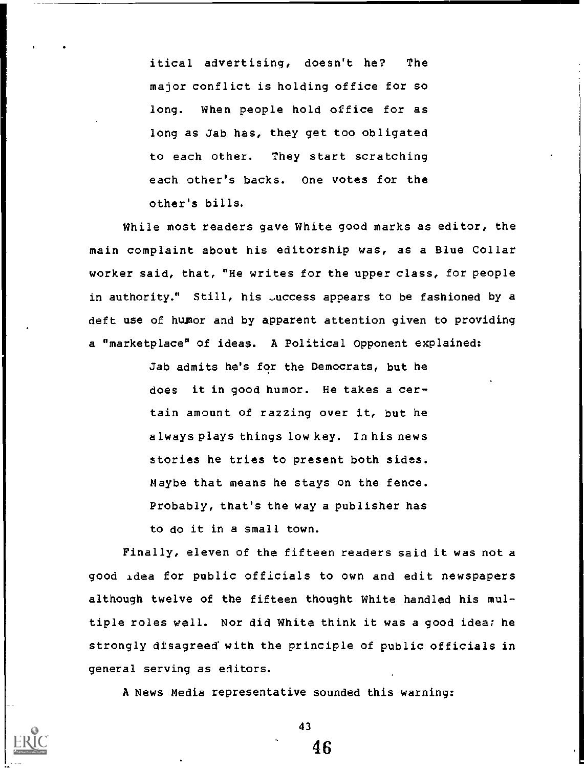itical advertising, doesn't he? The major conflict is holding office for so long. When people hold office for as long as Jab has, they get too obligated to each other. They start scratching each other's backs. One votes for the other's bills.

While most readers gave White good marks as editor, the main complaint about his editorship was, as a Blue Collar worker said, that, "He writes for the upper class, for people in authority." Still, his Juccess appears to be fashioned by a deft use of hupor and by apparent attention given to providing a "marketplace" of ideas. A Political Opponent explained:

> Jab admits he's for the Democrats, but he does it in good humor. He takes a certain amount of razzing over it, but he always plays things low key. In his news stories he tries to present both sides. Maybe that means he stays on the fence. Probably, that's the way a publisher has to do it in a small town.

Finally, eleven of the fifteen readers said it was not a good xdea for public officials to own and edit newspapers although twelve of the fifteen thought White handled his multiple roles well. Nor did White think it was a good idea; he strongly disagreed with the principle of public officials in general serving as editors.

A News Media representative sounded this warning:



43

4ĥ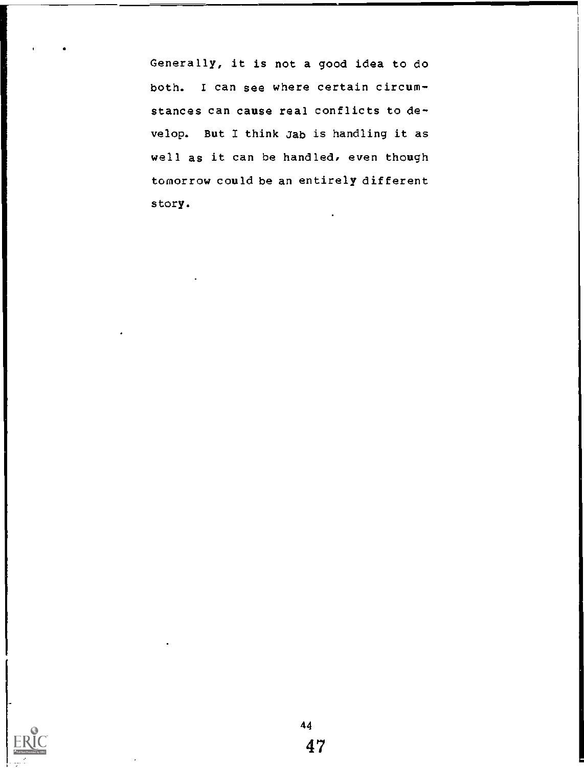Generally, it is not a good idea to do both. 1 can see where certain circumstances can cause real conflicts to develop. But I think Jab is handling it as well as it can be handled, even though tomorrow could be an entirely different story.

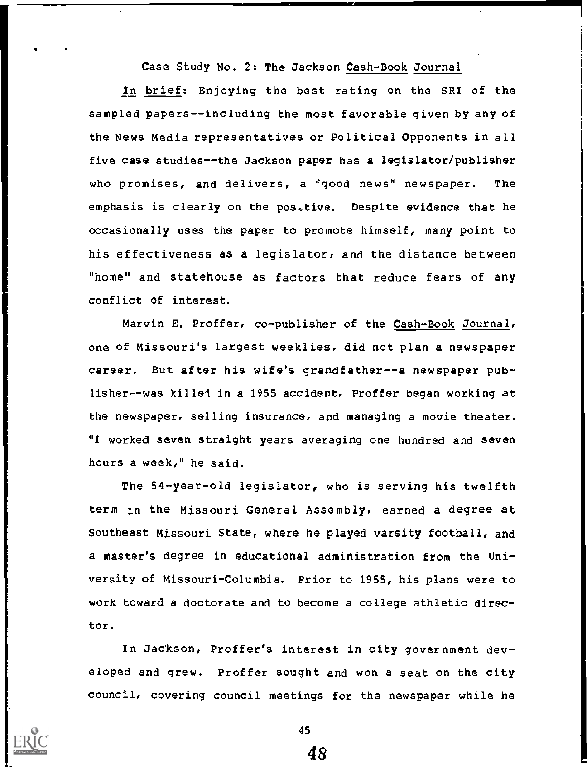Case Study No. 2: The Jackson Cash-Book Journal

In brief: Enjoying the best rating on the SRI of the sampled papers--including the most favorable given by any of the News Media representatives or Political Opponents in all five case studies--the Jackson paper has a legislator/publisher who promises, and delivers, a 'good news' newspaper. The emphasis is clearly on the positive. Despite evidence that he occasionally uses the paper to promote himself, many point to his effectiveness as a legislator, and the distance between "home" and statehouse as factors that reduce fears of any conflict of interest.

Marvin E. Proffer, co-publisher of the Cash-Book Journal, one of Missouri's largest weeklies, did not plan a newspaper career. But after his wife's grandfather--a newspaper publisher--was killel in a 1955 accident, Proffer began working at the newspaper, selling insurance, and managing a movie theater. "I worked seven straight years averaging one hundred and seven hours a week," he said.

The 54-year-old legislator, who is serving his twelfth term in the Missouri General Assembly, earned a degree at Southeast Missouri State, where he played varsity football, and a master's degree in educational administration from the University of Missouri-Columbia. Prior to 1955, his plans were to work toward a doctorate and to become a college athletic director.

In Jackson, Proffer's interest in city government developed and grew. Proffer sought and won a seat on the city council, covering council meetings for the newspaper while he



45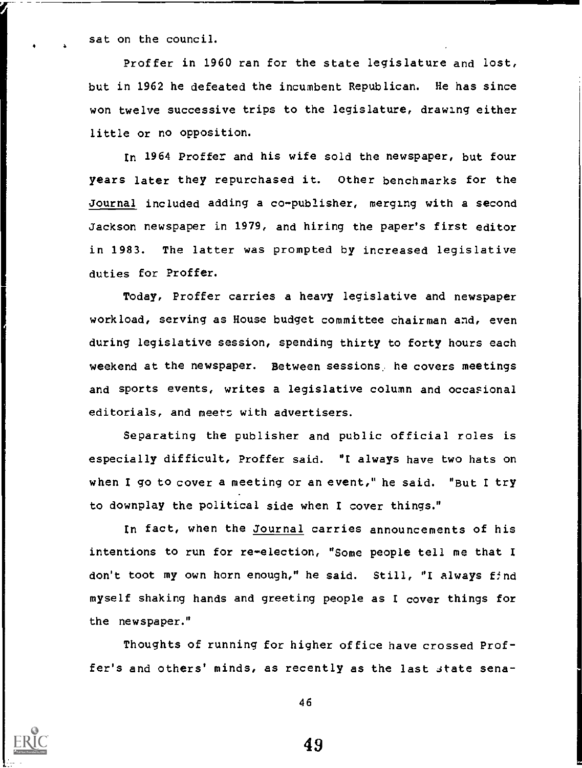sat on the council.

 $\bullet$   $\bullet$   $\bullet$ 

Proffer in 1960 ran for the state legislature and lost, but in 1962 he defeated the incumbent Republican. He has since won twelve successive trips to the legislature, drawing either little or no opposition.

In 1964 Proffer and his wife sold the newspaper, but four years later they repurchased it. Other benchmarks for the Journal included adding a co-publisher, merging with a second Jackson newspaper in 1979, and hiring the paper's first editor in 1983. The latter was prompted by increased legislative duties for Proffer.

Today, Proffer carries a heavy legislative and newspaper workload, serving as House budget committee chairman and, even during legislative session, spending thirty to forty hours each weekend at the newspaper. Between sessions, he covers meetings and sports events, writes a legislative column and occasional editorials, and meets with advertisers.

Separating the publisher and public official roles is especially difficult, Proffer said. "I always have two hats on when I go to cover a meeting or an event," he said. "But I try to downplay the political side when I cover things."

In fact, when the Journal carries announcements of his intentions to run for re-election, "Some people tell me that I don't toot my own horn enough," he said. Still, "I always find myself shaking hands and greeting people as I cover things for the newspaper."

Thoughts of running for higher office have crossed Proffer's and others' minds, as recently as the last state sena-



46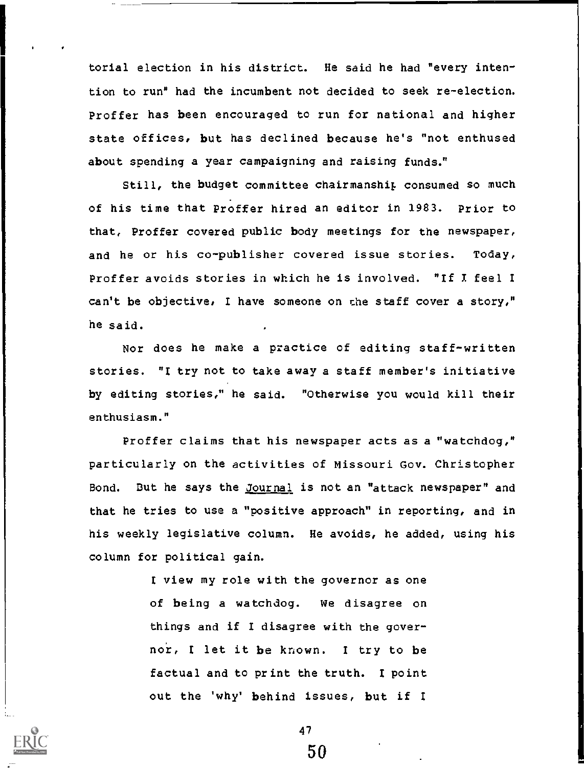torial election in his district. He said he had "every intention to run" had the incumbent not decided to seek re-election. Proffer has been encouraged to run for national and higher state offices, but has declined because he's "not enthused about spending a year campaigning and raising funds."

Still, the budget committee chairmanship consumed so much of his time that PrOffer hired an editor in 1983. prior to that, Proffer covered public body meetings for the newspaper, and he or his co-publisher covered issue stories. Today, Proffer avoids stories in which he is involved. "If I feel I can't be objective, I have someone on the staff cover a story," he said.

Nor does he make a practice of editing staff-written stories. "I try not to take away a staff member's initiative by editing stories," he said. "Otherwise you would kill their enthusiasm."

Proffer claims that his newspaper acts as a "watchdog," particularly on the activities of Missouri Gov. Christopher Bond. But he says the Journal is not an "attack newspaper" and that he tries to use a "positive approach" in reporting, and in his weekly legislative column. He avoids, he added, using his column for political gain.

> I view my role with the governor as one of being a watchdog. We disagree on things and if I disagree with the governor, I let it be known. I try to be factual and to print the truth. I point out the 'why' behind issues, but if <sup>I</sup>



47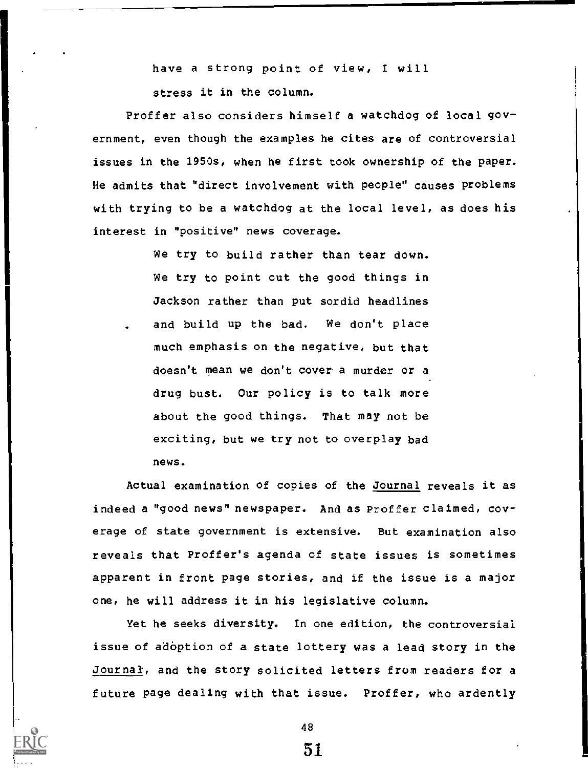have a strong point of view, I will

stress it in the column.

Proffer also considers himself a watchdog of local government, even though the examples he cites are of controversial issues in the 1950s, when he first took ownership of the paper. He admits that Mirect involvement with people" causes problems with trying to be a watchdog at the local level, as does his interest in "positive" news coverage.

> We try to build rather than tear down. We try to point out the good things in Jackson rather than put sordid headlines and build up the bad. We don't place much emphasis on the negative, but that doesn't mean we don't cover a murder or a drug bust. Our policy is to talk more about the good things. That may not be exciting, but we try not to overplay bad news.

Actual examination of copies of the Journal reveals it as indeed a "good news" newspaper. And as Proffer claimed, coverage of state government is extensive. But examination also reveals that Proffer's agenda of state issues is sometimes apparent in front page stories, and if the issue is a major one, he will address it in his legislative column.

Yet he seeks diversity. In one edition, the controversial issue of adoption of a state lottery was a lead story in the Journal, and the story solicited letters from readers for a future page dealing with that issue. Proffer, who ardently

48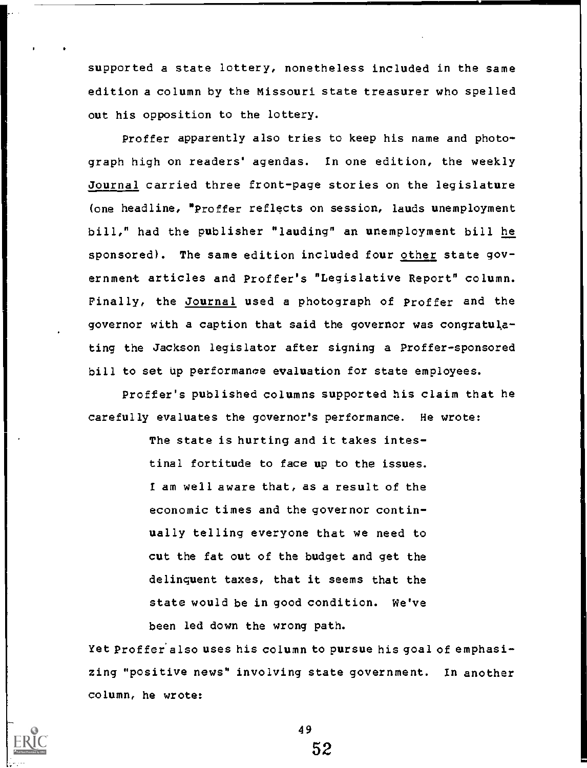supported a state lottery, nonetheless included in the same edition a column by the Missouri state treasurer who spelled out his opposition to the lottery.

Proffer apparently also tries to keep his name and photograph high on readers' agendas. In one edition, the weekly Journal carried three front-page stories on the legislature (one headline, "Proffer reflects on session, lauds unemployment bill," had the publisher "lauding" an unemployment bill he sponsored). The same edition included four other state government articles and Proffer's "Legislative Report" column. Finally, the Journal used a photograph of Proffer and the governor with a caption that said the governor was congratulating the Jackson legislator after signing a Proffer-sponsored bill to set up performance evaluation for state employees.

Proffer's published columns supported his claim that he carefully evaluates the governor's performance. He wrote:

> The state is hurting and it takes intestinal fortitude to face up to the issues. I am well aware that, as a result of the economic times and the governor continually telling everyone that we need to cut the fat out of the budget and get the delinquent taxes, that it seems that the state would be in good condition. We've been led down the wrong path.

Yet Proffer also uses his column to pursue his goal of emphasizing "positive news" involving state government. In another column, he wrote:

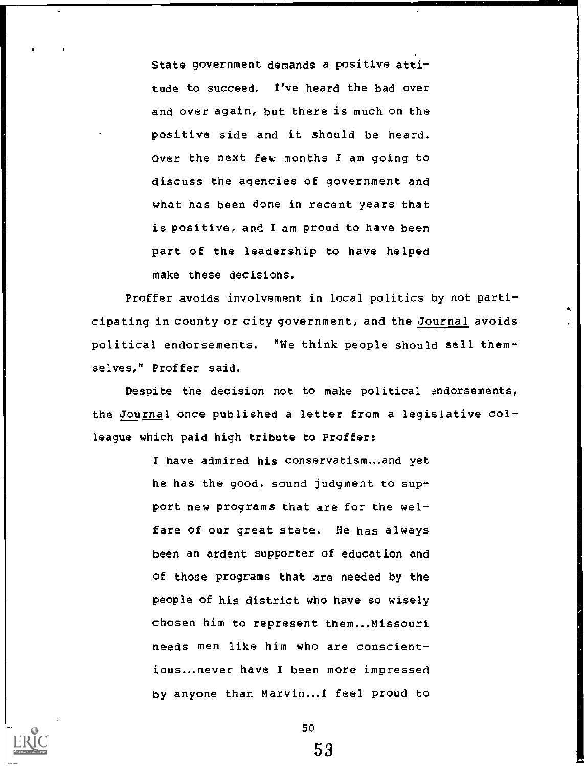State government demands a positive attitude to succeed. I've heard the bad over and over again, but there is much on the positive side and it should be heard. Over the next few months I am going to discuss the agencies of government and what has been done in recent years that is positive, and I am proud to have been part of the leadership to have helped make these decisions.

Proffer avoids involvement in local politics by not participating in county or city government, and the Journal avoids political endorsements. "We think people should sell themselves," Proffer said.

Despite the decision not to make political endorsements, the Journal once published a letter from a legisiative colleague which paid high tribute to Proffer:

> I have admired his conservatism...and yet he has the good, sound judgment to support new programs that are for the welfare of our great state. He has always been an ardent supporter of education and of those programs that are needed by the people of his district who have so wisely chosen him to represent them...Missouri needs men like him who are conscientious.never have I been more impressed by anyone than Marvin... I feel proud to



50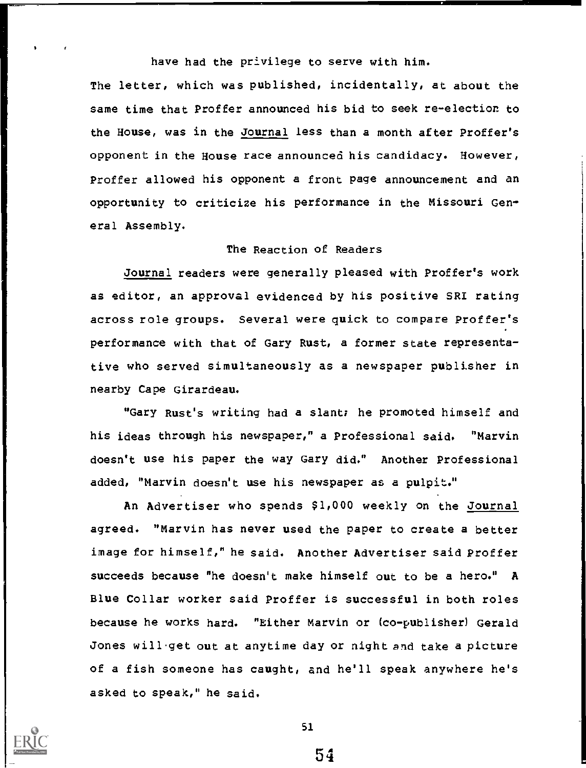have had the privilege to serve with him.

The letter, which was published, incidentally, at about the same time that Proffer announced his bid to seek re-election to the House, was in the Journal less than a month after Proffer's opponent in the House race announced his candidacy. However, Proffer allowed his opponent a front page announcement and an opportunity to criticize his performance in the Missouri General Assembly.

## The Reaction of Readers

Journal readers were generally pleased with Proffer's work as editor, an approval evidenced by his positive SRI rating across role groups. Several were quick to compare Proffer's performance with that of Gary Rust, a former state representative who served simultaneously as a newspaper publisher in nearby Cape Girardeau.

"Gary Rust's writing had a slant; he promoted himself and his ideas through his newspaper," a Professional said. "Marvin doesn't use his paper the way Gary did." Another Professional added, "Marvin doesn't use his newspaper as a pulpit."

An Advertiser who spends \$1,000 weekly on the Journal agreed. "Marvin has never used the paper to create a better image for himself," he said. Another Advertiser said Proffer succeeds because "he doesn't make himself out to be a hero." A Blue Collar worker said Proffer is successful in both roles because he works hard. "Either Marvin or (co-publisher) Gerald Jones will.get out at anytime day or night and take a picture of a fish someone has caught, and he'll speak anywhere he's asked to speak," he said.



51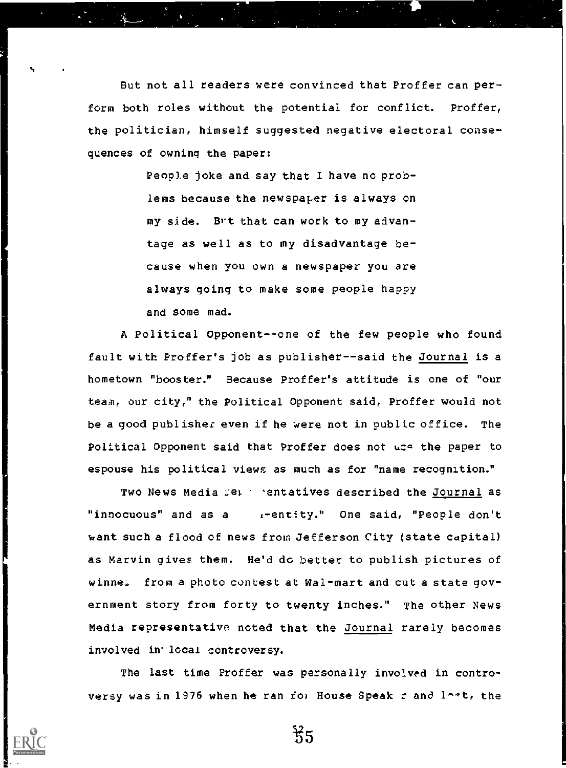But not all readers were convinced that Proffer can perform both roles without the potential for conflict. Proffer, the politician, himself suggested negative electoral consequences of owning the paper:

s

People joke and say that 1 have no problems because the newspaper is always on my side. Brt that can work to my advantage as well as to my disadvantage because when you own a newspaper you are always going to make some people happy and some mad.

A Political Opponent--one of the few people who found fault with Proffer's job as publisher--said the Journal is a hometown "booster." Because Proffer's attitude is one of "our team, our city," the Political Opponent said, Proffer would not be a good publisher even if he were not in public office. The Political Opponent said that Proffer does not use the paper to espouse his political views as much as for "name recognition."

Two News Media :et 'entatives described the Journal as "innocuous" and as a i-entity." One said, "People don't want such a flood of news from Jefferson City (state capital) as Marvin gives them. He'd do better to publish pictures of winne. from a photo contest at Wal-mart and cut a state government story from forty to twenty inches." The other News Media representative noted that the Journal rarely becomes involved in local controversy.

The last time Proffer was personally involved in controversy was in 1976 when he ran ro; House Speak r and  $l^{\text{out}}$ , the

፟*፞*፧ጘ5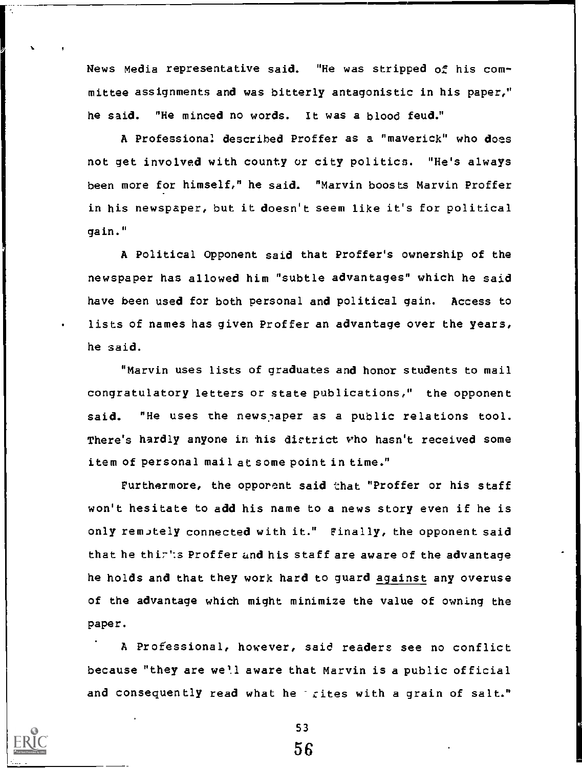News Media representative said. "He was stripped of his committee assignments and was bitterly antagonistic in his paper," he said. "He minced no words. It was a blood feud."

A Professional described Proffer as a "maverick" who does not get involved with county or city politics. "He's always been more for himself," he said. "Marvin boosts Marvin Proffer in his newspaper, but it doesn't seem like it's for political gain."

A Political Opponent said that Proffer's ownership of the newspaper has allowed him "subtle advantages" which he said have been used for both personal and political gain. Access to lists of names has given Proffer an advantage over the years, he said.

"Marvin uses lists of graduates and honor students to mail congratulatory letters or state publications," the opponent said. "He uses the newspaper as a public relations tool. There's hardly anyone in his district who hasn't received some item of personal mail at some point in time."

Furthermore, the opporent said that "Proffer or his staff won't hesitate to add his name to a news story even if he is only remutely connected with it." Finally, the opponent said that he thirts Proffer and his staff are aware of the advantage he holds and that they work hard to guard against any overuse of the advantage which might minimize the value of owning the paper.

A Professional, however, said readers see no conflict because "they are well aware that Marvin is a public official and consequently read what he rites with a grain of salt."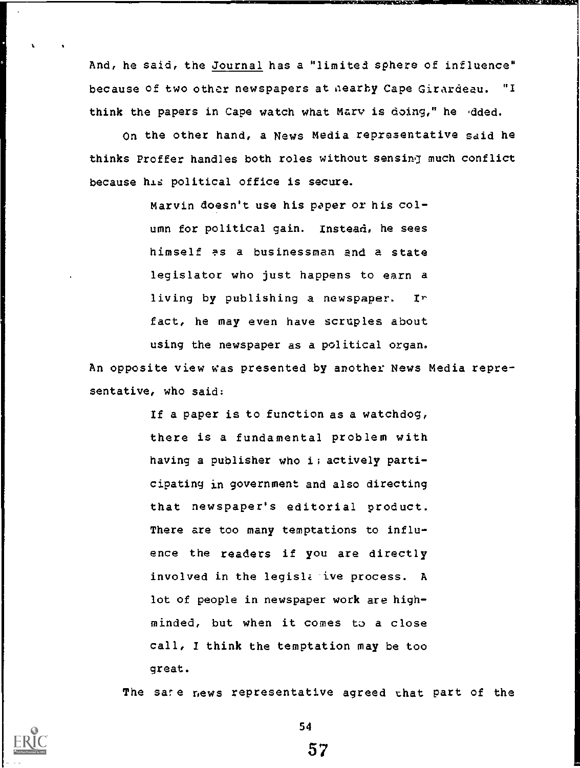And, he said, the Journal has a "limited sphere of influence" because of two other newspapers at aearhy Cape Girardeau. "I think the papers in Cape watch what Mary is doing," he dded.

On the other hand, a News Media representative said he thinks Proffer handles both roles without sensing much conflict because his political office is secure.

> Marvin doesn't use his paper or his column for political gain. Instead, he sees himself as a businessman and a state legislator who just happens to earn a living by publishing a newspaper. Ir fact, he may even have scruples about using the newspaper as a political organ.

An opposite view was presented by another News Media representative, who said:

> If a paper is to function as a watchdog, there is a fundamental problem with having a publisher who i; actively participating in government and also directing that newspaper's editorial product. There are too many temptations to influence the readers if you are directly involved in the legislative process. A lot of people in newspaper work are highminded, but when it comes to a close call, I think the temptation may be too great.

The sare r,ews representative agreed that part of the

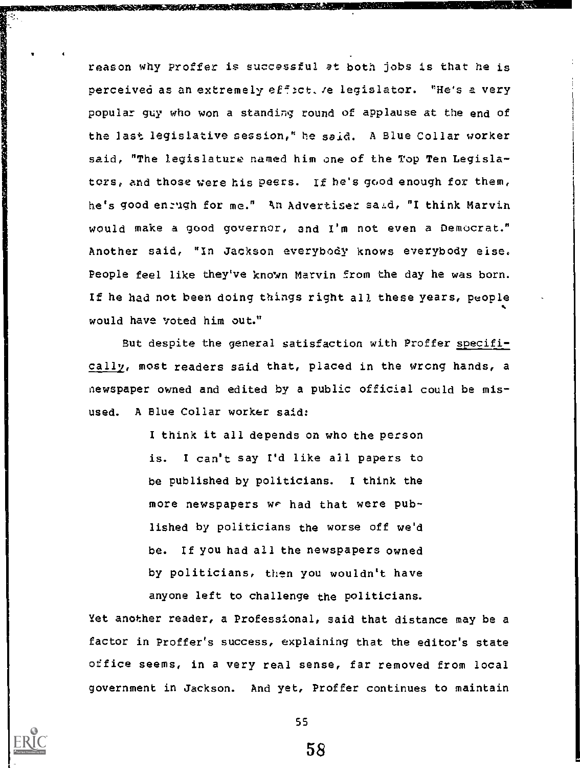reason why Proffer is successful at both jobs is that he is perceived as an extremely effict. We legislator. "He's a very popular guy who won a standing round of applause at the end of the last legislative session," he said. A Blue Collar worker said, "The legislature named him one of the Top Ten Legislators, and those were his peers. If he's good enough for them, he's good en:ugh for me." kn Advertiser sal.d, "I think Marvin would make a good governor, and I'm not even a Democrat." Another said, "In Jackson everybody knows everybody else. People feel like they've known Marvin from the day he was born. If he had not been doing things right all these years, people would have voted him out."

But despite the general satisfaction with Proffer specificallv, most readers said that, placed in the wrong hands, a newspaper owned and edited by a public official could be misused. A Blue Collar worker said:

> I think it all depends on who the person is. I can't say I'd like all papers to be published by politicians. I think the more newspapers we had that were published by politicians the worse off we'd be. If you had all the newspapers owned by politicians, then you wouldn't have anyone left to challenge the politicians.

Yet another reader, a Professional, said that distance may be a factor in Proffer's success, explaining that the editor's state office seems, in a very real sense, far removed from local government in Jackson. And yet, Proffer continues to maintain



**PARTY PRESENTATION AND PROVIDENT CONTROL DESIGNATION** 

55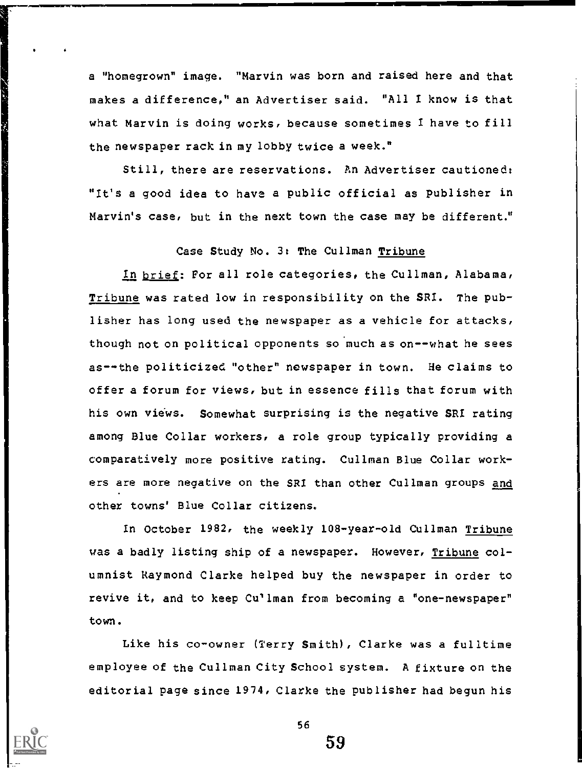a "homegrown" image. "Marvin was born and raised here and that makes a difference," an Advertiser said. "All I know is that what Marvin is doing works, because sometimes I have to fill the newspaper rack in my lobby twice a week."

Still, there are reservations. An Advertiser cautioned: "It's a good idea to have a public official as publisher in Marvin's case, but in the next town the case may be different."

## Case Study No. 3: The Cullman Tribune

In brief: For all role categories, the Cullman, Alabama, Tribune was rated low in responsibility on the SRI. The publisher has long used the newspaper as a vehicle for attacks, though not on political opponents so much as on--what he sees as--the politicized "other" newspaper in town. He claims to offer a forum for views, but in essence fills that forum with his own views. Somewhat surprising is the negative SRI rating among Blue Collar workers, a role group typically providing a comparatively more positive rating. Cullman Blue Collar workers are more negative on the SRI than other Cullman groups and other towns' Blue Collar citizens.

In October 1982, the weekly 108-year-old Cullman Tribune was a badly listing ship of a newspaper. However, Tribune columnist Raymond Clarke helped buy the newspaper in order to revive it, and to keep Cullman from becoming a "one-newspaper" town.

Like his co-owner (Terry Smith), Clarke was a fulltime employee of the Cullman City School system. A fixture on the editorial page since 1974, Clarke the publisher had begun his

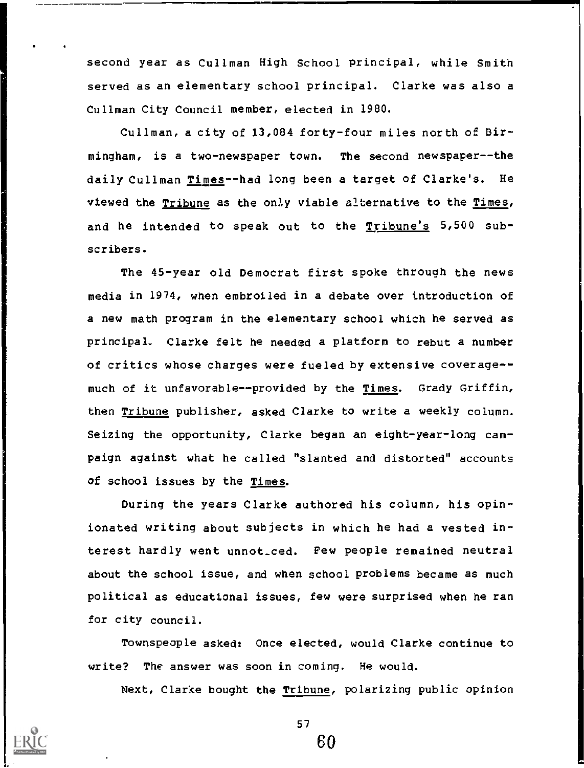second year as Cullman High School principal, while Smith served as an elementary school principal. Clarke was also a Cullman City Council member, elected in 1980.

Cullman, a city of 13,084 forty-four miles north of Birmingham, is a two-newspaper town. The second newspaper--the daily Cullman Times--had long been a target of Clarke's. He viewed the Tribune as the only viable alternative to the Times, and he intended to speak out to the Tribune's 5,500 subscribers.

The 45-year old Democrat first spoke through the news media in 1974, when embroiled in a debate over introduction of a new math program in the elementary school which he served as principal. Clarke felt he needed a platform to rebut a number of critics whose charges were fueled by extensive coverage- much of it unfavorable--provided by the Times. Grady Griffin, then Tribune publisher, asked Clarke to write a weekly column. Seizing the opportunity, Clarke began an eight-year-long campaign against what he called "slanted and distorted" accounts of school issues by the Times.

During the years Clarke authored his column, his opinionated writing about subjects in which he had a vested interest hardly went unnot\_ced. Few people remained neutral about the school issue, and when school problems became as much political as educational issues, few were surprised when he ran for city council.

Townspeople asked: Once elected, would Clarke continue to write? The answer was soon in coming. He would.

Next, Clarke bought the Tribune, polarizing public opinion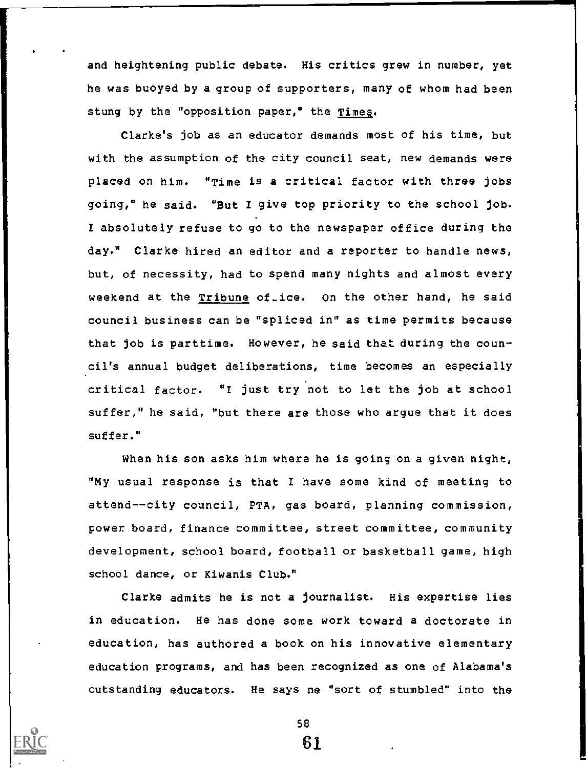and heightening public debate. His critics grew in number, yet he was buoyed by a group of supporters, many of whom had been stung by the "opposition paper," the Times.

Clarke's job as an educator demands most of his time, but with the assumption of the city council seat, new demands were placed on him. "Time is a critical factor with three jobs going," he said. "But I give top priority to the school job. I absolutely refuse to go to the newspaper office during the day." Clarke hired an editor and a reporter to handle news, but, of necessity, had to spend many nights and almost every weekend at the Tribune of ice. On the other hand, he said council business can be "spliced in" as time permits because that job is parttime. However, he said that during the council's annual budget deliberations, time becomes an especially critical factor. "I just try.not to let the job at school suffer," he said, "but there are those who argue that it does suffer."

When his son asks him where he is going on a given night, "My usual response is that I have some kind of meeting to attend--city council, PTA, gas board, planning commission, power board, finance committee, street committee, community development, school board, football or basketball game, high school dance, or Kiwanis Club."

Clarke admits he is not a journalist. His expertise lies in education. He has done soma work toward a doctorate in education, has authored a book on his innovative elementary education programs, and has been recognized as one of Alabama's outstanding educators. He says ne "sort of stumbled" into the



58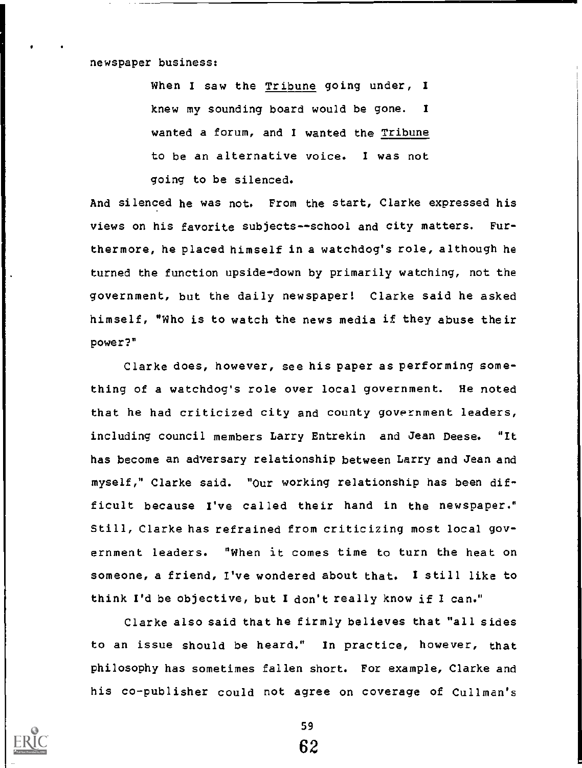newspaper business:

When I saw the Tribune going under, I knew my sounding board would be gone. I wanted a forum, and I wanted the Tribune to be an alternative voice. I was not going to be silenced.

And silenced he was not. From the start, Clarke expressed his views on his favorite subjects--school and city matters. Furthermore, he placed himself in a watchdog's role, although he turned the function upside-down by primarily watching, not the government, but the daily newspaper! Clarke said he asked himself, "Who is to watch the news media if they abuse their power?"

Clarke does, however, see his paper as performing something of a watchdog's role over local government. He noted that he had criticized city and county government leaders, including council members Larry Entrekin and Jean Deese. "It has become an adversary relationship between Larry and Jean and myself," Clarke said. "Our working relationship has been difficult because I've called their hand in the newspaper." Still, Clarke has refrained from criticizing most local government leaders. "when it comes time to turn the heat on someone, a friend, I've wondered about that. I still like to think I'd be objective, but I don't really know if I can."

Clarke also said that he firmly believes that "all sides to an issue should be heard." In practice, however, that philosophy has sometimes fallen short. For example, Clarke and his co-publisher could not agree on coverage of Cullman's



59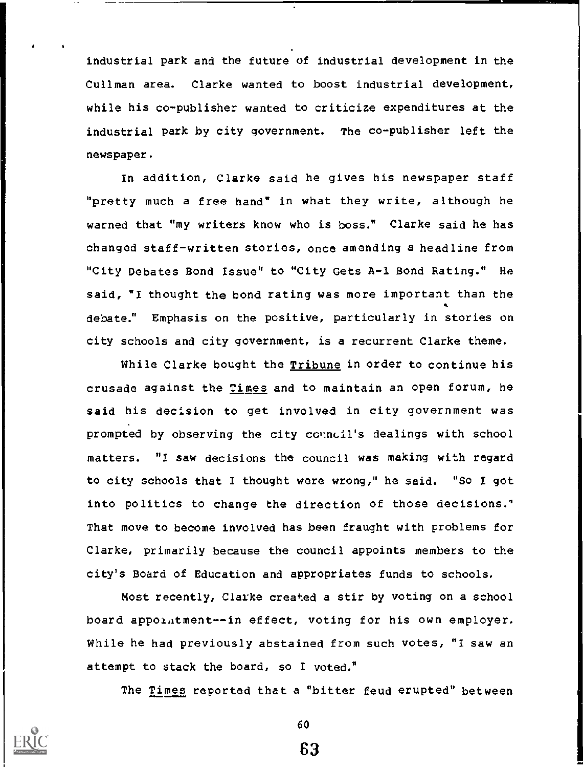industrial park and the future of industrial development in the Cullman area. Clarke wanted to boost industrial development, while his co-publisher wanted to criticize expenditures at the industrial park by city government. The co-publisher left the newspaper.

In addition, Clarke said he gives his newspaper staff "pretty much a free hand" in what they write, although he warned that "my writers know who is boss." Clarke said he has changed staff-written stories, once amending a headline from "City Debates Bond Issue" to "City Gets A-1 Bond Rating." He said, "I thought the bond rating was more important than the debate." Emphasis on the positive, particularly in stories on city schools and city government, is a recurrent Clarke theme.

While Clarke bought the Tribune in order to continue his crusade against the Times and to maintain an open forum, he said his decision to get involved in city government was prompted by observing the city council's dealings with school matters. "I saw decisions the council was making with regard to city schools that I thought were wrong," he said. "So I got into politics to change the direction of those decisions." That move to become involved has been fraught with problems for Clarke, primarily because the council appoints members to the city's Board of Education and appropriates funds to schools.

Most recently, Clarke created a stir by voting on a school board appoiatment--in effect, voting for his own employer. While he had previously abstained from such votes, "I saw an attempt to stack the board, so I voted."

The Times reported that a "bitter feud erupted" between



60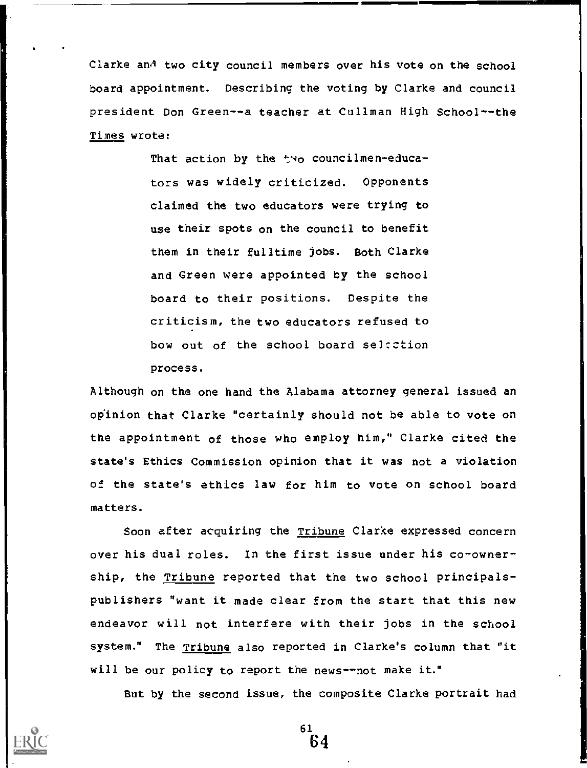Clarke and two city council members over his vote on the school board appointment. Describing the voting by Clarke and council president Don Green--a teacher at Cullman High School--the Times wrote:

> That action by the two councilmen-educators was widely criticized. Opponents claimed the two educators were trying to use their spots on the council to benefit them in their fulltime jobs. Both Clarke and Green were appointed by the school board to their positions. Despite the criticism, the two educators refused to bow out of the school board selection process.

Although on the one hand the Alabama attorney general issued an opinion that Clarke "certainly should not be able to vote on the appointment of those who employ him," Clarke cited the state's Ethics Commission opinion that it was not a violation of the state's ethics law for him to vote on school board matters.

Soon after acquiring the Tribune Clarke expressed concern over his dual roles. In the first issue under his co-ownership, the Tribune reported that the two school principalspublishers "want it made clear from the start that this new endeavor will not interfere with their jobs in the school system." The Tribune also reported in Clarke's column that "it will be our policy to report the news--not make it."

But by the second issue, the composite Clarke portrait had

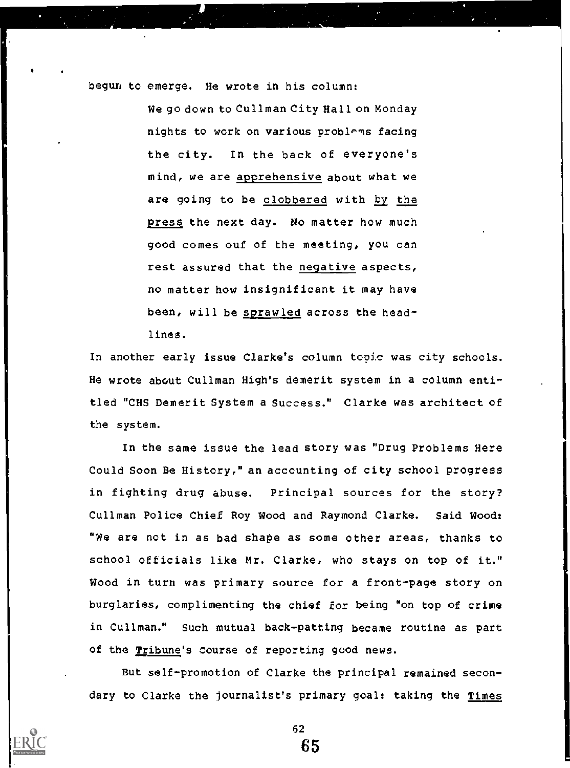begun to emerge. He wrote in his column:

We go down to Cullman City Hall on Monday nights to work on various problems facing the city. In the back of everyone's mind, we are apprehensive about what we are going to be clobbered with by the press the next day. No matter how much good comes ouf of the meeting, you can rest assured that the negative aspects, no matter how insignificant it may have been, will be sprawled across the headlines.

In another early issue Clarke's column topic was city schools. He wrote about Cullman High's demerit system in a column entitled "CHS Demerit System a Success." Clarke was architect of the system.

In the same issue the lead story was "Drug Problems Here Could Soon Be History," an accounting of city school progress in fighting drug abuse. Principal sources for the story? Cullman Police Chief Roy Wood and Raymond Clarke. Said Wood: "We are not in as bad shape as some other areas, thanks to school officials like Mr. Clarke, who stays on top of it." Wood in turn was primary source for a front-page story on burglaries, complimenting the chief for being "on top of crime in Cullman." Such mutual back-patting became routine as part of the Tribune's course of reporting good news.

But self-promotion of Clarke the principal remained secondary to Clarke the journalist's primary goal: taking the Times

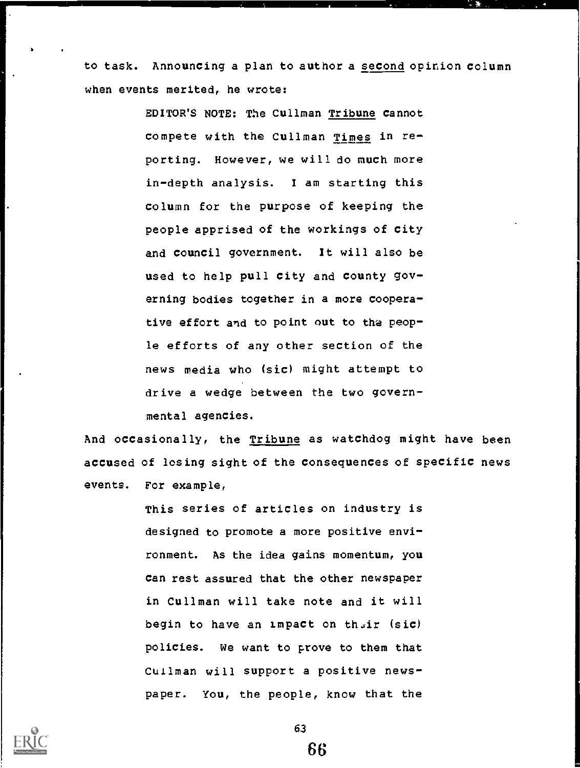to task. Announcing a plan to author a second opinion column when events merited, he wrote:

> EDITOR'S NOTE: The Cullman Tribune cannot compete with the Cullman Times in reporting. However, we will do much more in-depth analysis. I am starting this column for the purpose of keeping the people apprised of the workings of city and council government. It will also be used to help pull city and county governing bodies together in a more cooperative effort and to point out to the people efforts of any other section of the news media who (sic) might attempt to drive a wedge between the two governmental agencies.

And occasionally, the Tribune as watchdog might have been accused of losing sight of the consequences of specific news events. For example,

> This series of articles on industry is designed to promote a more positive environment. As the idea gains momentum, you can rest assured that the other newspaper in Cullman will take note and it will begin to have an impact on their (sic) policies. We want to prove to them that Cuilman will support a positive newspaper. You, the people, know that the

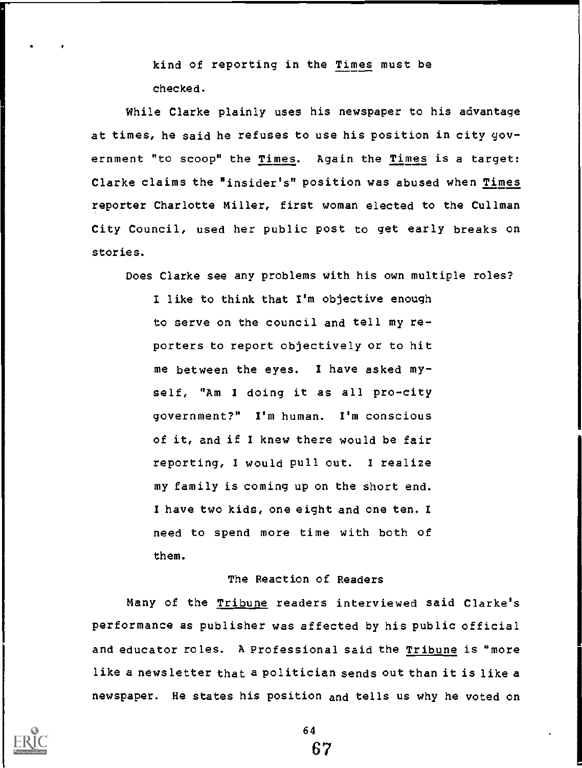kind of reporting in the Times must be checked.

While Clarke plainly uses his newspaper to his advantage at times, he said he refuses to use his position in city government "to scoop" the Times. Again the Times is a target: Clarke claims the "insider's" position was abused when Times reporter Charlotte Miller, first woman elected to the Cullman City Council, used her public post to get early breaks on stories.

Does Clarke see any problems with his own multiple roles?

I like to think that I'm objective enough to serve on the council and tell my reporters to report objectively or to hit me between the eyes. I have asked myself, "Am I doing it as all pro-city government?" I'm human. I'm conscious of it, and if I knew there would be fair reporting, I would pull out. I realize my family is coming up on the short end. I have two kids, one eight and one ten. I need to spend more time with both of them.

## The Reaction of Readers

Many of the Tribune readers interviewed said Clarke's performance as publisher was affected by his public official and educator roles. A Professional said the Tribune is "more like a newsletter that a politician sends out than it is like a newspaper. He states his position and tells us why he voted on

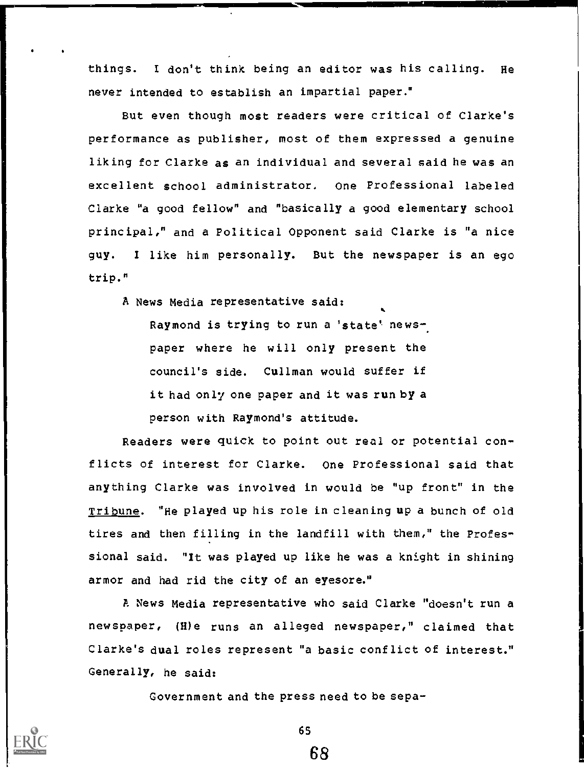things. I don't think being an editor was his calling. He never intended to establish an impartial paper."

But even though most readers were critical of Clarke's performance as publisher, most of them expressed a genuine liking for Clarke as an individual and several said he was an excellent school administrator. One Professional labeled Clarke "a good fellow" and "basically a good elementary school principal," and a Political Opponent said Clarke is "a nice guy. <sup>I</sup> like him personally. But the newspaper is an ego trip."

A News Media representative said:

Raymond is trying to run a 'state' newspaper where he will only present the council's side. Cullman would suffer if it had only one paper and it was run by a person with Raymond's attitude.

Readers were quick to point out real or potential conflicts of interest for Clarke. One Professional said that anything Clarke was involved in would be "up front" in the Tribune. "He played up his role in cleaning up a bunch of old tires and then filling in the landfill with them," the Professional said. "It was played up like he was a knight in shining armor and had rid the city of an eyesore."

A News Media representative who said Clarke "doesn't run a newspaper, (H)e runs an alleged newspaper," claimed that Clarke's dual roles represent "a basic conflict of interest." Generally, he said:

Government and the press need to be sepa-



65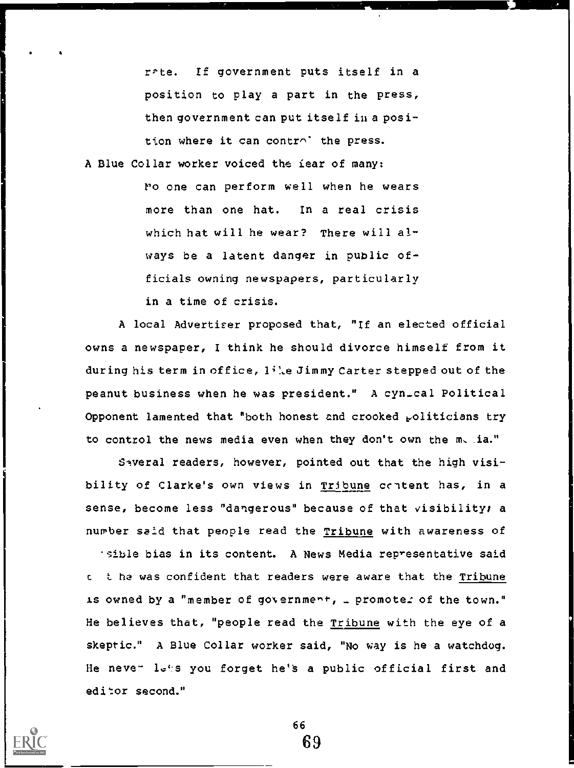rPte. If government puts itself in a position to play a part in the press, then government can put itself in a position where it can controlithe press.

A Blue Collar worker voiced the tear of many:

1'0 one can perform well when he wears more than one hat. In a real crisis which hat will he wear? There will always be a latent danger in public officials owning newspapers, particularly in a time of crisis.

A local Advertiser proposed that, "If an elected official owns a newspaper, I think he should divorce himself from it during his term in office,  $1^{\frac{1}{2}}$ .e Jimmy Carter stepped out of the peanut business when he was president." A cyn\_cal Political Opponent lamented that "both honest and crooked  $_{\rm P}$ oliticians try to control the news media even when they don't own the m, ia."

Saveral readers, however, pointed out that the high visibility of Clarke's own views in Tribune content has, in a sense, become less "dangerous" because of that visibility; a number said that people read the Tribune with awareness of

sible bias in its content. A News Media representative said <sup>c</sup> t he was confident that readers were aware that the Tribune is owned by a "member of government, \_ promoter of the town." He believes that, "people read the Tribune with the eye of a skeptic." A Blue Collar worker said, "No way is he a watchdog. He neve-  $l_{\sigma}$ :s you forget he's a public official first and editor second."



66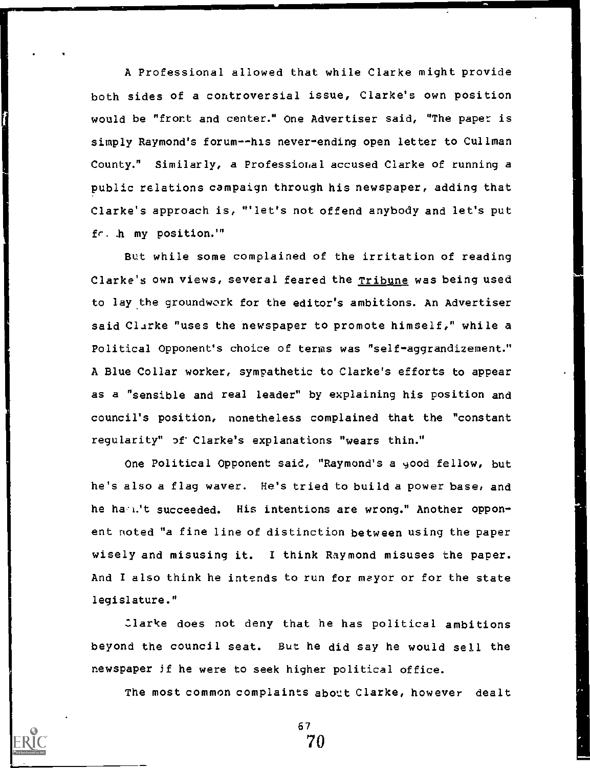A Professional allowed that while Clarke might provide both sides of a controversial issue, Clarke's own position would be "front and center." One Advertiser said, "The paper is simply Raymond's forum--his never-ending open letter to Cullman County." Similarly, a Professional accused Clarke of running a public relations campaign through his newspaper, adding that Clarke's approach is, "'let's not offend anybody and let's put fr. .h my position.'"

But while some complained of the irritation of reading Clarke's own views, several feared the Tribune was being used to lay.the groundwork for the editor's ambitions. An Advertiser said Clarke "uses the newspaper to promote himself," while a Political Opponent's choice of terms was "self-aggrandizement." A Blue Collar worker, sympathetic to Clarke's efforts to appear as a "sensible and real leader" by explaining his position and council's position, nonetheless complained that the "constant regularity" of Clarke's explanations "wears thin."

One Political Opponent said, "Raymond's a yood fellow, but he's also a flag waver. He's tried to build a power base, and he hamit succeeded. His intentions are wrong." Another opponent noted "a fine line of distinction between using the paper wisely and misusing it. I think Raymond misuses the paper. And I also think he intends to run for mayor or for the state legislature."

:larke does not deny that he has political ambitions beyond the council seat. But he did say he would sell the newspaper if he were to seek higher political office.

The most common complaints about Clarke, however dealt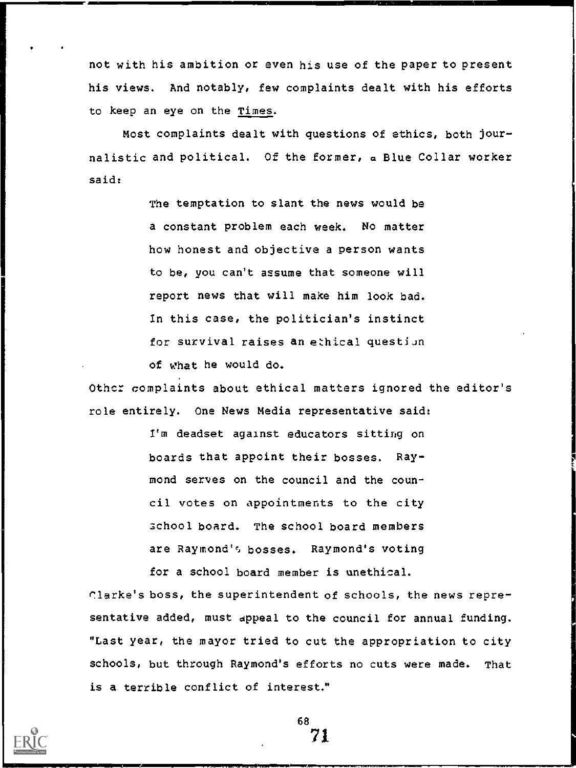not with his ambition or even his use of the paper to present his views. And notably, few complaints dealt with his efforts to keep an eye on the Times.

Most complaints dealt with questions of ethics, both journalistic and political. Of the former, a Blue Collar worker said:

> The temptation to slant the news would be a constant problem each week. No matter how honest and objective a person wants to be, vou can't assume that someone will report news that will make him look bad. In this case, the politician's instinct for survival raises an ethical question of what he would do.

Othcr complaints about ethical matters ignored the editor's role entirely. One News Media representative said:

> I'm deadset against educators sitting on boards that appoint their bosses. Raymond serves on the council and the council votes on appointments to the city school board. The school board members are Raymond'e, bosses. Raymond's voting for a school board member is unethical.

r.larke's boss, the superintendent of schools, the news representative added, must dppeal to the council for annual funding. "Last year, the mayor tried to cut the appropriation to city schools, but through Raymond's efforts no cuts were made. That is a terrible conflict of interest."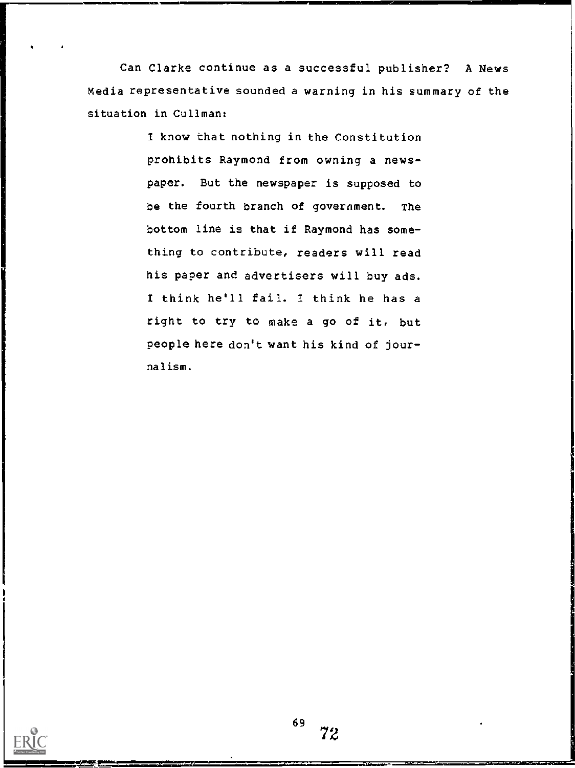Can Clarke continue as a successful publisher? A News Media representative sounded a warning in his summary of the situation in Cullman:

> 1 know that nothing in the Constitution prohibits Raymond from owning a newspaper. But the newspaper is supposed to be the fourth branch of government. The bottom line is that if Raymond has something to contribute, readers will read his paper and advertisers will buy ads. 1 think he'll fail. 1 think he has a right to try to make a go of it, but people here don't want his kind of journalism.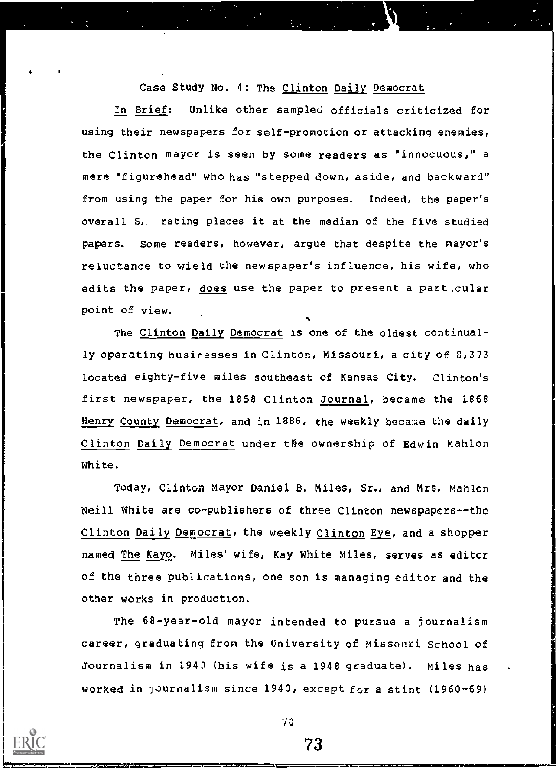Case Study No. 4: The Clinton Daily Democrat

In Brief: Unlike other sampled officials criticized for using their newspapers for self-promotion or attacking enemies, the Clinton mayor is seen by some readers as "innocuous," a mere "figurehead" who has "stepped down, aside, and backward" from using the paper for his own purposes. Indeed, the paper's overall S. rating places it at the median of the five studied papers. Some readers, however, argue that despite the mayor's reluctance to wield the newspaper's influence, his wife, who edits the paper, <u>does</u> use the paper to present a part cular point of view.

The Clinton Daily Democrat is one of the oldest continually operating businesses in Clinton, Missouri, a city of 8,373 located eighty-five miles southeast of Kansas City. Clinton's first newspaper, the 1858 Clinton Journal, became the 1868 Henry County Democrat, and in 1886, the weekly became the daily Clinton Daily Democrat under the ownership of Edwin Mahlon White.

Today, Clinton Mayor Daniel B. Miles, Sr., and Mrs. Mahlon Neill White are co-publishers of three Clinton newspapers--the Clinton Daily Democrat, the weekly Clinton Eye, and a shopper named The Kayo. Miles' wife, Kay White Miles, serves as editor of the three publications, one son is managing editor and the other works in production.

The 68-year-old mayor intended to pursue a journalism career, graduating from the University of Missouri School of Journalism in 194) (his wife is a 1948 graduate). Miles has worked in )ournalism since 1940, except fora stint (1960-69)

4

70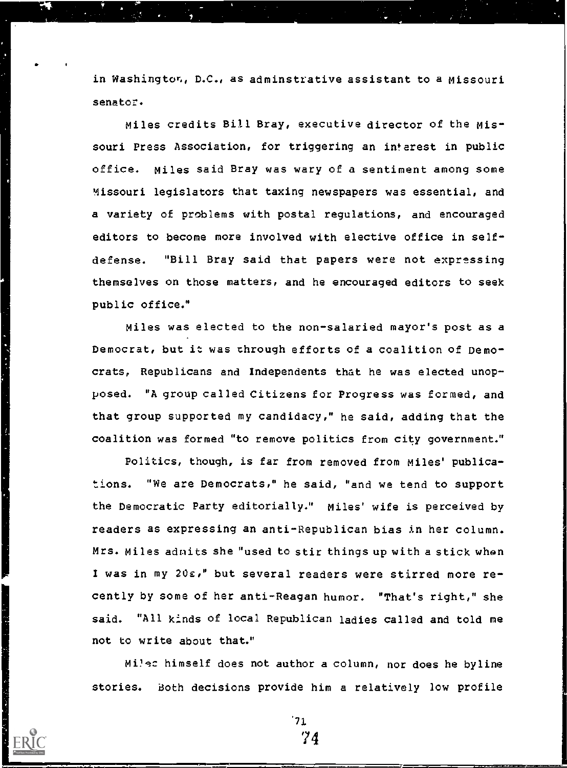in Washington, D.C., as adminstrative assistant to a Missouri senator.

Miles credits Bill Bray, executive director of the Missouri Press Association, for triggering an interest in public office. Miles said Bray was wary of a sentiment among some Missouri legislators that taxing newspapers was essential, and a variety of problems with postal regulations, and encouraged editors to become more involved with elective office in selfdefense. "Bill Bray said that papers were not expressing themselves on those matters, and he encouraged editors to seek public office."

Miles was elected to the non-salaried mayor's post as a Democrat, but it was through efforts of a coalition of Democrats, Republicans and Independents that he was elected unopposed. "A group called Citizens for Progress was formed, and that group supported my candidacy," he said, adding that the coalition was formed "to remove politics from city government."

Politics, though, is far from removed from Miles' publications. "We are Democrats," he said, "and we tend to support the Democratic Party editorially." Miles' wife is perceived by readers as expressing an anti-Republican bias in her column. Mrs. Miles admits she "used to stir things up with a stick when I was in my 20z," but several readers were stirred more recently by some of her anti-Reagan humor. "That's right," she said. "All kinds of local Republican ladies called and told me not to write about that."

Mi1qc himself does not author a column, nor does he byline stories. Both decisions provide him a relatively low profile

> 71 '1 4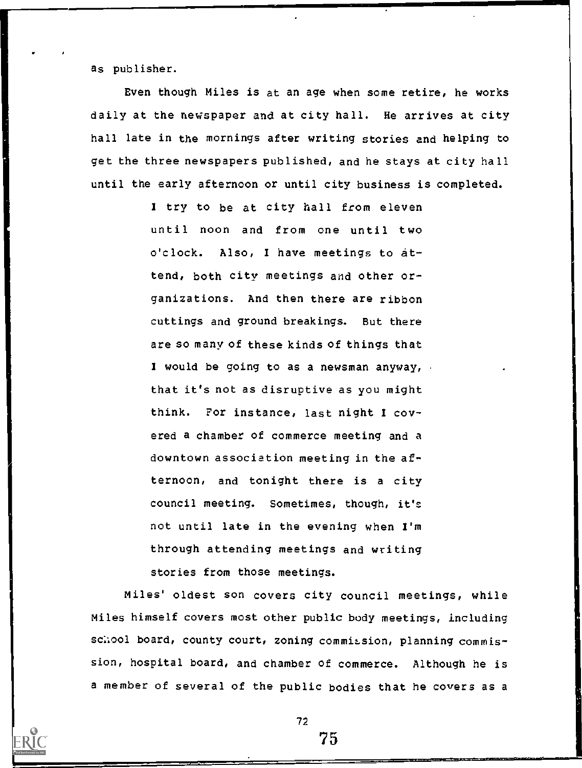as publisher.

Even though Miles is at an age when some retire, he works daily at the newspaper and at city hall. He arrives at city hall late in the mornings after writing stories and helping to get the three newspapers published, and he stays at city hall until the early afternoon or until city business is completed.

> I try to be at city hall from eleven until noon and from one until two o'clock. Also, I have meetings to attend, both city meetings and other organizations. And then there are ribbon cuttings and ground breakings. But there are so many of these kinds of things that I would be going to as a newsman anyway, . that it's not as disruptive as you might think. For instance, last night I covered a chamber of commerce meeting and a downtown association meeting in the afternoon, and tonight there is a city council meeting. Sometimes, though, it's not until late in the evening when I'm through attending meetings and writing stories from those meetings.

Miles' oldest son covers city council meetings, while Miles himself covers most other public body meetings, including school board, county court, zoning commission, planning commission, hospital board, and chamber of commerce. Although he is a member of several of the public bodies that he covers as a

72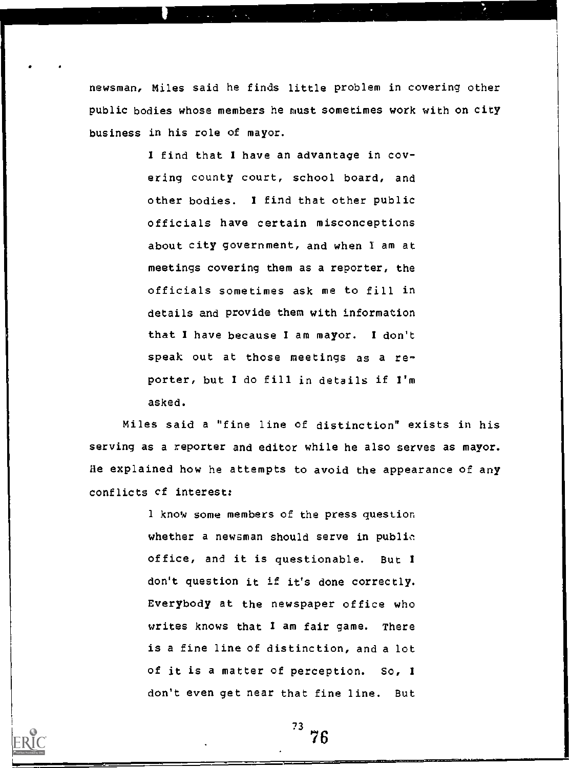newsman, Miles said he finds little problem in covering other public bodies whose members he must sometimes work with on city business in his role of mayor.

> I find that I have an advantage in covering county court, school board, and other bodies. I find that other public officials have certain misconceptions about city government, and when I am at meetings covering them as a reporter, the officials sometimes ask me to fill in details and provide them with information that I have because I am mayor. I don't speak out at those meetings as a reporter, but 1 do till in details if I'm asked.

Miles said a "fine line of distinction" exists in his serving as a reporter and editor while he also serves as mayor. He explained how he attempts to avoid the appearance of any conflicts et interest:

> 1 know some members of the press question whether a newsman should serve in public office, and it is questionable. But I don't question it if it's done correctly. Everybody at the newspaper office who writes knows that I am fair game. There is a fine line of distinction, and a lot of it is a matter of perception. So, <sup>I</sup> don't even get near that fine line. But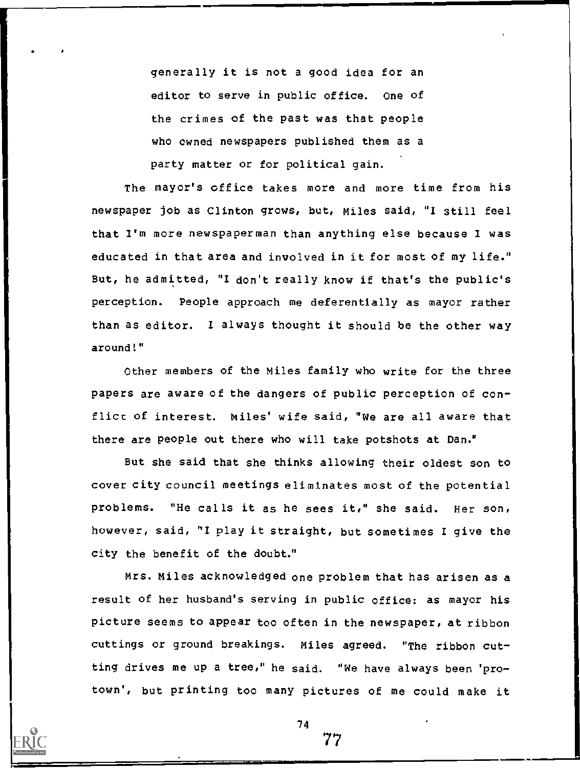generally it is not a good idea for an editor to serve in public office. One of the crimes of the past was that people who owned newspapers published them as a party matter or for political gain.

The mayor's office takes more and more time from his newspaper job as Clinton grows, but, Miles said, "I still feel that I'm more newspaperman than anything else because I was educated in that area and involved in it for most of my life." But, he admitted, "I don't really know if that's the public's perception. People approach me deferentially as mayor rather than as editor. I always thought it should be the other way around!"

Other members of the Miles family who write for the three papers are aware of the dangers of public perception of conflict of interest. Miles' wife said, "We are all aware that there are people out there who will take potshots at Dan."

But she said that she thinks allowing their oldest son to cover city council meetings eliminates most of the potential problems. "He calls it as he sees it," she said. Her son, however, said, "I play it straight, but sometimes I give the city the benefit of the doubt."

Mrs. Miles acknowledged one problem that has arisen as a result of her husband's serving in public office: as mayor his picture seems to appear too often in the newspaper, at ribbon cuttings or ground breakings. Miles agreed. "The ribbon cutting drives me up a tree," he said. "We have always been 'protown', but printing too many pictures of me could make it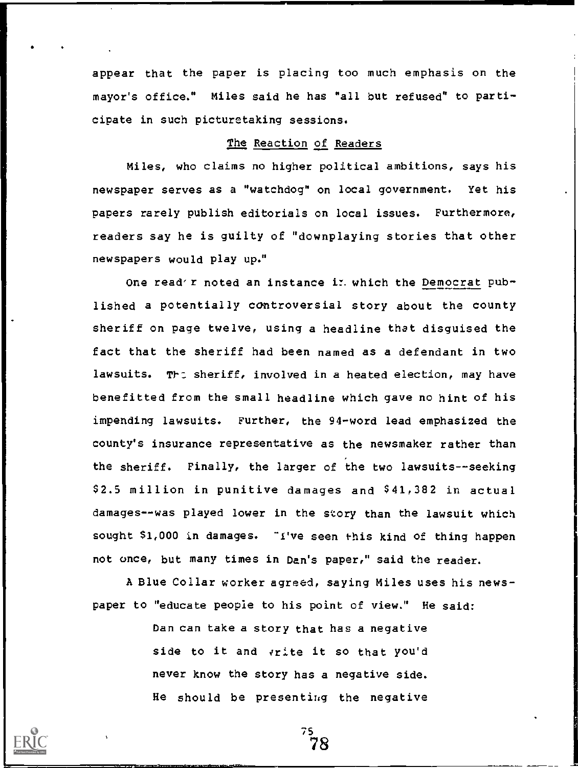appear that the paper is placing too much emphasis on the mayor's office." Miles said he has "all but refused" to participate in such picturetaking sessions.

## The Reaction of Readers

Miles, who claims no higher political ambitions, says his newspaper serves as a "watchdog" on local government. Yet his papers rarely publish editorials on local issues. Furthermore, readers say he is guilty of "downplaying stories that other newspapers would play up."

One read'r noted an instance in which the Democrat published a potentially controversial story about the county sheriff on page twelve, using a headline that disguised the fact that the sheriff had been named as a defendant in two lawsuits. The sheriff, involved in a heated election, may have benefitted from the small headline which gave no hint of his impending lawsuits. Further, the 94-word lead emphasized the county's insurance representative as the newsmaker rather than the sheriff. Finally, the larger of the two lawsuits--seeking \$2.5 million in punitive damages and \$41,382 in actual damages--was played lower in the story than the lawsuit which sought \$1,000 in damages. "I've seen this kind of thing happen not once, but many times in Dan's paper," said the reader.

A Blue Collar worker agreed, saying Miles uses his newspaper to "educate people to his point of view." He said:

> Dan can take a story that has a negative side to it and vrite it so that you'd never know the story has a negative side. He should be presenting the negative

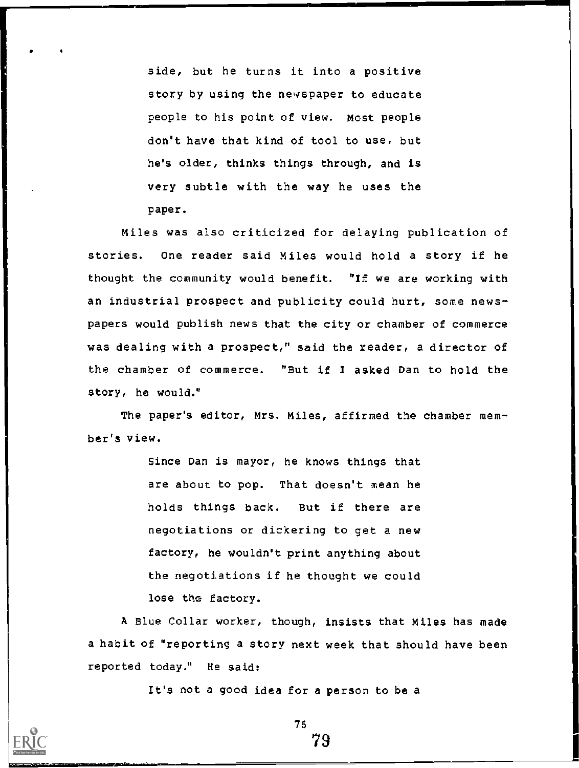side, but he turns it into a positive story by using the newspaper to educate people to his point of view. Most people don't have that kind of tool to use, but he's older, thinks things through, and is very subtle with the way he uses the paper.

Miles was also criticized for delaying publication of stories. One reader said Miles would hold a story if he thought the community would benefit. "If we are working with an industrial prospect and publicity could hurt, some newspapers would publish news that the city or chamber of commerce was dealing with a prospect," said the reader, a director of the chamber of commerce. "But if I asked Dan to hold the story, he would."

The paper's editor, Mrs. Miles, affirmed the chamber member's view.

> Since Dan is mayor, he knows things that are about to pop. That doesn't mean he holds things back. But if there are negotiations or dickering to get a new factory, he wouldn't print anything about the negotiations if he thought we could lose the factory.

A Blue Collar worker, though, insists that Miles has made a habit of "reporting a story next week that should have been reported today." He said:

It's not a good idea for a person to be a

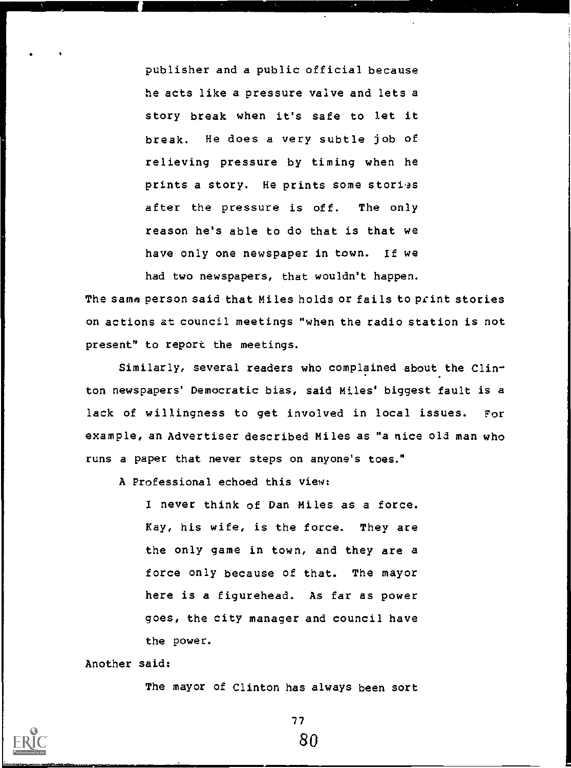publisher and a public official because he acts like a pressure valve and lets a story break when it's safe to let it break. He does a very subtle job of relieving pressure by timing when he prints a story. He prints some stories after the pressure is off. The only reason he's able to do that is that we have only one newspaper in town. If we had two newspapers, that wouldn't happen.

The same person said that Miles holds or fails to print stories on actions at council meetings "when the radio station is not present" to report the meetings.

Similarly, several readers who complained about the Clin- . ton newspapers' Democratic bias, said Miles' biggest fault is a lack of willingness to get involved in local issues. For example, an Advertiser described Miles as "a nice old man who runs a paper that never steps on anyone's toes."

A Professional echoed this view:

I never think of Dan Miles as a force. Kay, his wife, is the force. They are the only game in town, and they are a force only because of that. The mayor here is a figurehead. As far as power goes, the city manager and council have the power.

Another said:

The mayor of Clinton has always been sort

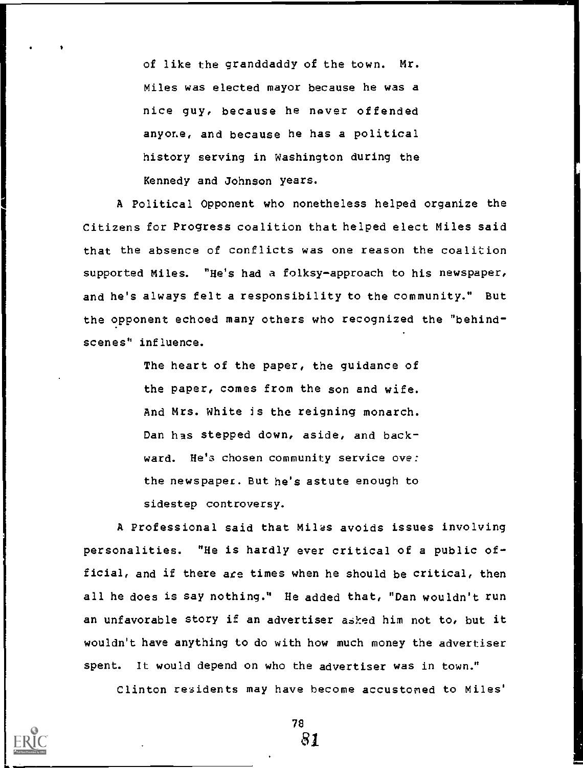of like the granddaddy of the town. Mr. Miles was elected mayor because he was a nice guy, because he never offended anyone, and because he has a political history serving in Washington during the Kennedy and Johnson years.

A Political Opponent who nonetheless helped organize the Citizens for Progress coalition that helped elect Miles said that the absence of conflicts was one reason the coalition supported Miles. "He's had a folksy-approach to his newspaper, and he's always felt a responsibility to the community." But the opponent echoed many others who recognized the "behindscenes" influence.

> The heart of the paper, the guidance of the paper, comes from the son and wife. And Mrs. White is the reigning monarch. Dan has stepped down, aside, and backward. He's chosen community service ove: the newspapet. But he's astute enough to sidestep controversy.

A Professional said that Miles avoids issues involving personalities. "He is hardly ever critical of a public official, and if there are times when he should be critical, then all he does is say nothing." He added that, "Dan wouldn't run an unfavorable story if an advertiser asked him not to, but it wouldn't have anything to do with how much money the advertiser spent. It would depend on who the advertiser was in town."

Clinton residents may have become accustomed to Miles'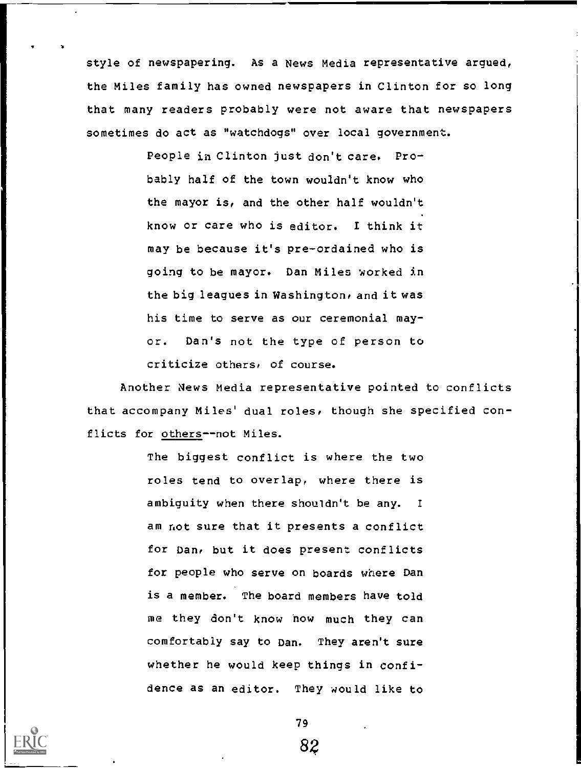style of newspapering. As a News Media representative argued, the Miles family has owned newspapers in Clinton for so long that many readers probably were not aware that newspapers sometimes do act as "watchdogs" over local government.

> People in Clinton just don't care. Probably half of the town wouldn't know who the mayor is, and the other half wouldn't know or care who is editor. I think it may be because it's pre-ordained who is going to be mayor. Dan Miles worked in the big leagues in Washington, and it was his time to serve as our ceremonial mayor. Dan's not the type of person to criticize others, of course.

Another News Media representative pointed to conflicts that accompany Miles' dual roles, though she specified conflicts for others--not Miles.

> The biggest conflict is where the two roles tend to overlap, where there is ambiguity when there shouldn't be any. am not sure that it presents a conflict for Dan, but it does present conflicts for people who serve on boards where Dan is a member. The board members have told me they don't know how much they can comfortably say to Dan. They aren't sure whether he would keep things in confidence as an editor. They would like to

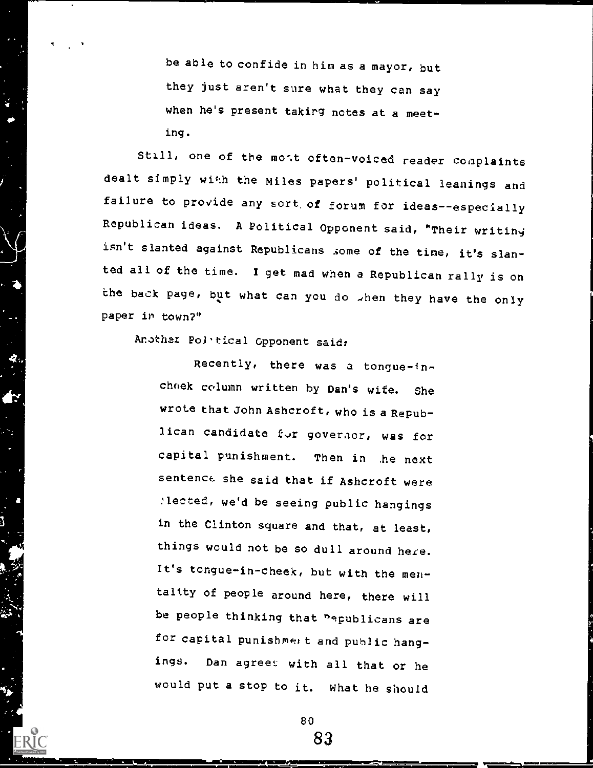be able to confide in him as a mayor, but they just aren't sure what they can say when he's present takirg notes at a meeting.

Still, one of the most often-voiced reader complaints dealt simply with the Miles papers' political leanings and failure to provide any sort.of forum for ideas--especially Republican ideas. A Political Opponent said, "Their writiny isn't slanted against Republicans some of the time, it's slanted all of the time. I get mad when a Republican rally is on the back page, but what can you do when they have the only paper in town?"

Another PoJ, tical Opponent said:

Recently, there was a tongue-inchnek column written by Dan's wife. She wrote that John Ashcroft, who is a Republican candidate for governor, was for capital punishment. Then in he next sentence. she said that if Ashcroft were ,lected, we'd be seeing public hangings in the Clinton square and that, at least, things would not be so dull around here. It's tongue-in-cheek, but with the mentality of people around here, there will be people thinking that "epublicans are for capital punishment and public hangings. Dan agreet with all that or he would put a stop to it. What he should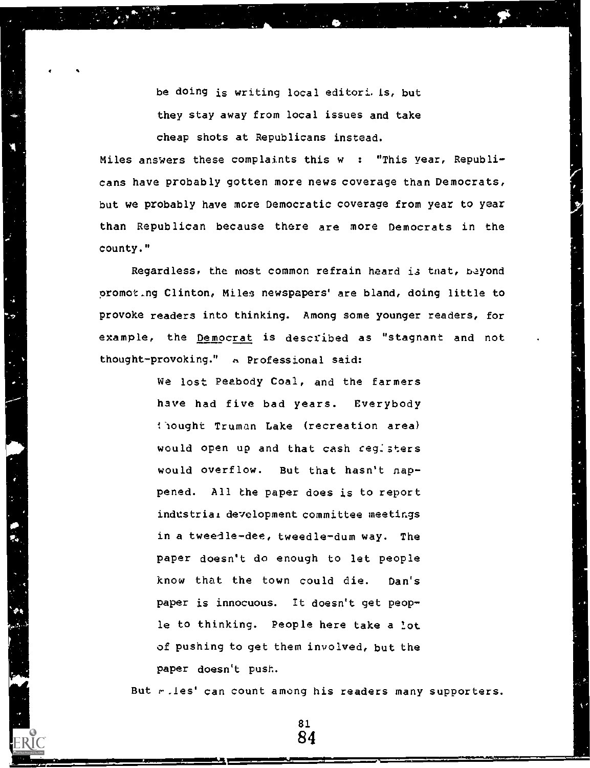be doing is writing local editori.ls, but they stay away from local issues and take cheap shots at Republicans instead.

Miles answers these complaints this  $w : "This year, Republi$ cans have probably gotten more news coverage than Democrats, but we probably have more Democratic coverage from year to year than Republican because there are more Democrats in the county."

|<br>| 2

Regardless, the most common refrain heard is tnat, beyond promot..ng Clinton, Miles newspapers' are bland, doing little to provoke readers into thinking. Among some younger readers, for example, the Democrat is described as "stagnant and not thought-provoking." a Professional said:

> We lost Peabody Coal, and the farmers have had five bad years. Everybody riought Truman Lake (recreation area) would open up and that cash ceg:sters would overflow. But that hasn't nappened. All the paper does is to report industrial development committee meetings in a tweedle-dee, tweedle-dum way. The paper doesn't do enough to let people know that the town could die. Dan's paper is innocuous. It doesn't get people to thinking. People here take a lot of pushing to get them involved, but the paper doesn't push.

But r. les' can count among his readers many supporters.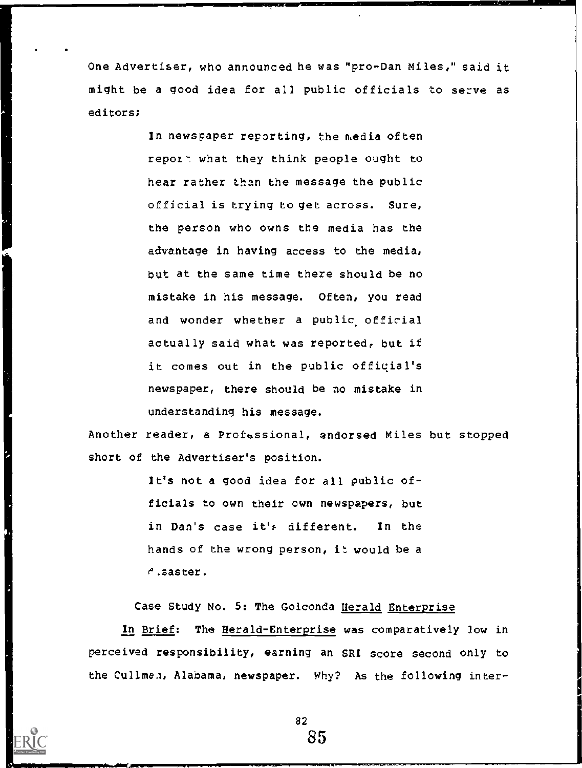One Advertiser, who announced he was "pro-Dan Miles," said it might be a good idea for all public officials to serve as editors;

> In newspaper reporting, the media often report what they think people ought to hear rather than the message the public official is trying to get across. Sure, the person who owns the media has the advantage in having access to the media, but at the same time there should be no mistake in his message. Often, you read and wonder whether a public official actually said what was reported, but if it comes out in the public official's newspaper, there should be no mistake in understanding his message.

Another reader, a Professional, endorsed Miles but stopped short of the Advertiser's position.

> It's not a good idea for all public officials to own their own newspapers, but in Dan's case it's different. In the hands of the wrong person, it would be a  $e^{\prime}$ . saster.

Case Study No. 5: The Golconda Herald Enterprise

In Brief: The Herald-Enterprise was comparatively low in perceived responsibility, earning an SRI score second only to the Cullman, Alabama, newspaper. Why? As the following inter-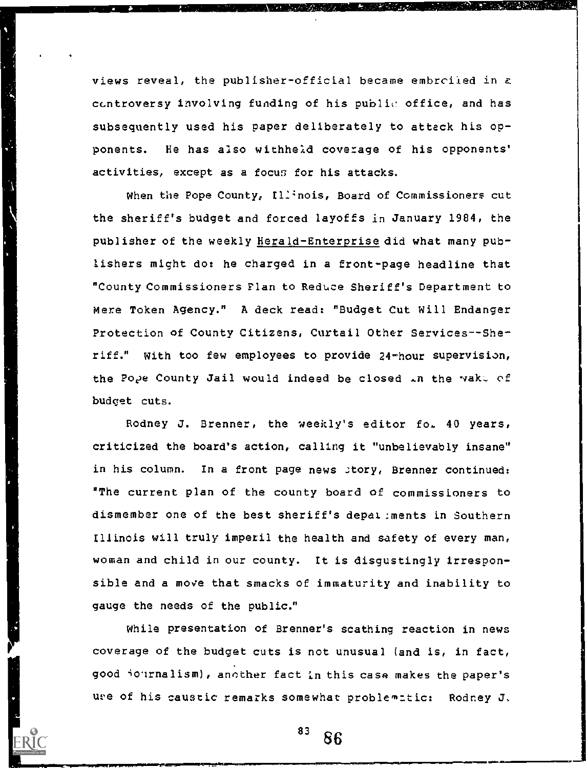views reveal, the publisher-official became embrciied in c ccntroversy involving funding of his public office, and has subsequently used his paper deliberately to attack his opponents. He has also withheld cove:age of his opponents' activities, except as a focus for his attacks.

When the Pope County, Illinois, Board of Commissioners cut the sheriff's budget and forced layoffs in January 1984, the publisher of the weekly Herald-Enterprise did what many publishers might do: he charged in a front-page headline that "County Commissioners Plan to Reduce Sheriff's Department to Mere Token Agency." A deck read: "Budget Cut Will Endanger Protection of County Citizens, Curtail Other Services--Sheriff." With too few employees to provide 24-hour supervision, the Pope County Jail would indeed be closed  $\Box n$  the wake of budget cuts.

Rodney J. Brenner, the weekly's editor fo. 40 years, criticized the board's action, calling it "unbelievably insane" in his column. In a front page news story, Brenner continued: "The current plan of the county board of commissioners to dismember one of the best sheriff's depal:ments in Southern Illinois will truly imperil the health and safety of every man, woman and child in our county. It is disgustingly irresponsible and a move that smacks of immaturity and inability to gauge the needs of the public."

While presentation of Brenner's scathing reaction in news coverage of the budget cuts is not unusual (and is, in fact, good iournalism), another fact in this case makes the paper's ure of his caustic remarks somewhat problematic: Rodney J.

 $83^{83}$  86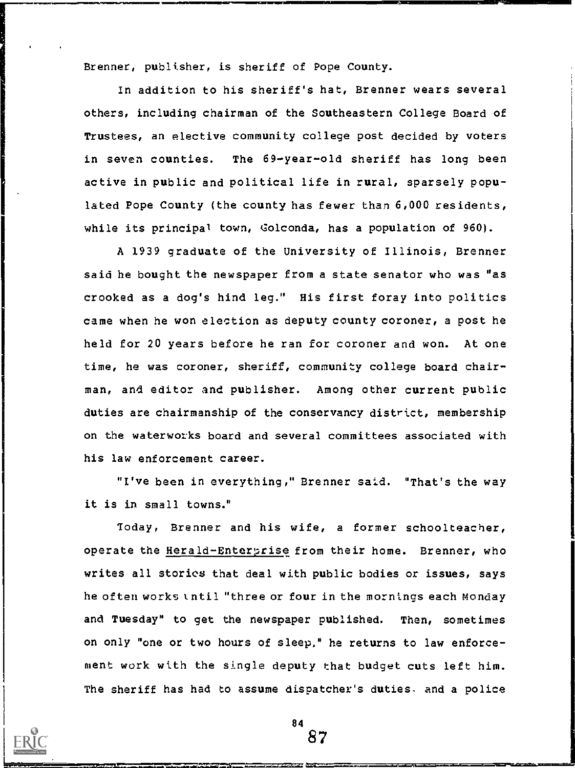Brenner, publisher, is sheriff of Pope County.

In addition to his sheriff's hat, Brenner wears several others, including chairman of the Southeastern College Board of Trustees, an elective community college post decided by voters in seven counties. The 69-year-old sheriff has long been active in public and political life in rural, sparsely populated Pope County (the county has fewer than 6,000 residents, while its principal town, Golconda, has a population of 960).

A 1939 graduate of the University of Illinois, Brenner said he bought the newspaper from a state senator who was "as crooked as a dog's hind leg." His first foray into politics came when he won election as deputy county coroner, a post he held for 20 years before he ran for coroner and won. At one time, he was coroner, sheriff, community college board chairman, and editor and publisher. Among other current public duties are chairmanship of the conservancy district, membership on the waterworks board and several committees associated with his law enforcement career.

"I've been in everything," Brenner satd. "That's the way it is in small towns."

Today, Brenner and his wife, a former schoolteacher, operate the Herald-Enterprise from their home. Brenner, who writes all stories that deal with public bodies or issues, says he often works tntil "three or four in the mornings each Monday and Tuesday" to get the newspaper published. Then, sometimes on only "one or two hours of sleep," he returns to law enforcement work with the single deputy that budget cuts left him. The sheriff has had to assume dispatcher's duties, and a police

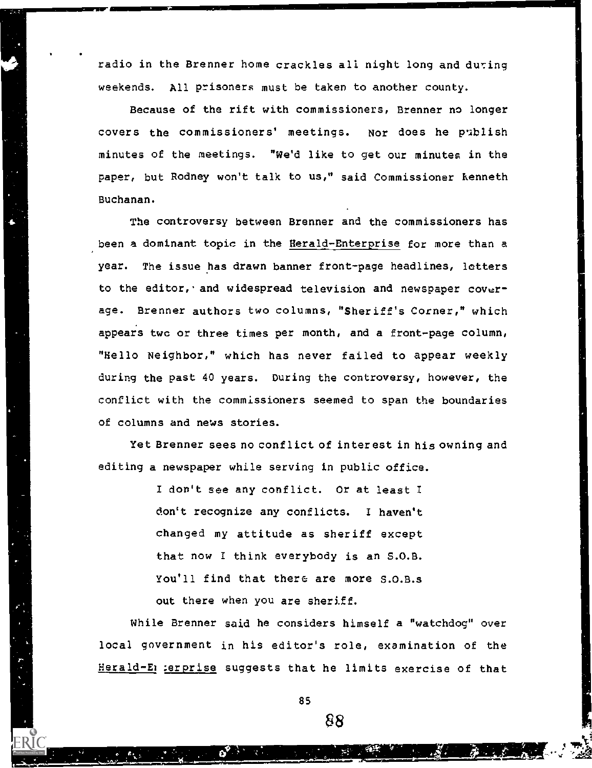radio in the Brenner home crackles all night long and during weekends. All prisoners must be taken to another county.

Because of the rift with commissioners, Brenner no longer covers the commissioners' meetings. Nor does he publish minutes of the meetings. "We'd like to get our minutes in the paper, but Rodney won't talk to us," said Commissioner Kenneth Buchanan.

The controversy between Brenner and the commissioners has been a dominant topic in the Herald-Enterprise for more than a year. The issue has drawn banner front-page headlines, letters to the editor, and widespread television and newspaper coverage. Brenner authors two columns, "Sheriff's Corner," which appears two or three times per month, and a front-page column, "Hello Neighbor," which has never failed to appear weekly during the past 40 years. During the controversy, however, the conflict with the commissioners seemed to span the boundaries of columns and news stories.

Yet Brenner sees no conflict of interest in his owning and editing a newspaper while serving in public office.

> I don't see any conflict. Or at least I don't recognize any conflicts. I haven't changed my attitude as sheriff except that now I think everybody is an S.O.B. You'll find that there are more S.O.B.s out there when you are sheriff.

While Brenner said he considers himself a "watchdog" over local government in his editor's role, examination of the Herald-En :erprise suggests that he limits exercise of that

85

\$8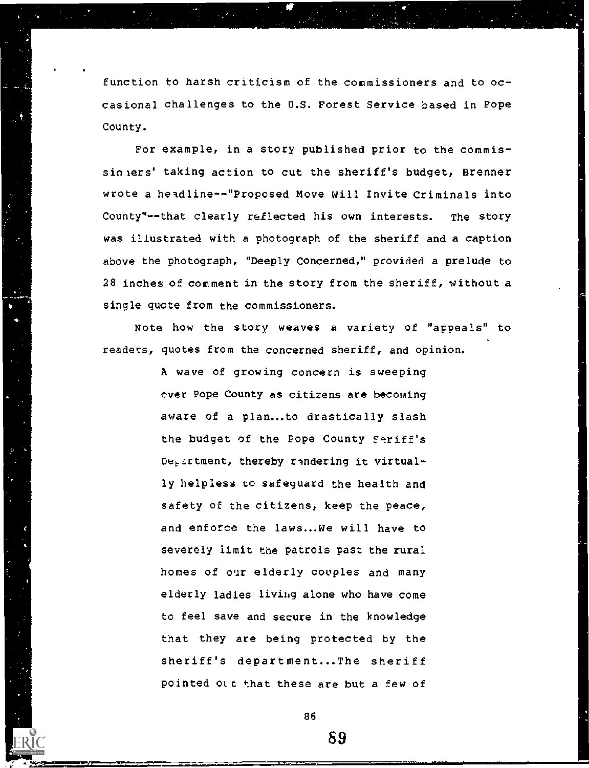function to harsh criticism of the commissioners and to occasional challenges to the U.S. Forest Service based in Pope County.

For example, in a story published prior to the commissiolers' taking action to cut the sheriff's budget, Brenner wrote a headline--"Proposed Move Will Invite Criminals into County"--that clearly reflected his own interests. The story was illustrated with a photograph of the sheriff and a caption above the photograph, "Deeply Concerned," provided a prelude to 28 inches of comment in the story from the sheriff, without a single quote from the commissioners.

Note how the story weaves a variety of "appeals" to readers, quotes from the concerned sheriff, and opinion.

> A wave of growing concern is sweeping over Pope County as citizens are becoming aware of a plan...to drastically slash the budget of the Pope County Seriff's Department, thereby randering it virtually helpless to safeguard the health and safety of the citizens, keep the peace, and enforce the laws...We will have to severely limit the patrols past the rural homes of our elderly couples and many elderly ladies liviug alone who have come to feel save and secure in the knowledge that they are being protected by the sheriff's department...The sheriff pointed ott that these are but a few of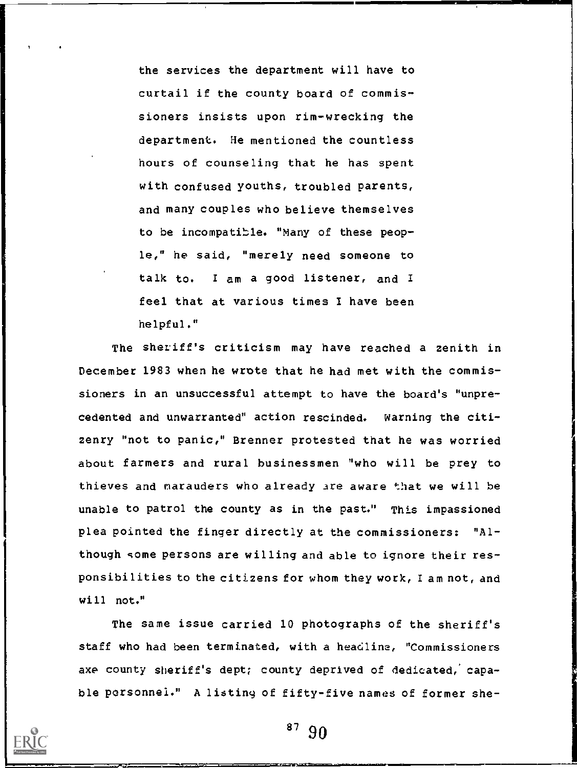the services the department will have to curtail if the county board of commissioners insists upon rim-wrecking the department. He mentioned the countless hours of counseling that he has spent with confused youths, troubled parents, and many couples who believe themselves to be incompatible. "Many of these people," he said, "merely need someone to talk to. I am a good listener, and I feel that at various times 1 have been helpful."

The sheriff's criticism may have reached a zenith in December 1983 when he wrote that he had met with the commissioners in an unsuccessful attempt to have the board's "unprecedented and unwarranted" action rescinded. Warning the citizenry "not to panic," Brenner protested that he was worried about farmers and rural businessmen "who will be prey to thieves and marauders who already are aware that we will be unable to patrol the county as in the past." This impassioned plea pointed the finger directly at the commissioners: "Although some persons are willing and able to ignore their responsibilities to the citizens for whom they work, lam not, and will not."

The same issue carried 10 photographs of the sheriff's staff who had been terminated, with a headline, "Commissioners axe county sheriff's dept; county deprived of dedicated; capable personnel." A listing of fifty-five names of former she-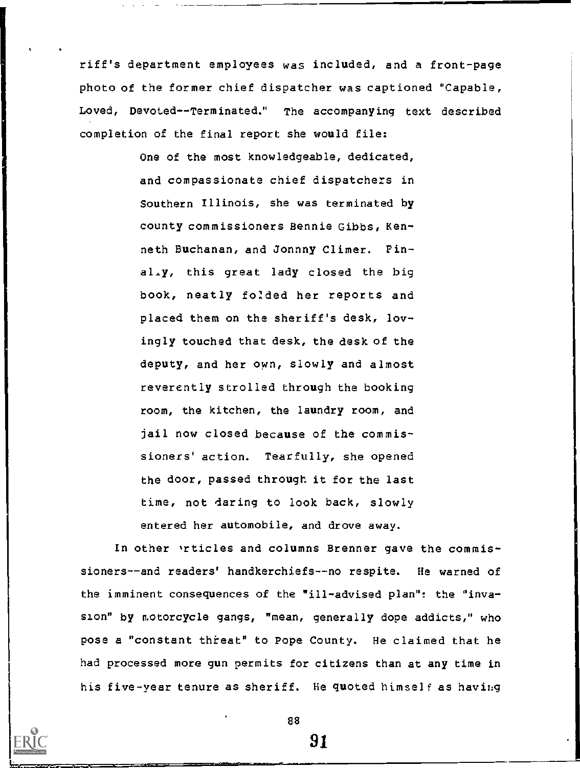riff's department employees was included, and a front-page photo of the former chief dispatcher was captioned "Capable, Loved, Devoted--Terminated." The accompanying text described completion of the final report she would file:

> One of the most knowledgeable, dedicated, and compassionate chief dispatchers in Southern Illinois, she was terminated by county commissioners Bennie Gibbs, Kenneth Buchanan, and Jonnny Climer. Pinal.y, this great lady closed the big book, neatly foided her reports and placed them on the sheriff's desk, lovingly touched that desk, the desk of the deputy, and her own, slowly and almost reverently strolled through the booking room, the kitchen, the laundry room, and jail now closed because of the commissioners' action. Tearfully, she opened the door, passed through it for the last time, not daring to look back, slowly entered her automobile, and drove away.

In other vrticles and columns Brenner gave the commissioners--and readers' handkerchiefs--no respite. He warned of the imminent consequences of the "ill-advised plan": the °invasion" by motorcycle gangs, "mean, generally dope addicts," who pose a "constant threat" to Pope County. He claimed that he had processed more gun permits for citizens than at any time in his five-year tenure as sheriff. He quoted himself as having

88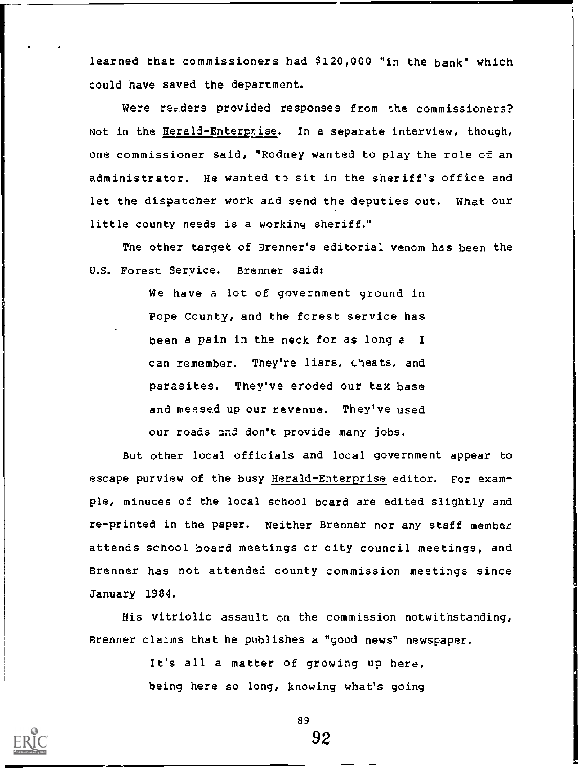learned that commissioners had \$120,000 "in the bank" which could have saved the department.

Were rec.ders provided responses from the commissioners? Not in the Herald-Enterprise. In a separate interview, though, one commissioner said, "Rodney wanted to play the role of an administrator. He wanted to sit in the sheriff's office and let the dispatcher work and send the deputies out. What our little county needs is a working sheriff."

The other target of Brenner's editorial venom has been the U.S. Forest Seryice. Brenner said:

> We have a lot of government ground in Pope County, and the forest service has been a pain in the neck for as long a I can remember. They're liars, cheats, and parasites. They've eroded our tax base and messed up our revenue. They've used our roads and don't provide many jobs.

But other local officials and local government appear to escape purview of the busy Herald-Enterprise editor. For example, minutes of the local school board are edited slightly and re-printed in the paper. Neither Brenner nor any staff member attends school board meetings or city council meetings, and Brenner has not attended county commission meetings since January 1984.

His vitriolic assault on the commission notwithstanding, Brenner claims that he publishes a "good news" newspaper.

> It's all a matter of growing up here, being here so long, knowing what's going



89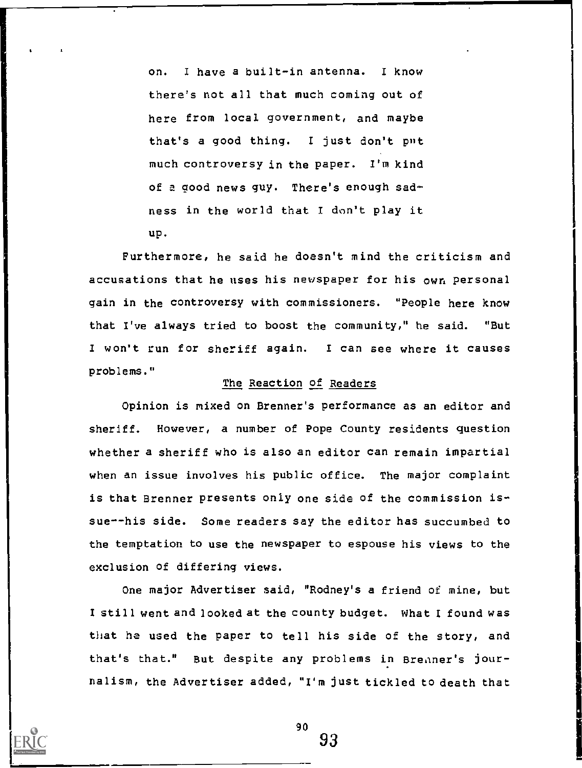on. I have a built-in antenna. I know there's not all that much coming out of here from local government, and maybe that's a good thing. I just don't put much controversy in the paper. I'm kind of a good news guy. There's enough sadness in the world that I don't play it up.

Furthermore, he said he doesn't mind the criticism and accusations that he uses his newspaper for his own personal gain in the controversy with commissioners. "People here know that I've always tried to boost the community," he said. "But I won't run for sheriff again. I can see where it causes problems."

## The Reaction of Readers

Opinion is mixed on Brenner's performance as an editor and sheriff. However, a number of Pope County residents question whether a sheriff who is also an editor can remain impartial when an issue involves his public office. The major complaint is that Brenner presents only one side of the commission issue--his side. Some readers say the editor has succumbed to the temptation to use the newspaper to espouse his views to the exclusion of differing views.

One major Advertiser said, "Rodney's a friend of mine, but I still went and looked at the county budget. What I found was that he used the paper to tell his side of the story, and that's that." But despite any problems in Breaner's journalism, the Advertiser added, "I'm just tickled to death that

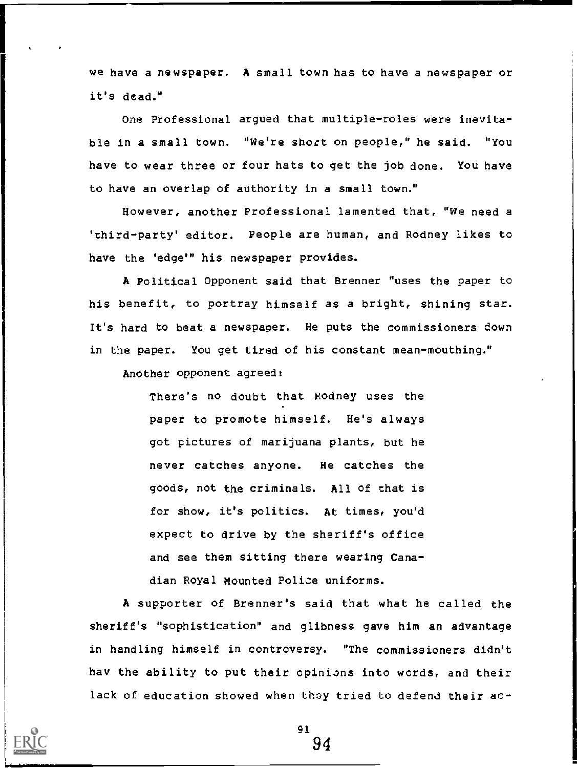we have a newspaper. A small town has to have a newspaper or it's dead."

One Professional argued that multiple-roles were inevitable in a small town. "We're short on people," he said. "You have to wear three or four hats to get the job done. You have to have an overlap of authority in a small town."

However, another Professional lamented that, "We need a 'third-party' editor. People are human, and Rodney likes to have the 'edge'" his newspaper provides.

A Political Opponent said that Brenner "uses the paper to his benefit, to portray himself as a bright, shining star. It's hard to beat a newspaper. He puts the commissioners down in the paper. You get tired of his constant mean-mouthing."

Another opponent agreed:

There's no doubt that Rodney uses the paper to promote himself. He's always got pictures of marijuana plants, but he never catches anyone. He catches the goods, not the criminals. All of that is for show, it's politics. At times, you'd expect to drive by the sheriff's office and see them sitting there wearing Canadian Royal mounted Police uniforms.

A supporter of Brenner's said that what he called the sheriff's "sophistication" and glibness gave him an advantage in handling himself in controversy. "The commissioners didn't hav the ability to put their opinions into words, and their lack of education showed when they tried to defend their ac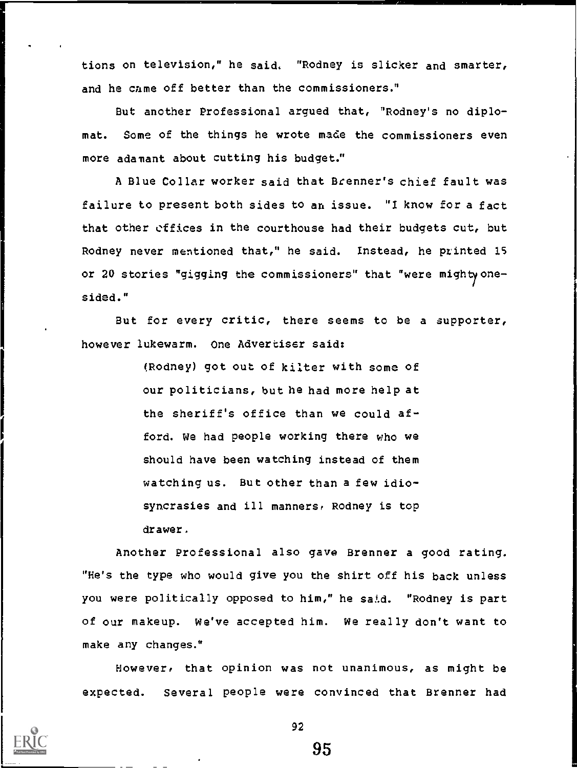tions on television," he said. "Rodney is slicker and smarter, and he came off better than the commissioners."

But another Professional argued that, "Rodney's no diplomat. Some of the things he wrote made the commissioners even more adamant about cutting his budget."

A Blue Collar worker said that Brenner's chief fault was failure to present both sides to an issue. "I know for a fact that other effices in the courthouse had their budgets cut, but Rodney never mentioned that," he said. Instead, he printed 15 or 20 stories "gigging the commissioners" that "were mighty onesided."

But for every critic, there seems to be a supporter, however lukewarm. One Advertiser said:

> (Rodney) got out of kilter with some of our politicians, but he had more help at the sheriff's office than we could afford. We had people working there who we should have been watching instead of them watching us. But other than a few idiosyncrasies and ill manners, Rodney is top drawer.

Another Professional also gave Brenner a good rating. "He's the type who would give you the shirt off his back unless you were politically opposed to him," he said. "Rodney is part of our makeup. We've accepted him. We really don't want to make any changes."

However, that opinion was not unanimous, as might be expected. Several people were convinced that Brenner had

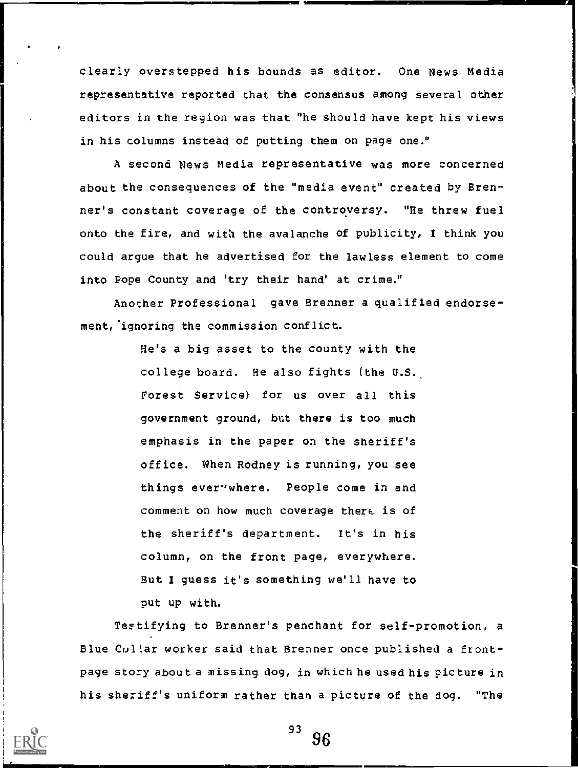clearly overstepped his bounds as editor. One News Media representative reported that the consensus among several other editors in the region was that "he should have kept his views in his columns instead of putting them on page one."

A second News Media representative was more concerned about the consequences of the "media event" created by Brenner's constant coverage of the controversy. "He threw fuel onto the fire, and with the avalanche of publicity, I think you could argue that he advertised for the lawless element to come into Pope County and 'try their hand' at crime."

Another Professional gave Brenner a qualified endorsement, ignoring the commission conflict.

> He's a big asset to the county with the college board. He also fights (the U.S. Forest Service) for us over all this government ground, but there is too much emphasis in the paper on the sheriff's office. When Rodney is running, you see things ever'where. People come in and comment on how much coverage there is of the sheriff's department. It's in his column, on the front page, everywhere. But I guess it's something we'll have to put up with.

Testifying to Brenner's penchant for self-promotion, a Blue Coltar worker said that Brenner once published a frontpage story about a missing dog, in which he used his picture in his sheriff's uniform rather than a picture of the dog. "The

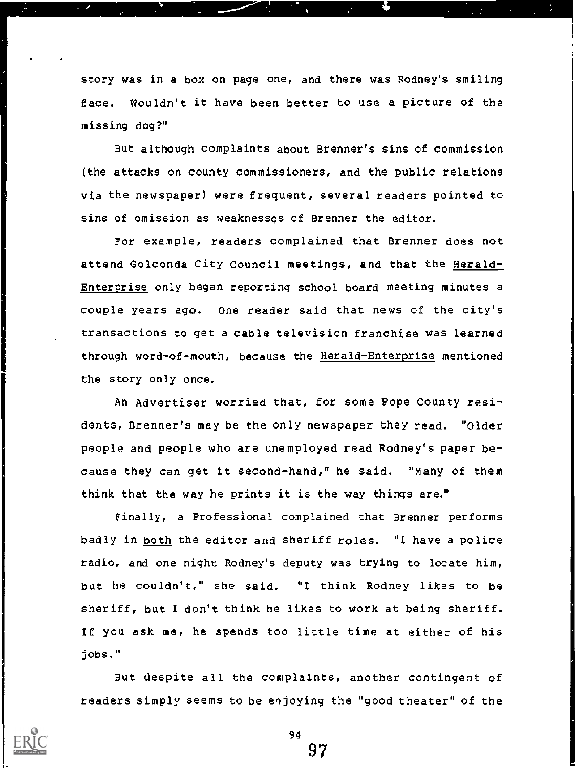story was in a box on page one, and there was Rodney's smiling face. Wouldn't it have been better to use a picture of the missing dog?"

But although complaints about Brenner's sins of commission (the attacks on county commissioners, and the public relations via the newspaper) were frequent, several readers pointed to sins of omission as weaknesses of Brenner the editor.

For example, readers complained that Brenner does not attend Golconda City Council meetings, and that the Herald-Enterprise only began reporting school board meeting minutes a couple years ago. One reader said that news of the city's transactions to get a cable television franchise was learned through word-of-mouth, because the Herald-Enterprise mentioned the story only once.

An Advertiser worried that, for some Pope County residents, Brenner's may be the only newspaper they read. "Older people and people who are unemployed read Rodney's paper because they can get it second-hand," he said. "Many of them think that the way he prints it is the way things are."

Finally, a Professional complained that Brenner performs badly in both the editor and sheriff roles. "I have a police radio, and one night Rodney's deputy was trying to locate him, but he couldn't," she said. "I think Rodney likes to be sheriff, but I don't think he likes to work at being sheriff. If you ask me, he spends too little time at either of his jobs."

But despite all the complaints, another contingent of readers simply seems to be enjoying the "good theater" of the



94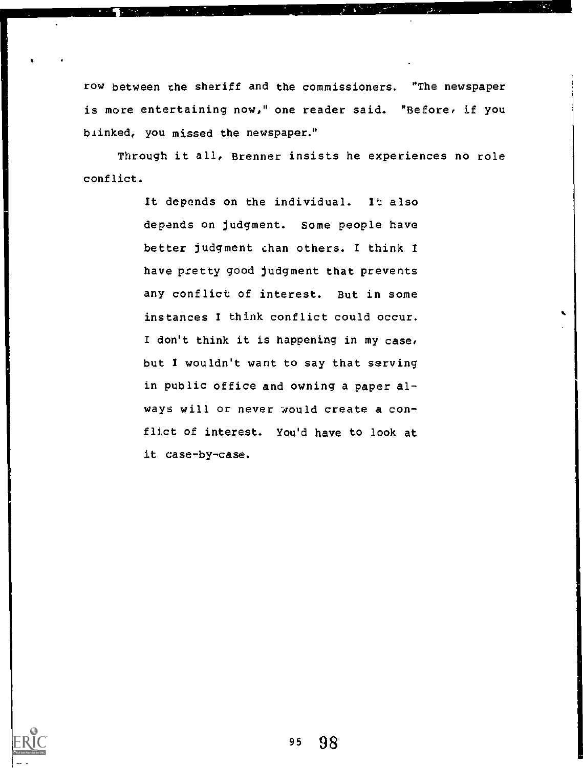row between the sheriff and the commissioners. "The newspaper is more entertaining now," one reader said. "Before, if you blinked, you missed the newspaper."

Through it all, Brenner insists he experiences no role conflict.

> It depends on the individual. It also depends on judgment. Some people have better judgment chan others. I think I have pretty good judgment that prevents any conflict of interest. But in some instances I think conflict could occur. / don't think it is happening in my case, but I wouldn't want to say that serving in public office and owning a paper always will or never would create a conflict of interest. You'd have to look at it case-by-case.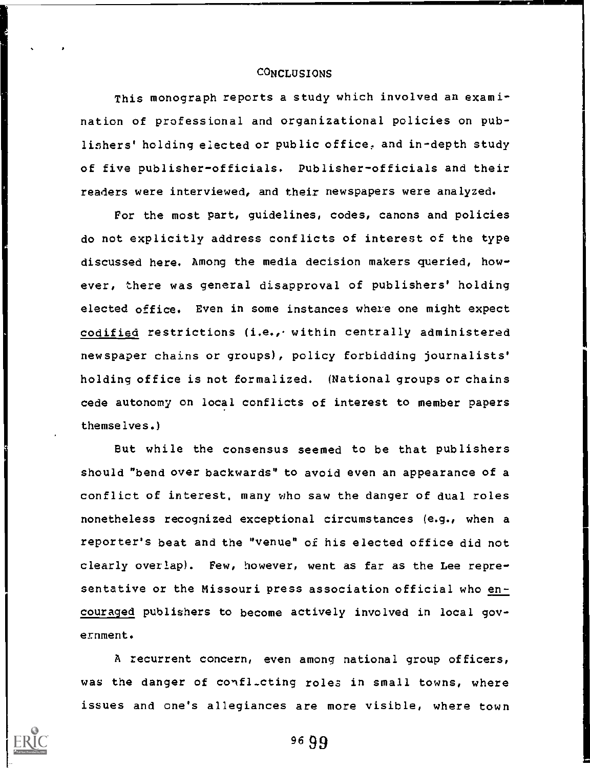## CONCLUSIONS

This monograph reports a study which involved an examination of professional and organizational policies on publishers' holding elected or public office, and in-depth study of five publisher-officials. Publisher-officials and their readers were interviewed, and their newspapers were analyzed.

For the most part, guidelines, codes, canons and policies do not explicitly address conflicts of interest of the type discussed here. Among the media decision makers queried, however, there was general disapproval of publishers' holding elected office. Even in some instances where one might expect codified restrictions (i.e., within centrally administered newspaper chains or groups), policy forbidding journalists' holding office is not formalized. (National groups or chains cede autonomy on local conflicts of interest to member papers themselves.)

But while the consensus seemed to be that publishers should "bend over backwards" to avoid even an appearance of a conflict of interest, many who saw the danger of dual roles nonetheless recognized exceptional circumstances (e.g., when a reporter's beat and the "venue" of his elected office did not clearly overlap). Few, however, went as far as the Lee representative or the Missouri press association official who encouraged publishers to become actively involved in local government.

A recurrent concern, even among national group officers, was the danger of confl-cting roles in small towns, where issues and one's allegiances are more visible, where town

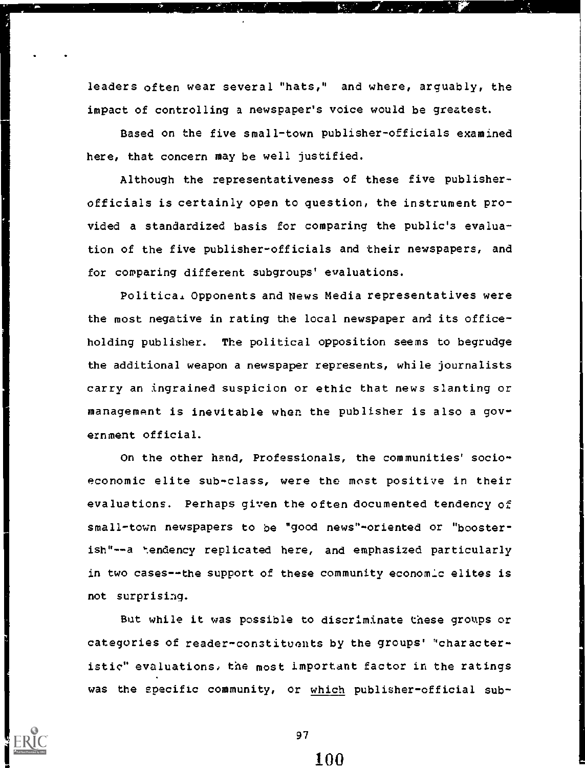leaders often wear several "hats," and where, arguably, the impact of controlling a newspaper's voice would be greatest.

 $\mathcal{L}_{\text{out}}$ 

 $\mathbf{A}$  .

Based on the five small-town publisher-officials examined here, that concern may be well justified.

Although the representativeness of these five publisherofficials is certainly open to question, the instrument provided a standardized basis for comparing the public's evaluation of the five publisher-officials and their newspapers, and for comparing different subgroups' evaluations.

Politica. Opponents and News Media representatives were the most negative in rating the local newspaper and its officeholding publisher. The political opposition seems to begrudge the additional weapon a newspaper represents, while journalists carry an ingrained suspicion or ethic that news slanting or management is inevitable when the publisher is also a government official.

On the other hand, Professionals, the communities' socioeconomic elite sub-class, were the most positive in their evaluations. Perhaps given the often documented tendency of small-town newspapers to be "good news"-oriented or "boosterish"--a tendency replicated here, and emphasized particularly in two cases--the support of these community economic elites is not surprising.

But while it was possible to discriminate these groups or categories of reader-constituents by the groups' "characteristic" evaluations, the most important factor in the ratings was the specific community, or which publisher-official sub-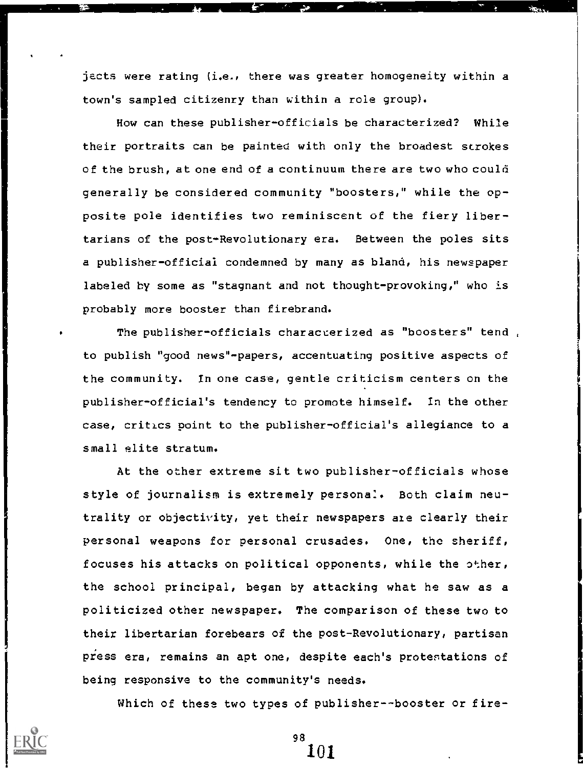jects were rating (i.e., there was greater homogeneity within a town's sampled citizenry than within a role group).

1

How can these publisher-officials be characterized? While their portraits can be painted with only the broadest strokes of the brush, at one end of a continuum there are two who could generally be considered community "boosters," while the opposite pole identifies two reminiscent of the fiery libertarians of the post-Revolutionary era. Between the poles sits a publisher-official condemned by many as bland, his newspaper labeled by some as "stagnant and not thought-provoking," who is probably more booster than firebrand.

The publisher-officials characterized as "boosters" tend , to publish "good news"-papers, accentuating positive aspects of the community. In one case, gentle criticism centers on the publisher-official's tendency to promote himself. In the other case, critics point to the publisher-official's allegiance to a small elite stratum.

At the other extreme sit two publisher-officials whose style of journalism is extremely personal. Both claim neutrality or objectivity, yet their newspapers ate clearly their personal weapons for personal crusades. One, the sheriff, focuses his attacks on political opponents, while the other, the school principal, began by attacking what he saw as a politicized other newspaper. The comparison of these two to their libertarian forebears of the post-Revolutionary, partisan press era, remains an apt one, despite each's protestations of being responsive to the community's needs.

Which of these two types of publisher--booster or fire-

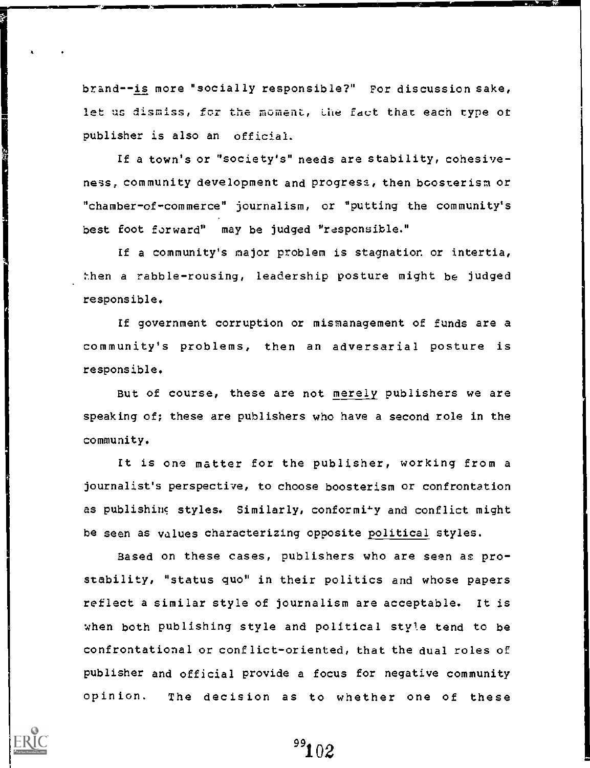brand--is more "socially responsible?" For discussion sake, let us dismiss, for the moment, the fact that each type of publisher is also an official.

If a town's or "society's" needs are stability, cohesiveness, community development and progress, then boosterism or "chamber-of-commerce" journalism, or "putting the community's best foot forward" may be judged "responsible."

If a community's major problem is stagnation or intertia, then a rabble-rousing, leadership posture might be judged responsible.

If government corruption or mismanagement of funds are a community's problems, then an adversarial posture is responsible.

But of course, these are not merely publishers we are speaking of; these are publishers who have a second role in the community.

It is one matter for the publisher, working from a journalist's perspective, to choose boosterism or confrontation as publishing styles. Similarly, conformity and conflict might be seen as values characterizing opposite political styles.

Based on these cases, publishers who are seen as prostability, "status quo" in their politics and whose papers reflect a similar style of journalism are acceptable. It is when both publishing style and political style tend to be confrontational or conflict-oriented, that the dual roles of publisher and official provide a focus for negative community opinion. The decision as to whether one of these



<sup>99</sup>102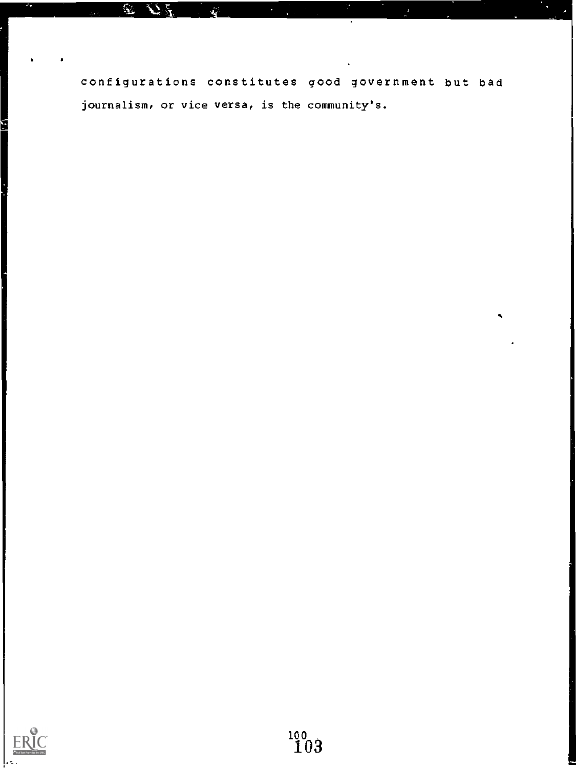configurations constitutes good government but bad journalism, or vice versa, is the community's.

 $\mathbf{r}$ 

 $\mathcal{L}_A$ 

Ý

ř.

and the property of the company of the company of the company of the company of the company of the company of

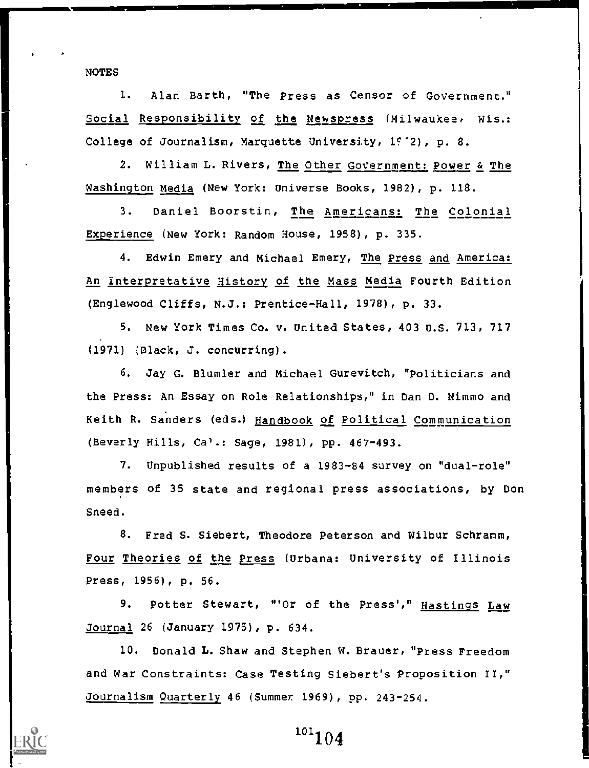NOTES

1. Alan Barth, "The Press as Censor of Government." Social Responsibility of the Newspress (Milwaukee, Wis.: College of Journalism, Marquette University, 1972), p. 8.

2. William L. Rivers, The Other Government: Power & The Washington Media (New York: Universe Books, 1982), p. 118.

3. Daniel Boorstin, The Americans: The Colonial Experience (New York: Random House, 1958), p. 335.

4. Edwin Emery and Michael Emery, The Press and America: An Interpretative History of the Mass Media Fourth Edition (Englewood Cliffs, N.J.: Prentice-Hall, 1978), p. 33.

5. New York Times Co. v. United States, 403 U.S. 713, 717 (1971) ;Black, J. concurring).

6. Jay G. Blumler and Michael Gurevitch, "Politicians and the Press: An Essay on Role Relationships," in Dan D. Nimmo and Keith R. Sanders (eds.) Handbook of Political Communication (Beverly Hills, Ca<sup>1</sup>.: Sage, 1981), pp. 467-493.

7. Unpublished results of a 1983-84 survey on "dual-role" members of 35 state and regional press associations, by Don Sneed.

8. Fred S. Siebert, Theodore Peterson and Wilbur Schramm, Four Theories of the Press (Urbana: University of Illinois Press, 1956), p. 56.

9. Potter Stewart, "'Or of the Press'," Hastings Law Journal 26 (January 1975), p. 634.

10. Donald L. Shaw and Stephen W. Brauer, "Press Freedom and War Constraints: Case Testing Siebert's Proposition II," Journalism Quarterly 46 (Summer 1969), pp. 243-254.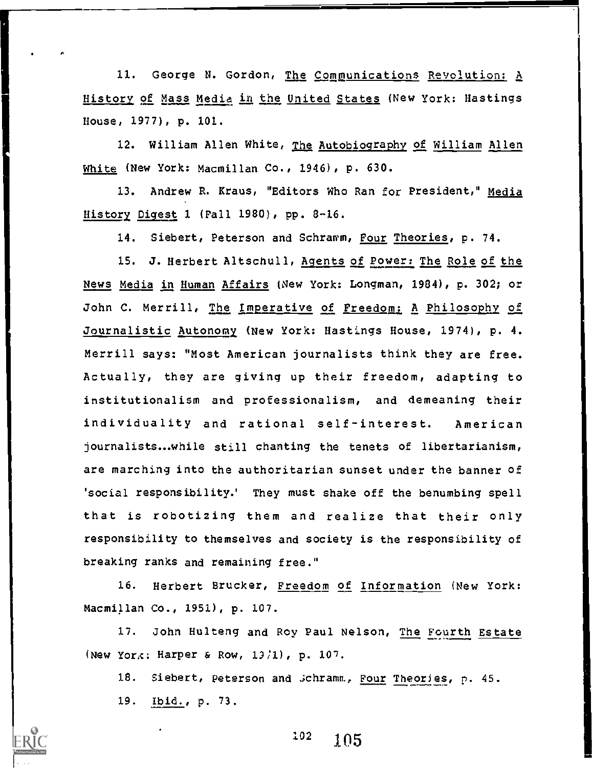11. George N. Gordon, The Communications Revolution: A History of Mass Media in the United States (New York: Hastings House, 1977), p. 101.

12. William Allen White, The Autobiography of William Allen White (New York: Macmillan Co., 1946), p. 630.

13. Andrew R. Kraus, "Editors Who Ran for President," Media History Eigest 1 (Fall 1980), pp. 8-16.

14. Siebert, Peterson and Schramm, Four Theories, p. 74.

15. J. Herbert Altschull, Agents of Power: The Role of the News Media in Human Affairs (New York: Longman, 1984), p. 302; or John C. Merrill, The Imperative of Freedom: A Philosophy of Journalistic Autonony (New York: Hastings House, 1974), p. 4. Merrill says: "Most American journalists think they are free. Actually, they are giving up their freedom, adapting to institutionalism and professionalism, and demeaning their individuality and rational self-interest. American journalists...while still chanting the tenets of libertarianism, are marching into the authoritarian sunset under the banner of 'social responsibility.' They must shake off the benumbing spell that is robotizing them and realize that their only responsibility to themselves and society is the responsibility of breaking ranks and remaining free."

16. Herbert Brucker, Freedom of Information (New York: Macmillan Co., 1951), p. 107.

17. John Hulteng and Roy Paul Nelson, The Fourth Estate (New York: Harper & Row,  $13/1$ ), p.  $107$ .

18. Siebert, Peterson and Jchramm, Four Theories, p. 45. 19. Ibid., p. 73.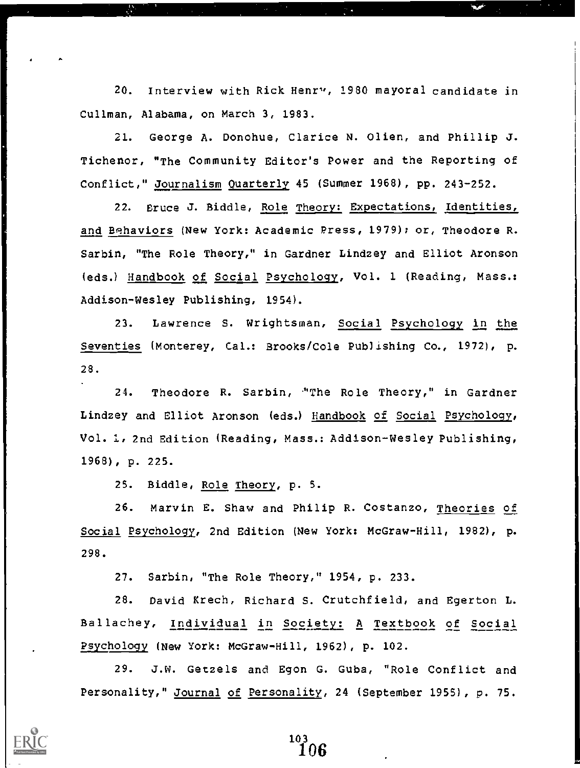20. Interview with Rick Henry, 1980 mayoral candidate in Cullman, Alabama, on March 3, 1983.

21. George A. Donohue, Clarice N. Olien, and Phillip J. Tichenor, "The Community Editor's Power and the Reporting of Conflict," Journalism Quarterly 45 (Summer 1968), pp. 243-252.

22. Bruce J. Biddle, Role Theory: Expectations, Identities, and Behaviors (New York: Academic Press, 1979); or, Theodore R. Sarbin, "The Role Theory," in Gardner Lindzey and Elliot Aronson (eds.) Handbook of Social Psychology, Vol. 1 (Reading, Mass.: Addison-Wesley Publishing, 1954).

23. Lawrence S. Wrightsman, Social Esychology in the Seventies (Monterey, Cal.: Brooks/Cole Publishing Co., 1972), p. 28.

24. Theodore R. Sarbin, "The Role Theory," in Gardner Lindzey and Elliot Aronson (eds.) Handbook of Social Psychology, Vol. 1, 2nd Edition (Reading, Mass.: Addison-Wesley Publishing, 1968), p. 225.

25. Biddle, Role Theory, p. 5.

26. Marvin E. Shaw and Philip R. Costanzo, Theories of Social Psychology, 2nd Edition (New York: McGraw-Hill, 1982), p. 298.

27. Sarbin, "The Role Theory," 1954, p. 233.

28. David Krech, Richard S. Crutchfield, and Egerton L. Ballachey, Individual in Society: A Textbook of Social ?sychology (New York: McGraw-Hill, 1962), p. 102.

29. J.W. Getzels and Egon G. Guba, "Role Conflict and Personality," Journal of Personality, 24 (September 1955) , p. 75.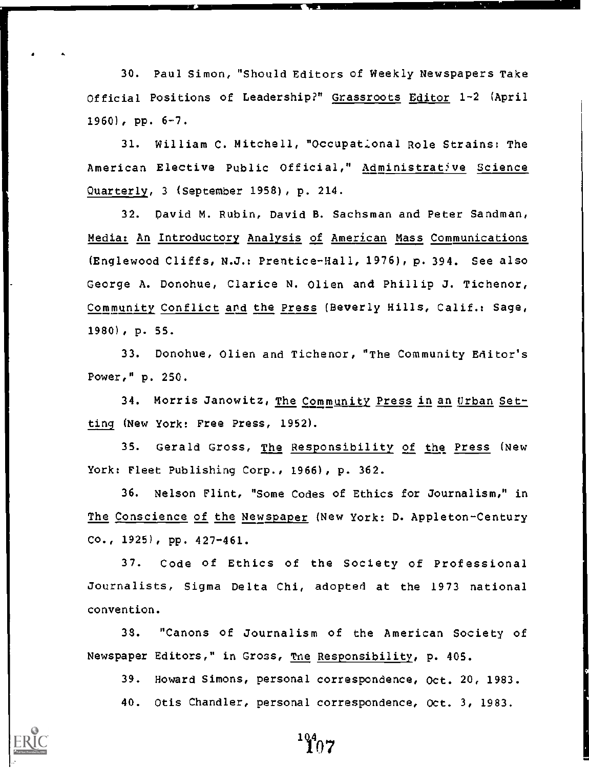30. Paul Simon, "Should Editors of Weekly Newspapers Take Official Positions of Leadership?" Grassroots Editor 1-2 (April  $1960)$ , pp.  $6-7$ .

31. William C. Mitchell, "Occupational Role Strains: The American Elective Public Official," Administrative Science Quarterly, 3 (September 1958), p. 214.

32. David M. Rubin, David B. Sachsman and Peter Sandman, Media: An Introductory Analysis of American Mass Communications (Englewood Cliffs, N.J.: Prentice-Hall, 1976), p. 394. See also George A. Donohue, Clarice N. Olien and Phillip J. Tichenor, Community Conflict and the Press (Beverly Hills, Calif.: Sage, 1980) , p. 55.

33. Donohue, Olien and Tichenor, "The Community Editor's Power," p. 250.

34. Morris Janowitz, The Community Press in an Urban Setting (New York: Free Press, 1952).

35. Gerald Gross, The Responsibility of the Press (New York: Fleet Publishing Corp., 1966), p. 362.

36. Nelson Flint, "Some Codes of Ethics for Journalism," in The Conscience of the Newspaper (New York: D. Appleton-Century Co., 1925), pp. 427-461.

37. Code of Ethics of the Society of Professional Journalists, Sigma Delta Chi, adopted at the 1973 national convention.

38. "Canons of Journalism of the American Society of Newspaper Editors," in Gross, Tne Responsibility, p. 405.

39. Howard Simons, personal correspondence, Oct. 20, 1983.

40. Otis Chandler, personal correspondence, Oct. 3, 1983.

 $\mathbf{107}^{4}$ 

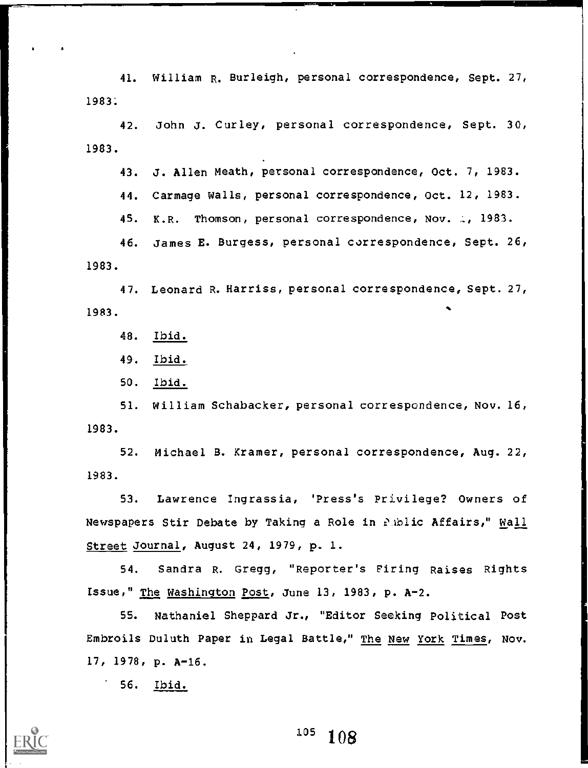41. William R. Burleigh, personal correspondence, Sept. 27, 1983:

42. John J. Curley, personal correspondence, Sept. 30, 1983.

43. J. Allen Meath, personal correspondence, Oct. 7, 1983.

44. Carmage Walls, personal correspondence, Oct. 12, 1983.

45. K.R. Thomson, personal correspondence, Nov. 2, 1983.

46. James E. Burgess, personal correspondence, Sept. 26, 1983.

47. Leonard R. Harriss, personal correspondence, Sept. 27, 1983.

48. Ibid.

49. Ibid.

50. Ibid.

51. William Schabacker, personal correspondence, Nov. 16, 1983.

52. Michael B. Kramer, personal correspondence, Aug. 22, 1983.

53. Lawrence Ingrassia, 'Press's Privilege? Owners of Newspapers Stir Debate by Taking a Role in PAblic Affairs," Wall Street Journal, August 24, 1979, p. I.

54. Sandra R. Gregg, "Reporter's Firing Raises Rights Issue," The Washington Post, June 13, 1983, p. A-2.

55. Nathaniel Sheppard Jr., "Editor Seeking Political Post Embroils Duluth Paper in Legal Battle," The New York Times, Nov. 17, 1978, p. A-I6.

56. Ibid.

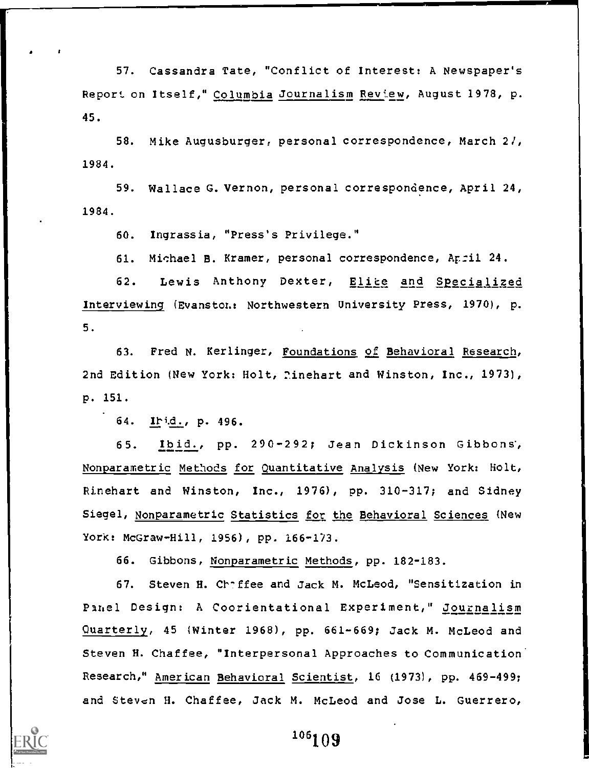57. Cassandra Tate, "Conflict of Interest: A Newspaper's Report on Itself," Columbia Journalism Review, August 1978, p. 45.

1984. 58. Mike Augusburger, personal correspondence, March 27,

1984. 59. Wallace G. Vernon, personal correspondence, April 24,

60. Ingrassia, "Press's Privilege."

61. Michael B. Kramer, personal correspondence, April 24.

62. Lewis Anthony Dexter, Elite and Specialized Interviewing (Evanston.: Northwestern University Press, 1970), p. 5.

63. Fred N. Kerlinger, Foundations of Behavioral Research, 2nd Edition (New York: Holt, 7inehart and Winston, Inc., 1973), p. 151.

64. p. 496.

65. Ibid., pp. 290-292; Jean Dickinson Gibbons, Nonparametric Methods for Quantitative Analysis (New York: Holt, Rinehart and Winston, Inc., 1976), pp. 310-317; and Sidney Siegel, Nonparametric Statistics for the Behavioral Sciences (New York: McGraw-Hill, 1956), pp. 166-173.

66. Gibbons, Nonparametric Methods, pp. 182-183.

67. Steven H. Chaffee and Jack M. McLeod, "Sensitization in Pahel Design: A Coorientational Experiment," Journalism Quarterly, 45 (Winter 1968), pp. 661-669; Jack M. McLeod and Steven H. Chaffee, "Interpersonal Approaches to Communication. Research," American Behavioral Scientist, 16 (1973), pp. 469-499; and Steven H. Chaffee, Jack M. McLeod and Jose L. Guerrero,